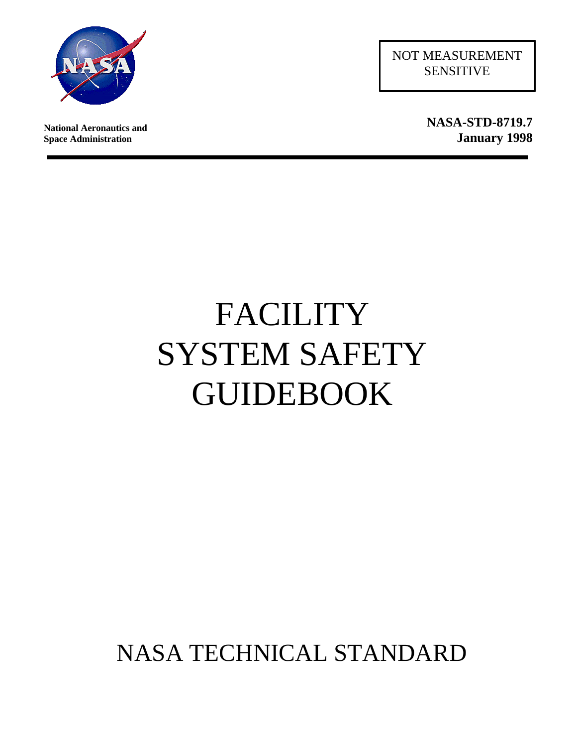

**National Aeronautics and Space Administration**

NOT MEASUREMENT SENSITIVE

> **NASA-STD-8719.7 January 1998**

# FACILITY SYSTEM SAFETY **GUIDEBOOK**

# NASA TECHNICAL STANDARD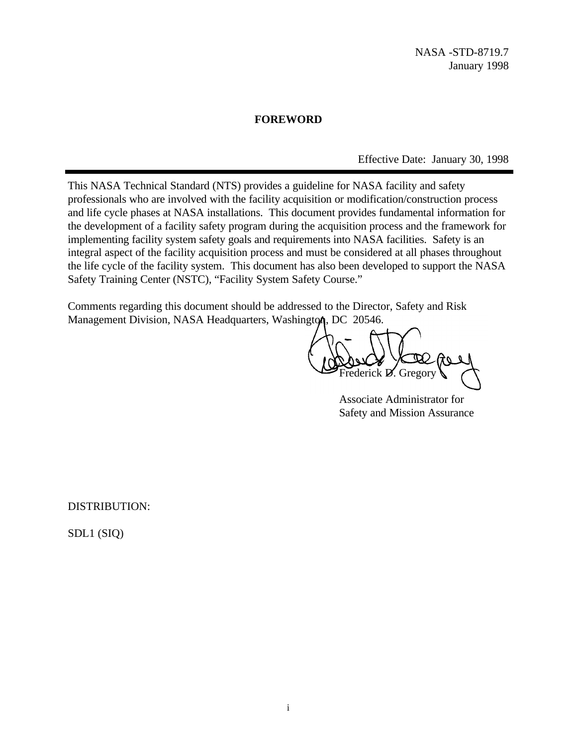### **FOREWORD**

Effective Date: January 30, 1998

This NASA Technical Standard (NTS) provides a guideline for NASA facility and safety professionals who are involved with the facility acquisition or modification/construction process and life cycle phases at NASA installations. This document provides fundamental information for the development of a facility safety program during the acquisition process and the framework for implementing facility system safety goals and requirements into NASA facilities. Safety is an integral aspect of the facility acquisition process and must be considered at all phases throughout the life cycle of the facility system. This document has also been developed to support the NASA Safety Training Center (NSTC), "Facility System Safety Course."

Comments regarding this document should be addressed to the Director, Safety and Risk Management Division, NASA Headquarters, Washington, DC 20546.

ederick **D.** Gregor

Associate Administrator for Safety and Mission Assurance

DISTRIBUTION:

SDL1 (SIQ)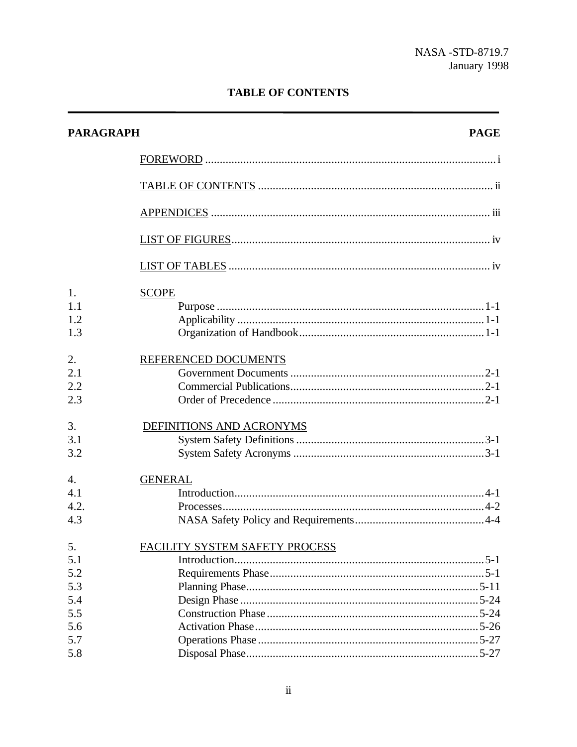### **TABLE OF CONTENTS**

| <b>PARAGRAPH</b>                                    | <b>PAGE</b>                    |
|-----------------------------------------------------|--------------------------------|
|                                                     |                                |
|                                                     |                                |
|                                                     |                                |
|                                                     |                                |
|                                                     |                                |
| 1.<br>1.1<br>1.2<br>1.3                             | <b>SCOPE</b>                   |
| 2.<br>2.1<br>2.2<br>2.3                             | REFERENCED DOCUMENTS           |
| 3.<br>3.1<br>3.2                                    | DEFINITIONS AND ACRONYMS       |
| $\overline{4}$ .<br>4.1<br>4.2.<br>4.3              | <b>GENERAL</b>                 |
| 5.<br>5.1<br>5.2<br>5.3<br>5.4<br>5.5<br>5.6<br>5.7 | FACILITY SYSTEM SAFETY PROCESS |
| 5.8                                                 |                                |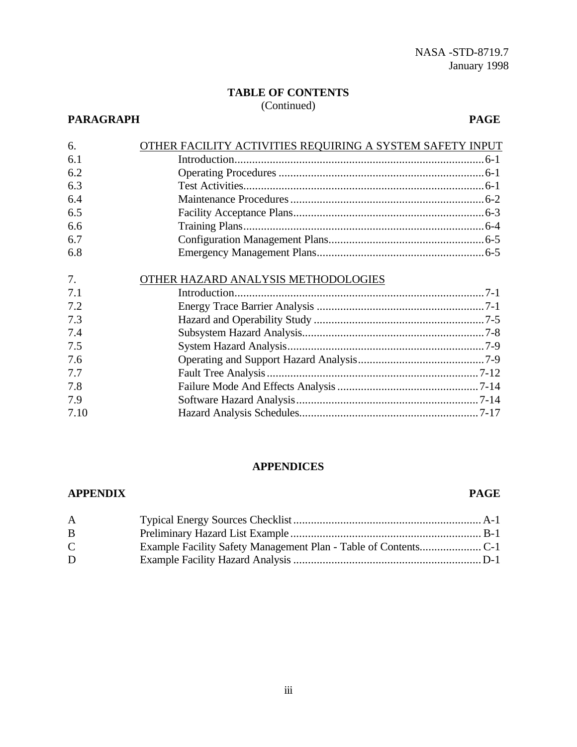## **TABLE OF CONTENTS**

### (Continued)

### **PARAGRAPH PAGE**

| OTHER FACILITY ACTIVITIES REQUIRING A SYSTEM SAFETY INPUT |  |
|-----------------------------------------------------------|--|
|                                                           |  |
|                                                           |  |
|                                                           |  |
|                                                           |  |
|                                                           |  |
|                                                           |  |
|                                                           |  |
|                                                           |  |
|                                                           |  |
| OTHER HAZARD ANALYSIS METHODOLOGIES                       |  |
|                                                           |  |
|                                                           |  |
|                                                           |  |
|                                                           |  |
|                                                           |  |
|                                                           |  |
|                                                           |  |
|                                                           |  |
|                                                           |  |
|                                                           |  |
|                                                           |  |

### **APPENDICES**

### **APPENDIX PAGE**

| $\mathsf{A}$ |  |
|--------------|--|
| B.           |  |
| $\mathsf{C}$ |  |
| D            |  |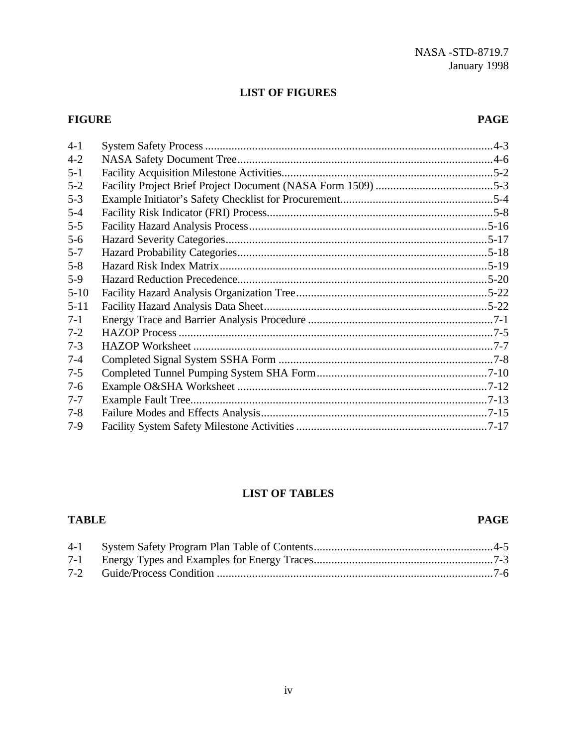### **LIST OF FIGURES**

### **FIGURE PAGE**

| $4 - 1$  |  |
|----------|--|
| $4 - 2$  |  |
| $5 - 1$  |  |
| $5 - 2$  |  |
| $5 - 3$  |  |
| $5 - 4$  |  |
| $5 - 5$  |  |
| $5 - 6$  |  |
| $5 - 7$  |  |
| $5 - 8$  |  |
| $5-9$    |  |
| $5 - 10$ |  |
| $5 - 11$ |  |
| $7-1$    |  |
| $7 - 2$  |  |
| $7-3$    |  |
| $7 - 4$  |  |
| $7 - 5$  |  |
| $7 - 6$  |  |
| $7 - 7$  |  |
| $7 - 8$  |  |
| $7-9$    |  |

### **LIST OF TABLES**

**TABLE PAGE**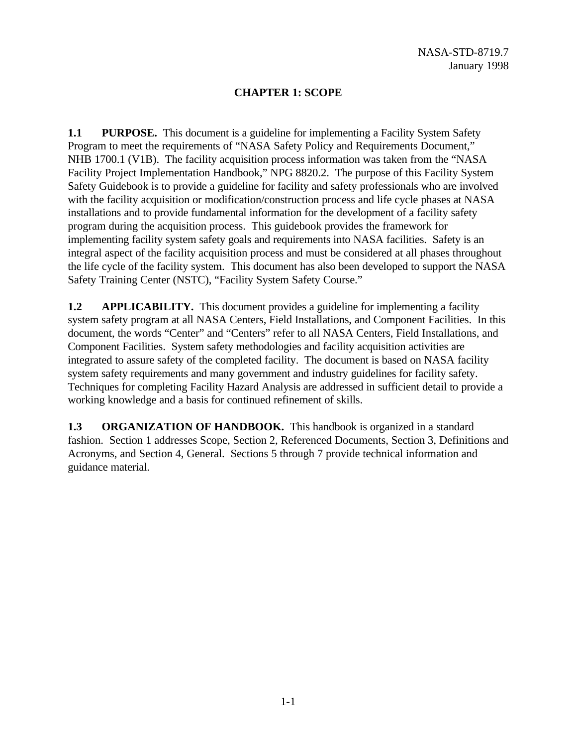### **CHAPTER 1: SCOPE**

**1.1 PURPOSE.** This document is a guideline for implementing a Facility System Safety Program to meet the requirements of "NASA Safety Policy and Requirements Document," NHB 1700.1 (V1B). The facility acquisition process information was taken from the "NASA Facility Project Implementation Handbook," NPG 8820.2. The purpose of this Facility System Safety Guidebook is to provide a guideline for facility and safety professionals who are involved with the facility acquisition or modification/construction process and life cycle phases at NASA installations and to provide fundamental information for the development of a facility safety program during the acquisition process. This guidebook provides the framework for implementing facility system safety goals and requirements into NASA facilities. Safety is an integral aspect of the facility acquisition process and must be considered at all phases throughout the life cycle of the facility system. This document has also been developed to support the NASA Safety Training Center (NSTC), "Facility System Safety Course."

**1.2 APPLICABILITY.** This document provides a guideline for implementing a facility system safety program at all NASA Centers, Field Installations, and Component Facilities. In this document, the words "Center" and "Centers" refer to all NASA Centers, Field Installations, and Component Facilities. System safety methodologies and facility acquisition activities are integrated to assure safety of the completed facility. The document is based on NASA facility system safety requirements and many government and industry guidelines for facility safety. Techniques for completing Facility Hazard Analysis are addressed in sufficient detail to provide a working knowledge and a basis for continued refinement of skills.

**1.3 ORGANIZATION OF HANDBOOK.** This handbook is organized in a standard fashion. Section 1 addresses Scope, Section 2, Referenced Documents, Section 3, Definitions and Acronyms, and Section 4, General. Sections 5 through 7 provide technical information and guidance material.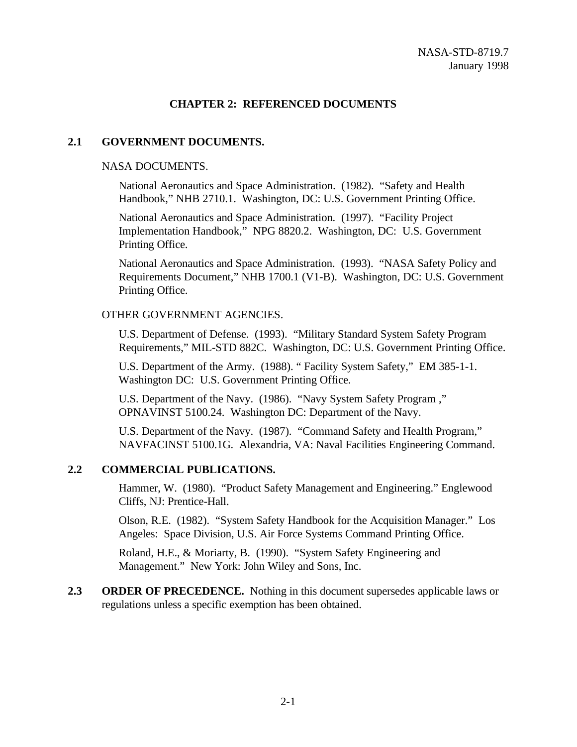### **CHAPTER 2: REFERENCED DOCUMENTS**

### **2.1 GOVERNMENT DOCUMENTS.**

### NASA DOCUMENTS.

National Aeronautics and Space Administration. (1982). "Safety and Health Handbook," NHB 2710.1. Washington, DC: U.S. Government Printing Office.

National Aeronautics and Space Administration. (1997). "Facility Project Implementation Handbook," NPG 8820.2. Washington, DC: U.S. Government Printing Office.

National Aeronautics and Space Administration. (1993). "NASA Safety Policy and Requirements Document," NHB 1700.1 (V1-B). Washington, DC: U.S. Government Printing Office.

### OTHER GOVERNMENT AGENCIES.

U.S. Department of Defense. (1993). "Military Standard System Safety Program Requirements," MIL-STD 882C. Washington, DC: U.S. Government Printing Office.

U.S. Department of the Army. (1988). " Facility System Safety," EM 385-1-1. Washington DC: U.S. Government Printing Office.

U.S. Department of the Navy. (1986). "Navy System Safety Program ," OPNAVINST 5100.24. Washington DC: Department of the Navy.

U.S. Department of the Navy. (1987). "Command Safety and Health Program," NAVFACINST 5100.1G. Alexandria, VA: Naval Facilities Engineering Command.

### **2.2 COMMERCIAL PUBLICATIONS.**

Hammer, W. (1980). "Product Safety Management and Engineering." Englewood Cliffs, NJ: Prentice-Hall.

Olson, R.E. (1982). "System Safety Handbook for the Acquisition Manager." Los Angeles: Space Division, U.S. Air Force Systems Command Printing Office.

Roland, H.E., & Moriarty, B. (1990). "System Safety Engineering and Management." New York: John Wiley and Sons, Inc.

**2.3 ORDER OF PRECEDENCE.** Nothing in this document supersedes applicable laws or regulations unless a specific exemption has been obtained.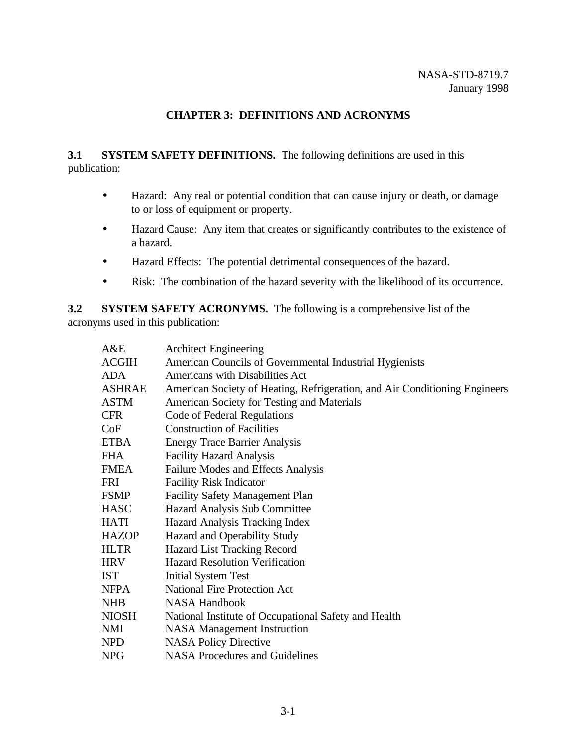### **CHAPTER 3: DEFINITIONS AND ACRONYMS**

### **3.1** SYSTEM SAFETY DEFINITIONS. The following definitions are used in this publication:

- Hazard: Any real or potential condition that can cause injury or death, or damage to or loss of equipment or property.
- Hazard Cause: Any item that creates or significantly contributes to the existence of a hazard.
- Hazard Effects: The potential detrimental consequences of the hazard.
- Risk: The combination of the hazard severity with the likelihood of its occurrence.

**3.2** SYSTEM SAFETY ACRONYMS. The following is a comprehensive list of the acronyms used in this publication:

| A&E           | <b>Architect Engineering</b>                                               |
|---------------|----------------------------------------------------------------------------|
| <b>ACGIH</b>  | American Councils of Governmental Industrial Hygienists                    |
| <b>ADA</b>    | Americans with Disabilities Act                                            |
| <b>ASHRAE</b> | American Society of Heating, Refrigeration, and Air Conditioning Engineers |
| <b>ASTM</b>   | American Society for Testing and Materials                                 |
| <b>CFR</b>    | Code of Federal Regulations                                                |
| CoF           | <b>Construction of Facilities</b>                                          |
| <b>ETBA</b>   | <b>Energy Trace Barrier Analysis</b>                                       |
| <b>FHA</b>    | <b>Facility Hazard Analysis</b>                                            |
| <b>FMEA</b>   | Failure Modes and Effects Analysis                                         |
| <b>FRI</b>    | <b>Facility Risk Indicator</b>                                             |
| <b>FSMP</b>   | <b>Facility Safety Management Plan</b>                                     |
| <b>HASC</b>   | Hazard Analysis Sub Committee                                              |
| <b>HATI</b>   | Hazard Analysis Tracking Index                                             |
| <b>HAZOP</b>  | Hazard and Operability Study                                               |
| <b>HLTR</b>   | Hazard List Tracking Record                                                |
| <b>HRV</b>    | <b>Hazard Resolution Verification</b>                                      |
| <b>IST</b>    | <b>Initial System Test</b>                                                 |
| <b>NFPA</b>   | <b>National Fire Protection Act</b>                                        |
| <b>NHB</b>    | <b>NASA Handbook</b>                                                       |
| <b>NIOSH</b>  | National Institute of Occupational Safety and Health                       |
| <b>NMI</b>    | <b>NASA</b> Management Instruction                                         |
| NPD           | <b>NASA Policy Directive</b>                                               |
| <b>NPG</b>    | <b>NASA Procedures and Guidelines</b>                                      |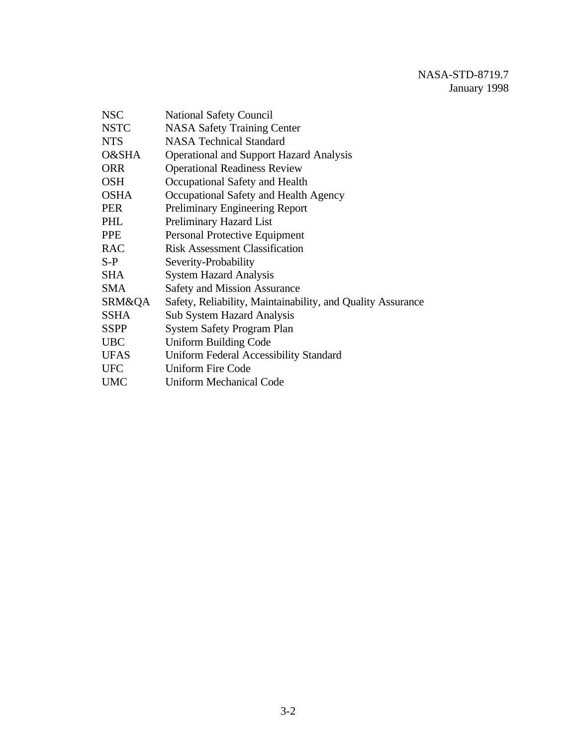| <b>National Safety Council</b>                              |
|-------------------------------------------------------------|
| <b>NASA Safety Training Center</b>                          |
| <b>NASA Technical Standard</b>                              |
| <b>Operational and Support Hazard Analysis</b>              |
| <b>Operational Readiness Review</b>                         |
| Occupational Safety and Health                              |
| Occupational Safety and Health Agency                       |
| <b>Preliminary Engineering Report</b>                       |
| Preliminary Hazard List                                     |
| Personal Protective Equipment                               |
| <b>Risk Assessment Classification</b>                       |
| Severity-Probability                                        |
| <b>System Hazard Analysis</b>                               |
| <b>Safety and Mission Assurance</b>                         |
| Safety, Reliability, Maintainability, and Quality Assurance |
| <b>Sub System Hazard Analysis</b>                           |
| <b>System Safety Program Plan</b>                           |
| Uniform Building Code                                       |
| <b>Uniform Federal Accessibility Standard</b>               |
| <b>Uniform Fire Code</b>                                    |
| Uniform Mechanical Code                                     |
|                                                             |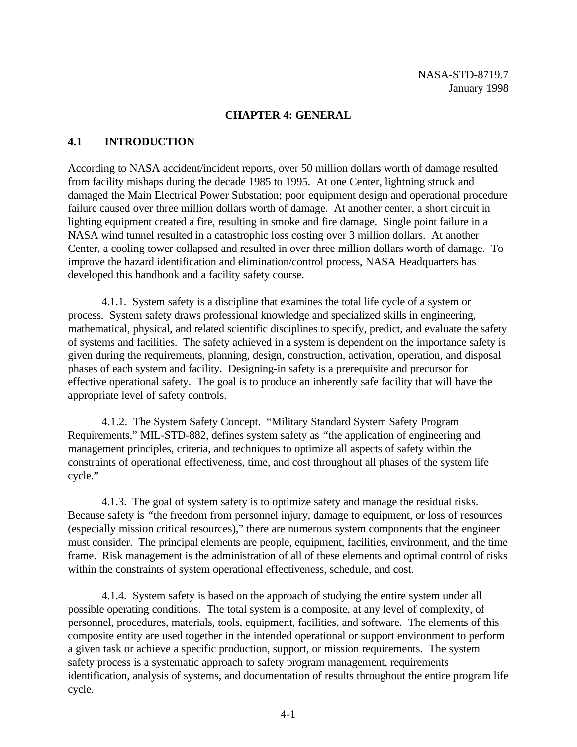### **CHAPTER 4: GENERAL**

### **4.1 INTRODUCTION**

According to NASA accident/incident reports, over 50 million dollars worth of damage resulted from facility mishaps during the decade 1985 to 1995. At one Center, lightning struck and damaged the Main Electrical Power Substation; poor equipment design and operational procedure failure caused over three million dollars worth of damage. At another center, a short circuit in lighting equipment created a fire, resulting in smoke and fire damage. Single point failure in a NASA wind tunnel resulted in a catastrophic loss costing over 3 million dollars. At another Center, a cooling tower collapsed and resulted in over three million dollars worth of damage. To improve the hazard identification and elimination/control process, NASA Headquarters has developed this handbook and a facility safety course.

4.1.1. System safety is a discipline that examines the total life cycle of a system or process. System safety draws professional knowledge and specialized skills in engineering, mathematical, physical, and related scientific disciplines to specify, predict, and evaluate the safety of systems and facilities. The safety achieved in a system is dependent on the importance safety is given during the requirements, planning, design, construction, activation, operation, and disposal phases of each system and facility. Designing-in safety is a prerequisite and precursor for effective operational safety. The goal is to produce an inherently safe facility that will have the appropriate level of safety controls.

4.1.2. The System Safety Concept. "Military Standard System Safety Program Requirements," MIL-STD-882, defines system safety as *"*the application of engineering and management principles, criteria, and techniques to optimize all aspects of safety within the constraints of operational effectiveness, time, and cost throughout all phases of the system life cycle."

4.1.3. The goal of system safety is to optimize safety and manage the residual risks. Because safety is *"*the freedom from personnel injury, damage to equipment, or loss of resources (especially mission critical resources)," there are numerous system components that the engineer must consider. The principal elements are people, equipment, facilities, environment, and the time frame. Risk management is the administration of all of these elements and optimal control of risks within the constraints of system operational effectiveness, schedule, and cost.

4.1.4. System safety is based on the approach of studying the entire system under all possible operating conditions. The total system is a composite, at any level of complexity, of personnel, procedures, materials, tools, equipment, facilities, and software. The elements of this composite entity are used together in the intended operational or support environment to perform a given task or achieve a specific production, support, or mission requirements. The system safety process is a systematic approach to safety program management, requirements identification, analysis of systems, and documentation of results throughout the entire program life cycle.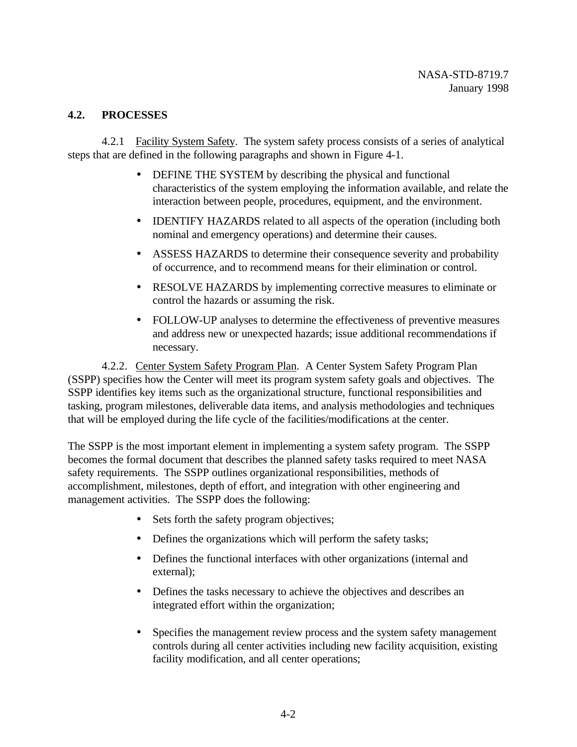### **4.2. PROCESSES**

4.2.1 Facility System Safety. The system safety process consists of a series of analytical steps that are defined in the following paragraphs and shown in Figure 4-1.

- DEFINE THE SYSTEM by describing the physical and functional characteristics of the system employing the information available, and relate the interaction between people, procedures, equipment, and the environment.
- IDENTIFY HAZARDS related to all aspects of the operation (including both nominal and emergency operations) and determine their causes.
- ASSESS HAZARDS to determine their consequence severity and probability of occurrence, and to recommend means for their elimination or control.
- RESOLVE HAZARDS by implementing corrective measures to eliminate or control the hazards or assuming the risk.
- FOLLOW-UP analyses to determine the effectiveness of preventive measures and address new or unexpected hazards; issue additional recommendations if necessary.

4.2.2. Center System Safety Program Plan. A Center System Safety Program Plan (SSPP) specifies how the Center will meet its program system safety goals and objectives. The SSPP identifies key items such as the organizational structure, functional responsibilities and tasking, program milestones, deliverable data items, and analysis methodologies and techniques that will be employed during the life cycle of the facilities/modifications at the center.

The SSPP is the most important element in implementing a system safety program. The SSPP becomes the formal document that describes the planned safety tasks required to meet NASA safety requirements. The SSPP outlines organizational responsibilities, methods of accomplishment, milestones, depth of effort, and integration with other engineering and management activities. The SSPP does the following:

- Sets forth the safety program objectives;
- Defines the organizations which will perform the safety tasks;
- Defines the functional interfaces with other organizations (internal and external);
- Defines the tasks necessary to achieve the objectives and describes an integrated effort within the organization;
- Specifies the management review process and the system safety management controls during all center activities including new facility acquisition, existing facility modification, and all center operations;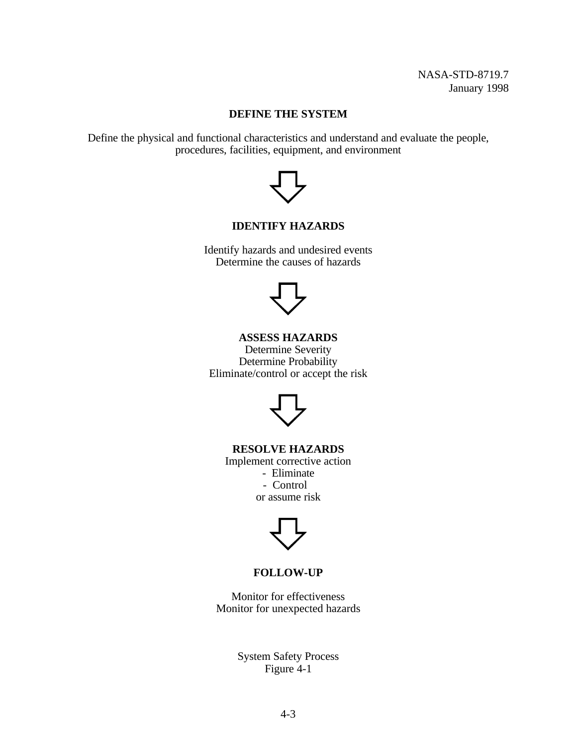### **DEFINE THE SYSTEM**

Define the physical and functional characteristics and understand and evaluate the people, procedures, facilities, equipment, and environment



### **IDENTIFY HAZARDS**

Identify hazards and undesired events Determine the causes of hazards



**ASSESS HAZARDS** Determine Severity Determine Probability Eliminate/control or accept the risk



**RESOLVE HAZARDS**

Implement corrective action - Eliminate - Control

or assume risk



### **FOLLOW-UP**

Monitor for effectiveness Monitor for unexpected hazards

> System Safety Process Figure 4-1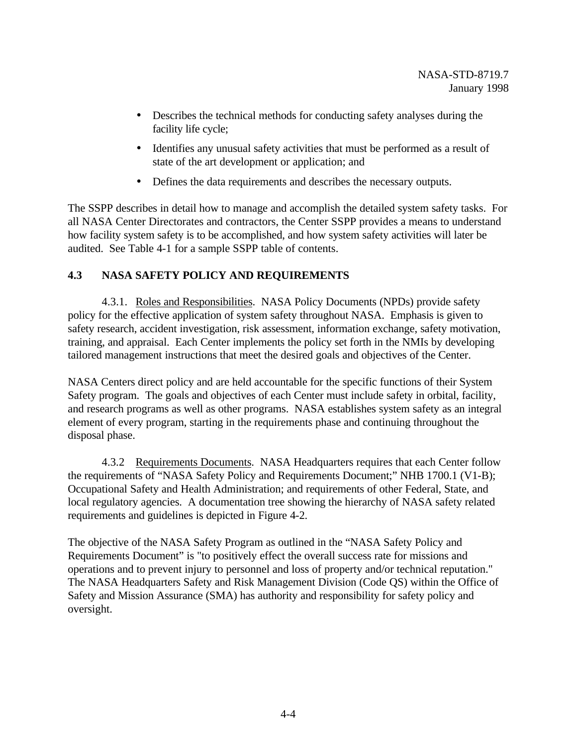- Describes the technical methods for conducting safety analyses during the facility life cycle;
- Identifies any unusual safety activities that must be performed as a result of state of the art development or application; and
- Defines the data requirements and describes the necessary outputs.

The SSPP describes in detail how to manage and accomplish the detailed system safety tasks. For all NASA Center Directorates and contractors, the Center SSPP provides a means to understand how facility system safety is to be accomplished, and how system safety activities will later be audited. See Table 4-1 for a sample SSPP table of contents.

### **4.3 NASA SAFETY POLICY AND REQUIREMENTS**

4.3.1. Roles and Responsibilities. NASA Policy Documents (NPDs) provide safety policy for the effective application of system safety throughout NASA. Emphasis is given to safety research, accident investigation, risk assessment, information exchange, safety motivation, training, and appraisal. Each Center implements the policy set forth in the NMIs by developing tailored management instructions that meet the desired goals and objectives of the Center.

NASA Centers direct policy and are held accountable for the specific functions of their System Safety program. The goals and objectives of each Center must include safety in orbital, facility, and research programs as well as other programs. NASA establishes system safety as an integral element of every program, starting in the requirements phase and continuing throughout the disposal phase.

4.3.2 Requirements Documents. NASA Headquarters requires that each Center follow the requirements of "NASA Safety Policy and Requirements Document;" NHB 1700.1 (V1-B); Occupational Safety and Health Administration; and requirements of other Federal, State, and local regulatory agencies. A documentation tree showing the hierarchy of NASA safety related requirements and guidelines is depicted in Figure 4-2.

The objective of the NASA Safety Program as outlined in the "NASA Safety Policy and Requirements Document" is "to positively effect the overall success rate for missions and operations and to prevent injury to personnel and loss of property and/or technical reputation." The NASA Headquarters Safety and Risk Management Division (Code QS) within the Office of Safety and Mission Assurance (SMA) has authority and responsibility for safety policy and oversight.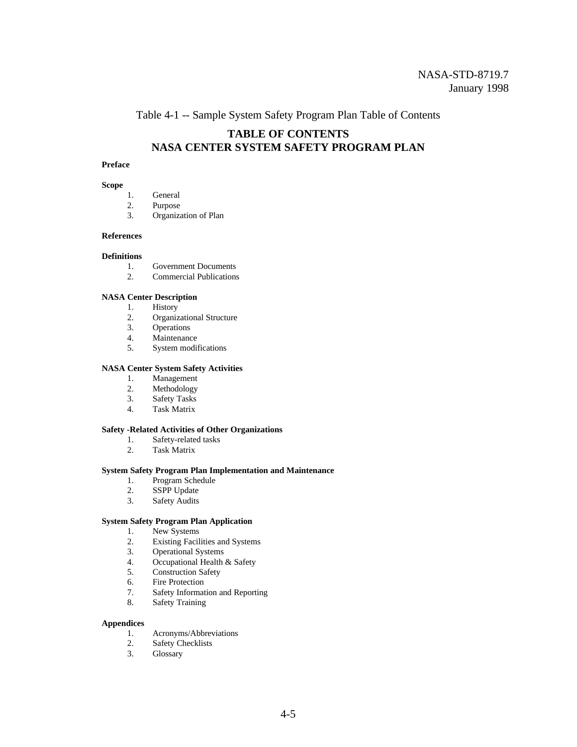Table 4-1 -- Sample System Safety Program Plan Table of Contents

### **TABLE OF CONTENTS NASA CENTER SYSTEM SAFETY PROGRAM PLAN**

#### **Preface**

#### **Scope**

- 1. General
- 2. Purpose
- 3. Organization of Plan

#### **References**

#### **Definitions**

- 1. Government Documents
- 2. Commercial Publications

#### **NASA Center Description**

- 1. History<br>2. Organiz
- 2. Organizational Structure<br>3. Operations
- **Operations**
- 4. Maintenance
- 5. System modifications

#### **NASA Center System Safety Activities**

- 1. Management
- 2. Methodology<br>3. Safety Tasks
- Safety Tasks
- 4. Task Matrix

#### **Safety -Related Activities of Other Organizations**

- 1. Safety-related tasks<br>2. Task Matrix
- Task Matrix

#### **System Safety Program Plan Implementation and Maintenance**

- 1. Program Schedule
- 2. SSPP Update
- 3. Safety Audits

#### **System Safety Program Plan Application**

- 1. New Systems
- 2. Existing Facilities and Systems<br>3. Operational Systems
- 3. Operational Systems<br>4. Occupational Health
- 4. Occupational Health & Safety<br>5. Construction Safety
- Construction Safety
- 6. Fire Protection
- 7. Safety Information and Reporting
- 8. Safety Training

#### **Appendices**

- 1. Acronyms/Abbreviations
- 2. Safety Checklists<br>3. Glossary
- Glossary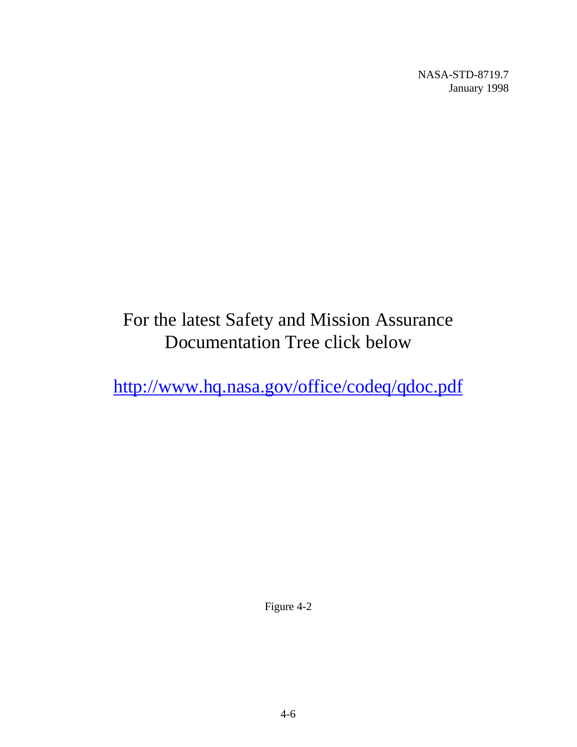# For the latest Safety and Mission Assurance Documentation Tree click below

<http://www.hq.nasa.gov/office/codeq/qdoc.pdf>

Figure 4-2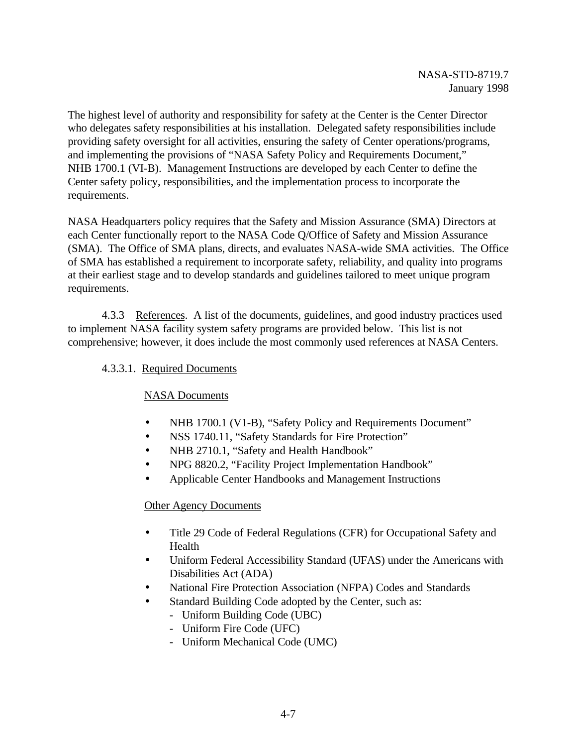The highest level of authority and responsibility for safety at the Center is the Center Director who delegates safety responsibilities at his installation. Delegated safety responsibilities include providing safety oversight for all activities, ensuring the safety of Center operations/programs, and implementing the provisions of "NASA Safety Policy and Requirements Document," NHB 1700.1 (VI-B). Management Instructions are developed by each Center to define the Center safety policy, responsibilities, and the implementation process to incorporate the requirements.

NASA Headquarters policy requires that the Safety and Mission Assurance (SMA) Directors at each Center functionally report to the NASA Code Q/Office of Safety and Mission Assurance (SMA). The Office of SMA plans, directs, and evaluates NASA-wide SMA activities. The Office of SMA has established a requirement to incorporate safety, reliability, and quality into programs at their earliest stage and to develop standards and guidelines tailored to meet unique program requirements.

4.3.3 References. A list of the documents, guidelines, and good industry practices used to implement NASA facility system safety programs are provided below. This list is not comprehensive; however, it does include the most commonly used references at NASA Centers.

### 4.3.3.1. Required Documents

### NASA Documents

- NHB 1700.1 (V1-B), "Safety Policy and Requirements Document"
- NSS 1740.11, "Safety Standards for Fire Protection"
- NHB 2710.1, "Safety and Health Handbook"
- NPG 8820.2, "Facility Project Implementation Handbook"
- Applicable Center Handbooks and Management Instructions

### Other Agency Documents

- Title 29 Code of Federal Regulations (CFR) for Occupational Safety and Health
- Uniform Federal Accessibility Standard (UFAS) under the Americans with Disabilities Act (ADA)
- National Fire Protection Association (NFPA) Codes and Standards
- Standard Building Code adopted by the Center, such as:
	- Uniform Building Code (UBC)
	- Uniform Fire Code (UFC)
	- Uniform Mechanical Code (UMC)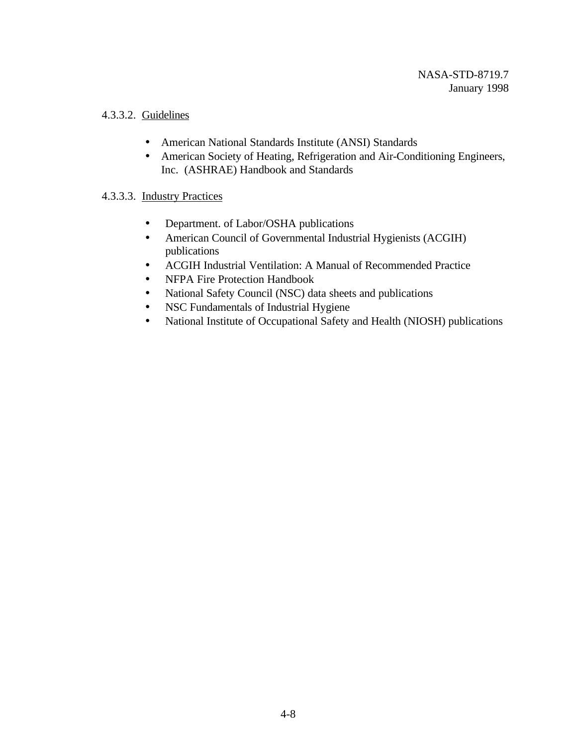### 4.3.3.2. Guidelines

- American National Standards Institute (ANSI) Standards
- American Society of Heating, Refrigeration and Air-Conditioning Engineers, Inc. (ASHRAE) Handbook and Standards

### 4.3.3.3.Industry Practices

- Department. of Labor/OSHA publications
- American Council of Governmental Industrial Hygienists (ACGIH) publications
- ACGIH Industrial Ventilation: A Manual of Recommended Practice
- NFPA Fire Protection Handbook
- National Safety Council (NSC) data sheets and publications
- NSC Fundamentals of Industrial Hygiene
- National Institute of Occupational Safety and Health (NIOSH) publications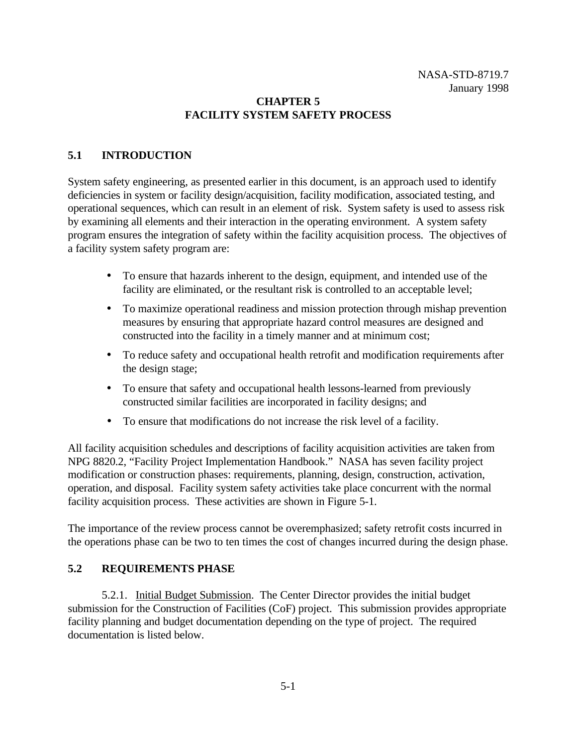### **CHAPTER 5 FACILITY SYSTEM SAFETY PROCESS**

### **5.1 INTRODUCTION**

System safety engineering, as presented earlier in this document, is an approach used to identify deficiencies in system or facility design/acquisition, facility modification, associated testing, and operational sequences, which can result in an element of risk. System safety is used to assess risk by examining all elements and their interaction in the operating environment. A system safety program ensures the integration of safety within the facility acquisition process. The objectives of a facility system safety program are:

- To ensure that hazards inherent to the design, equipment, and intended use of the facility are eliminated, or the resultant risk is controlled to an acceptable level;
- To maximize operational readiness and mission protection through mishap prevention measures by ensuring that appropriate hazard control measures are designed and constructed into the facility in a timely manner and at minimum cost;
- To reduce safety and occupational health retrofit and modification requirements after the design stage;
- To ensure that safety and occupational health lessons-learned from previously constructed similar facilities are incorporated in facility designs; and
- To ensure that modifications do not increase the risk level of a facility.

All facility acquisition schedules and descriptions of facility acquisition activities are taken from NPG 8820.2, "Facility Project Implementation Handbook." NASA has seven facility project modification or construction phases: requirements, planning, design, construction, activation, operation, and disposal. Facility system safety activities take place concurrent with the normal facility acquisition process. These activities are shown in Figure 5-1.

The importance of the review process cannot be overemphasized; safety retrofit costs incurred in the operations phase can be two to ten times the cost of changes incurred during the design phase.

### **5.2 REQUIREMENTS PHASE**

5.2.1. Initial Budget Submission. The Center Director provides the initial budget submission for the Construction of Facilities (CoF) project. This submission provides appropriate facility planning and budget documentation depending on the type of project. The required documentation is listed below.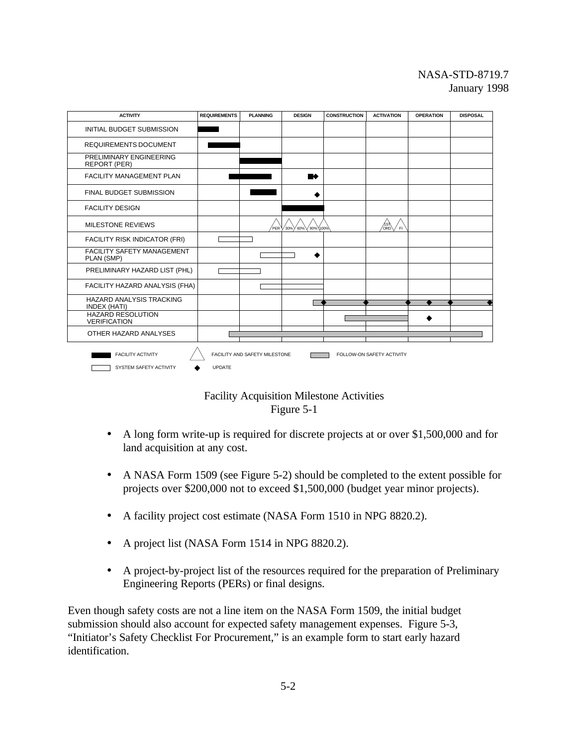



- A long form write-up is required for discrete projects at or over \$1,500,000 and for land acquisition at any cost.
- A NASA Form 1509 (see Figure 5-2) should be completed to the extent possible for projects over \$200,000 not to exceed \$1,500,000 (budget year minor projects).
- A facility project cost estimate (NASA Form 1510 in NPG 8820.2).
- A project list (NASA Form 1514 in NPG 8820.2).
- A project-by-project list of the resources required for the preparation of Preliminary Engineering Reports (PERs) or final designs.

Even though safety costs are not a line item on the NASA Form 1509, the initial budget submission should also account for expected safety management expenses. Figure 5-3, "Initiator's Safety Checklist For Procurement," is an example form to start early hazard identification.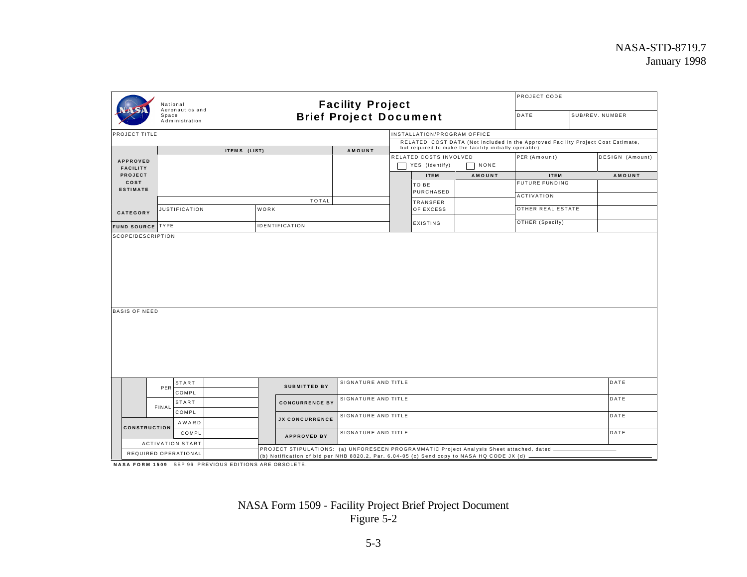|                            | <b>Facility Project</b><br>National<br>Aeronautics and<br><b>Brief Project Document</b><br>Space<br>Administration |                       |                                                                                                                                                                                           |  |                             | PROJECT CODE<br>DATE<br>SUB/REV. NUMBER               |                                                                                 |  |                 |
|----------------------------|--------------------------------------------------------------------------------------------------------------------|-----------------------|-------------------------------------------------------------------------------------------------------------------------------------------------------------------------------------------|--|-----------------------------|-------------------------------------------------------|---------------------------------------------------------------------------------|--|-----------------|
| PROJECT TITLE              |                                                                                                                    |                       |                                                                                                                                                                                           |  | INSTALLATION/PROGRAM OFFICE |                                                       |                                                                                 |  |                 |
|                            |                                                                                                                    |                       |                                                                                                                                                                                           |  |                             |                                                       | RELATED COST DATA (Not included in the Approved Facility Project Cost Estimate, |  |                 |
|                            |                                                                                                                    | ITEMS (LIST)          | AMOUNT                                                                                                                                                                                    |  | RELATED COSTS INVOLVED      | but required to make the facility initially operable) | PER (Amount)                                                                    |  | DESIGN (Amount) |
| <b>APPROVED</b>            |                                                                                                                    |                       |                                                                                                                                                                                           |  | YES (Identify)              | NONE                                                  |                                                                                 |  |                 |
| <b>FACILITY</b><br>PROJECT |                                                                                                                    |                       |                                                                                                                                                                                           |  | <b>ITEM</b>                 | AMOUNT                                                | <b>ITEM</b>                                                                     |  | AMOUNT          |
| COST                       |                                                                                                                    |                       |                                                                                                                                                                                           |  | TO BE                       |                                                       | <b>FUTURE FUNDING</b>                                                           |  |                 |
| <b>ESTIMATE</b>            |                                                                                                                    |                       |                                                                                                                                                                                           |  | PURCHASED                   |                                                       |                                                                                 |  |                 |
|                            |                                                                                                                    |                       | <b>TOTAL</b>                                                                                                                                                                              |  | <b>TRANSFER</b>             |                                                       | ACTIVATION                                                                      |  |                 |
| CATEGORY                   | <b>JUSTIFICATION</b>                                                                                               | WORK                  |                                                                                                                                                                                           |  | OF EXCESS                   |                                                       | OTHER REAL ESTATE                                                               |  |                 |
|                            |                                                                                                                    |                       |                                                                                                                                                                                           |  | EXISTING                    |                                                       | OTHER (Specify)                                                                 |  |                 |
| FUND SOURCE TYPE           |                                                                                                                    | <b>IDENTIFICATION</b> |                                                                                                                                                                                           |  |                             |                                                       |                                                                                 |  |                 |
| <b>BASIS OF NEED</b>       |                                                                                                                    |                       |                                                                                                                                                                                           |  |                             |                                                       |                                                                                 |  |                 |
|                            | <b>START</b>                                                                                                       | <b>SUBMITTED BY</b>   | SIGNATURE AND TITLE                                                                                                                                                                       |  |                             |                                                       |                                                                                 |  | DATE            |
|                            | PER<br>COMPL                                                                                                       |                       |                                                                                                                                                                                           |  |                             |                                                       |                                                                                 |  |                 |
|                            | START                                                                                                              | <b>CONCURRENCE BY</b> | SIGNATURE AND TITLE                                                                                                                                                                       |  |                             |                                                       |                                                                                 |  | DATE            |
|                            | FINAL<br>COMPL                                                                                                     |                       | SIGNATURE AND TITLE                                                                                                                                                                       |  |                             |                                                       |                                                                                 |  | DATE            |
|                            | AWARD                                                                                                              | <b>JX CONCURRENCE</b> |                                                                                                                                                                                           |  |                             |                                                       |                                                                                 |  |                 |
| <b>CONSTRUCTION</b>        | COMPL                                                                                                              | <b>APPROVED BY</b>    | SIGNATURE AND TITLE                                                                                                                                                                       |  |                             |                                                       |                                                                                 |  | DATE            |
|                            | <b>ACTIVATION START</b>                                                                                            |                       |                                                                                                                                                                                           |  |                             |                                                       |                                                                                 |  |                 |
|                            | REQUIRED OPERATIONAL                                                                                               |                       | PROJECT STIPULATIONS: (a) UNFORESEEN PROGRAMMATIC Project Analysis Sheet attached, dated _<br>(b) Notification of bid per NHB 8820.2, Par. 6.04-05 (c) Send copy to NASA HQ CODE JX (d) - |  |                             |                                                       |                                                                                 |  |                 |

**NASA FORM 1509** SEP 96 PREVIOUS EDITIONS ARE OBSOLETE.

NASA Form 1509 - Facility Project Brief Project Document Figure 5-2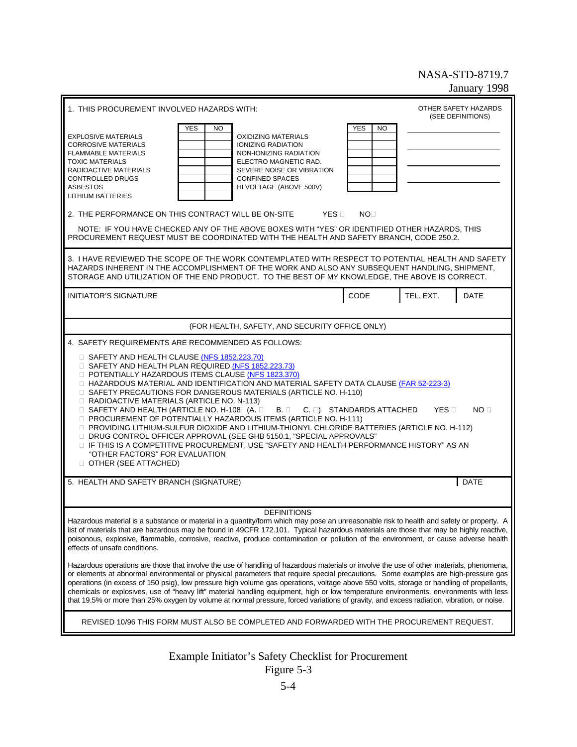| 1. THIS PROCUREMENT INVOLVED HAZARDS WITH:                                                                                                                                                                                                                                                                                                                                                                                                                                                                                                                                                                                                                                                                                                                                                                                                                                                                                                                                                                                                                                                                                                                                                              |                               | OTHER SAFETY HAZARDS             |  |  |  |
|---------------------------------------------------------------------------------------------------------------------------------------------------------------------------------------------------------------------------------------------------------------------------------------------------------------------------------------------------------------------------------------------------------------------------------------------------------------------------------------------------------------------------------------------------------------------------------------------------------------------------------------------------------------------------------------------------------------------------------------------------------------------------------------------------------------------------------------------------------------------------------------------------------------------------------------------------------------------------------------------------------------------------------------------------------------------------------------------------------------------------------------------------------------------------------------------------------|-------------------------------|----------------------------------|--|--|--|
| <b>YES</b><br>NO.<br><b>EXPLOSIVE MATERIALS</b><br><b>OXIDIZING MATERIALS</b><br><b>CORROSIVE MATERIALS</b><br><b>IONIZING RADIATION</b><br><b>FLAMMABLE MATERIALS</b><br>NON-IONIZING RADIATION<br><b>TOXIC MATERIALS</b><br>ELECTRO MAGNETIC RAD.<br>RADIOACTIVE MATERIALS<br>SEVERE NOISE OR VIBRATION<br>CONTROLLED DRUGS<br><b>CONFINED SPACES</b><br><b>ASBESTOS</b><br>HI VOLTAGE (ABOVE 500V)<br><b>LITHIUM BATTERIES</b><br>2. THE PERFORMANCE ON THIS CONTRACT WILL BE ON-SITE<br><b>YES</b><br>NOTE: IF YOU HAVE CHECKED ANY OF THE ABOVE BOXES WITH "YES" OR IDENTIFIED OTHER HAZARDS, THIS<br>PROCUREMENT REQUEST MUST BE COORDINATED WITH THE HEALTH AND SAFETY BRANCH, CODE 250.2.                                                                                                                                                                                                                                                                                                                                                                                                                                                                                                       | <b>YES</b><br>NO<br><b>NO</b> | (SEE DEFINITIONS)                |  |  |  |
| 3. I HAVE REVIEWED THE SCOPE OF THE WORK CONTEMPLATED WITH RESPECT TO POTENTIAL HEALTH AND SAFETY<br>HAZARDS INHERENT IN THE ACCOMPLISHMENT OF THE WORK AND ALSO ANY SUBSEQUENT HANDLING, SHIPMENT,<br>STORAGE AND UTILIZATION OF THE END PRODUCT. TO THE BEST OF MY KNOWLEDGE, THE ABOVE IS CORRECT.                                                                                                                                                                                                                                                                                                                                                                                                                                                                                                                                                                                                                                                                                                                                                                                                                                                                                                   |                               |                                  |  |  |  |
| <b>INITIATOR'S SIGNATURE</b>                                                                                                                                                                                                                                                                                                                                                                                                                                                                                                                                                                                                                                                                                                                                                                                                                                                                                                                                                                                                                                                                                                                                                                            | CODE                          | TEL. EXT.<br><b>DATE</b>         |  |  |  |
| (FOR HEALTH, SAFETY, AND SECURITY OFFICE ONLY)                                                                                                                                                                                                                                                                                                                                                                                                                                                                                                                                                                                                                                                                                                                                                                                                                                                                                                                                                                                                                                                                                                                                                          |                               |                                  |  |  |  |
| 4. SAFETY REQUIREMENTS ARE RECOMMENDED AS FOLLOWS:<br>SAFETY AND HEALTH CLAUSE (NFS 1852.223.70)<br>SAFETY AND HEALTH PLAN REQUIRED (NFS 1852.223.73)<br>POTENTIALLY HAZARDOUS ITEMS CLAUSE (NFS 1823.370)<br>HAZARDOUS MATERIAL AND IDENTIFICATION AND MATERIAL SAFETY DATA CLAUSE (FAR 52-223-3)<br>SAFETY PRECAUTIONS FOR DANGEROUS MATERIALS (ARTICLE NO. H-110)<br>RADIOACTIVE MATERIALS (ARTICLE NO. N-113)<br>SAFETY AND HEALTH (ARTICLE NO. H-108 (A.<br>В.<br>PROCUREMENT OF POTENTIALLY HAZARDOUS ITEMS (ARTICLE NO. H-111)<br>PROVIDING LITHIUM-SULFUR DIOXIDE AND LITHIUM-THIONYL CHLORIDE BATTERIES (ARTICLE NO. H-112)<br>DRUG CONTROL OFFICER APPROVAL (SEE GHB 5150.1, "SPECIAL APPROVALS"<br>IF THIS IS A COMPETITIVE PROCUREMENT, USE "SAFETY AND HEALTH PERFORMANCE HISTORY" AS AN<br>"OTHER FACTORS" FOR EVALUATION<br>OTHER (SEE ATTACHED)<br>5. HEALTH AND SAFETY BRANCH (SIGNATURE)                                                                                                                                                                                                                                                                                              | C. ) STANDARDS ATTACHED       | <b>YES</b><br>NO.<br><b>DATE</b> |  |  |  |
|                                                                                                                                                                                                                                                                                                                                                                                                                                                                                                                                                                                                                                                                                                                                                                                                                                                                                                                                                                                                                                                                                                                                                                                                         |                               |                                  |  |  |  |
| <b>DEFINITIONS</b><br>Hazardous material is a substance or material in a quantity/form which may pose an unreasonable risk to health and safety or property. A<br>list of materials that are hazardous may be found in 49CFR 172.101. Typical hazardous materials are those that may be highly reactive,<br>poisonous, explosive, flammable, corrosive, reactive, produce contamination or pollution of the environment, or cause adverse health<br>effects of unsafe conditions.<br>Hazardous operations are those that involve the use of handling of hazardous materials or involve the use of other materials, phenomena,<br>or elements at abnormal environmental or physical parameters that require special precautions. Some examples are high-pressure gas<br>operations (in excess of 150 psig), low pressure high volume gas operations, voltage above 550 volts, storage or handling of propellants,<br>chemicals or explosives, use of "heavy lift" material handling equipment, high or low temperature environments, environments with less<br>that 19.5% or more than 25% oxygen by volume at normal pressure, forced variations of gravity, and excess radiation, vibration, or noise. |                               |                                  |  |  |  |
| REVISED 10/96 THIS FORM MUST ALSO BE COMPLETED AND FORWARDED WITH THE PROCUREMENT REQUEST.                                                                                                                                                                                                                                                                                                                                                                                                                                                                                                                                                                                                                                                                                                                                                                                                                                                                                                                                                                                                                                                                                                              |                               |                                  |  |  |  |
|                                                                                                                                                                                                                                                                                                                                                                                                                                                                                                                                                                                                                                                                                                                                                                                                                                                                                                                                                                                                                                                                                                                                                                                                         |                               |                                  |  |  |  |

Example Initiator's Safety Checklist for Procurement Figure 5-3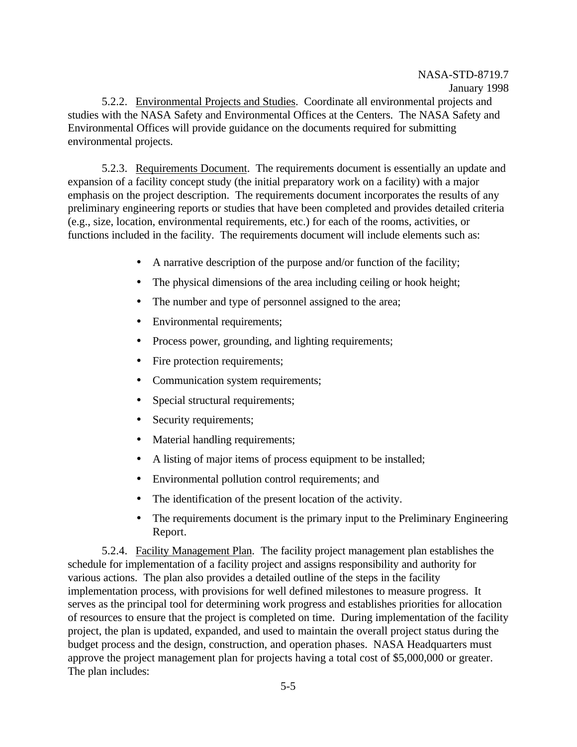5.2.2. Environmental Projects and Studies. Coordinate all environmental projects and studies with the NASA Safety and Environmental Offices at the Centers. The NASA Safety and Environmental Offices will provide guidance on the documents required for submitting environmental projects.

5.2.3. Requirements Document. The requirements document is essentially an update and expansion of a facility concept study (the initial preparatory work on a facility) with a major emphasis on the project description. The requirements document incorporates the results of any preliminary engineering reports or studies that have been completed and provides detailed criteria (e.g., size, location, environmental requirements, etc.) for each of the rooms, activities, or functions included in the facility. The requirements document will include elements such as:

- A narrative description of the purpose and/or function of the facility;
- The physical dimensions of the area including ceiling or hook height;
- The number and type of personnel assigned to the area;
- Environmental requirements;
- Process power, grounding, and lighting requirements;
- Fire protection requirements;
- Communication system requirements;
- Special structural requirements;
- Security requirements;
- Material handling requirements;
- A listing of major items of process equipment to be installed;
- Environmental pollution control requirements; and
- The identification of the present location of the activity.
- The requirements document is the primary input to the Preliminary Engineering Report.

5.2.4. Facility Management Plan. The facility project management plan establishes the schedule for implementation of a facility project and assigns responsibility and authority for various actions. The plan also provides a detailed outline of the steps in the facility implementation process, with provisions for well defined milestones to measure progress. It serves as the principal tool for determining work progress and establishes priorities for allocation of resources to ensure that the project is completed on time. During implementation of the facility project, the plan is updated, expanded, and used to maintain the overall project status during the budget process and the design, construction, and operation phases. NASA Headquarters must approve the project management plan for projects having a total cost of \$5,000,000 or greater. The plan includes: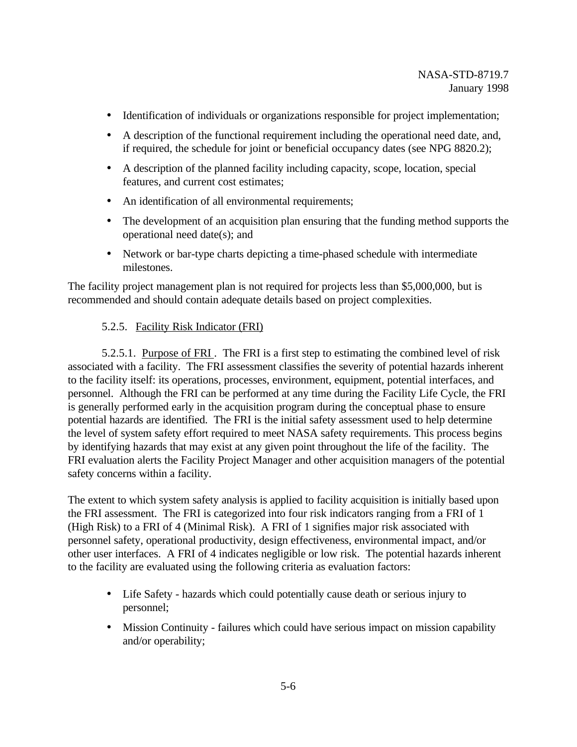- Identification of individuals or organizations responsible for project implementation;
- A description of the functional requirement including the operational need date, and, if required, the schedule for joint or beneficial occupancy dates (see NPG 8820.2);
- A description of the planned facility including capacity, scope, location, special features, and current cost estimates;
- An identification of all environmental requirements;
- The development of an acquisition plan ensuring that the funding method supports the operational need date(s); and
- Network or bar-type charts depicting a time-phased schedule with intermediate milestones.

The facility project management plan is not required for projects less than \$5,000,000, but is recommended and should contain adequate details based on project complexities.

### 5.2.5. Facility Risk Indicator (FRI)

5.2.5.1. Purpose of FRI . The FRI is a first step to estimating the combined level of risk associated with a facility. The FRI assessment classifies the severity of potential hazards inherent to the facility itself: its operations, processes, environment, equipment, potential interfaces, and personnel. Although the FRI can be performed at any time during the Facility Life Cycle, the FRI is generally performed early in the acquisition program during the conceptual phase to ensure potential hazards are identified. The FRI is the initial safety assessment used to help determine the level of system safety effort required to meet NASA safety requirements. This process begins by identifying hazards that may exist at any given point throughout the life of the facility. The FRI evaluation alerts the Facility Project Manager and other acquisition managers of the potential safety concerns within a facility.

The extent to which system safety analysis is applied to facility acquisition is initially based upon the FRI assessment. The FRI is categorized into four risk indicators ranging from a FRI of 1 (High Risk) to a FRI of 4 (Minimal Risk). A FRI of 1 signifies major risk associated with personnel safety, operational productivity, design effectiveness, environmental impact, and/or other user interfaces. A FRI of 4 indicates negligible or low risk. The potential hazards inherent to the facility are evaluated using the following criteria as evaluation factors:

- Life Safety hazards which could potentially cause death or serious injury to personnel;
- Mission Continuity failures which could have serious impact on mission capability and/or operability;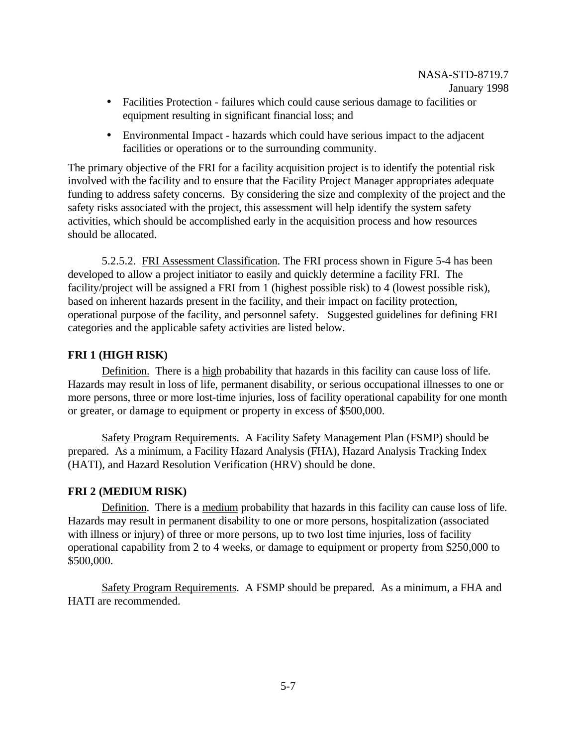- Facilities Protection failures which could cause serious damage to facilities or equipment resulting in significant financial loss; and
- Environmental Impact hazards which could have serious impact to the adjacent facilities or operations or to the surrounding community.

The primary objective of the FRI for a facility acquisition project is to identify the potential risk involved with the facility and to ensure that the Facility Project Manager appropriates adequate funding to address safety concerns. By considering the size and complexity of the project and the safety risks associated with the project, this assessment will help identify the system safety activities, which should be accomplished early in the acquisition process and how resources should be allocated.

5.2.5.2. FRI Assessment Classification. The FRI process shown in Figure 5-4 has been developed to allow a project initiator to easily and quickly determine a facility FRI. The facility/project will be assigned a FRI from 1 (highest possible risk) to 4 (lowest possible risk), based on inherent hazards present in the facility, and their impact on facility protection, operational purpose of the facility, and personnel safety. Suggested guidelines for defining FRI categories and the applicable safety activities are listed below.

### **FRI 1 (HIGH RISK)**

Definition. There is a high probability that hazards in this facility can cause loss of life. Hazards may result in loss of life, permanent disability, or serious occupational illnesses to one or more persons, three or more lost-time injuries, loss of facility operational capability for one month or greater, or damage to equipment or property in excess of \$500,000.

Safety Program Requirements. A Facility Safety Management Plan (FSMP) should be prepared. As a minimum, a Facility Hazard Analysis (FHA), Hazard Analysis Tracking Index (HATI), and Hazard Resolution Verification (HRV) should be done.

### **FRI 2 (MEDIUM RISK)**

Definition. There is a medium probability that hazards in this facility can cause loss of life. Hazards may result in permanent disability to one or more persons, hospitalization (associated with illness or injury) of three or more persons, up to two lost time injuries, loss of facility operational capability from 2 to 4 weeks, or damage to equipment or property from \$250,000 to \$500,000.

Safety Program Requirements. A FSMP should be prepared. As a minimum, a FHA and HATI are recommended.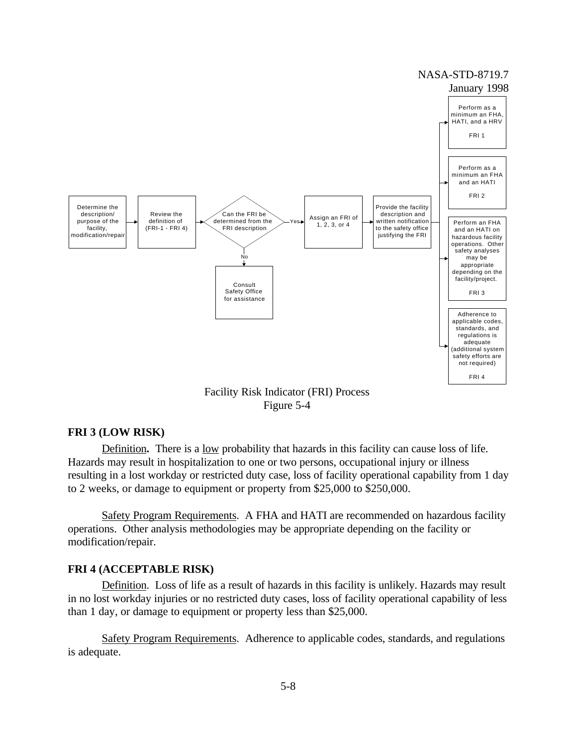

Figure 5-4

### **FRI 3 (LOW RISK)**

Definition**.** There is a low probability that hazards in this facility can cause loss of life. Hazards may result in hospitalization to one or two persons, occupational injury or illness resulting in a lost workday or restricted duty case, loss of facility operational capability from 1 day to 2 weeks, or damage to equipment or property from \$25,000 to \$250,000.

Safety Program Requirements. A FHA and HATI are recommended on hazardous facility operations. Other analysis methodologies may be appropriate depending on the facility or modification/repair.

### **FRI 4 (ACCEPTABLE RISK)**

Definition. Loss of life as a result of hazards in this facility is unlikely. Hazards may result in no lost workday injuries or no restricted duty cases, loss of facility operational capability of less than 1 day, or damage to equipment or property less than \$25,000.

Safety Program Requirements. Adherence to applicable codes, standards, and regulations is adequate.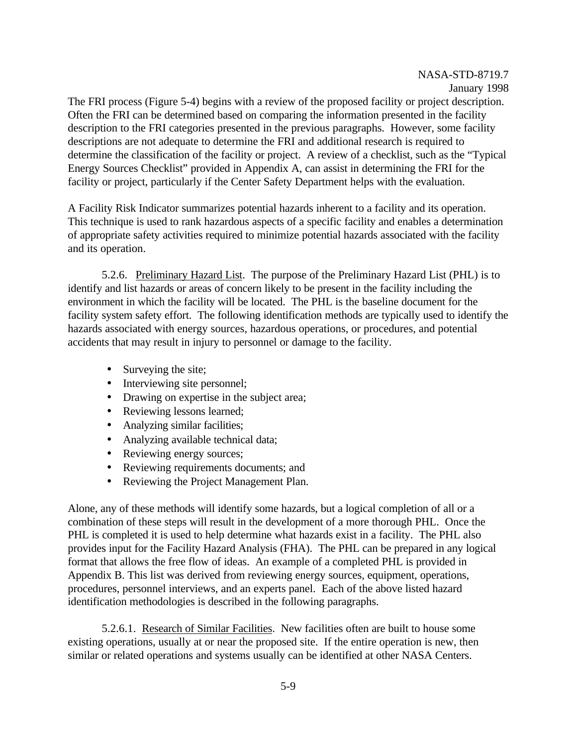The FRI process (Figure 5-4) begins with a review of the proposed facility or project description. Often the FRI can be determined based on comparing the information presented in the facility description to the FRI categories presented in the previous paragraphs. However, some facility descriptions are not adequate to determine the FRI and additional research is required to determine the classification of the facility or project. A review of a checklist, such as the "Typical Energy Sources Checklist" provided in Appendix A, can assist in determining the FRI for the facility or project, particularly if the Center Safety Department helps with the evaluation.

A Facility Risk Indicator summarizes potential hazards inherent to a facility and its operation. This technique is used to rank hazardous aspects of a specific facility and enables a determination of appropriate safety activities required to minimize potential hazards associated with the facility and its operation.

5.2.6. Preliminary Hazard List. The purpose of the Preliminary Hazard List (PHL) is to identify and list hazards or areas of concern likely to be present in the facility including the environment in which the facility will be located. The PHL is the baseline document for the facility system safety effort. The following identification methods are typically used to identify the hazards associated with energy sources, hazardous operations, or procedures, and potential accidents that may result in injury to personnel or damage to the facility.

- Surveying the site;
- Interviewing site personnel;
- Drawing on expertise in the subject area;
- Reviewing lessons learned;
- Analyzing similar facilities;
- Analyzing available technical data;
- Reviewing energy sources;
- Reviewing requirements documents; and
- Reviewing the Project Management Plan.

Alone, any of these methods will identify some hazards, but a logical completion of all or a combination of these steps will result in the development of a more thorough PHL. Once the PHL is completed it is used to help determine what hazards exist in a facility. The PHL also provides input for the Facility Hazard Analysis (FHA). The PHL can be prepared in any logical format that allows the free flow of ideas. An example of a completed PHL is provided in Appendix B. This list was derived from reviewing energy sources, equipment, operations, procedures, personnel interviews, and an experts panel. Each of the above listed hazard identification methodologies is described in the following paragraphs.

5.2.6.1. Research of Similar Facilities. New facilities often are built to house some existing operations, usually at or near the proposed site. If the entire operation is new, then similar or related operations and systems usually can be identified at other NASA Centers.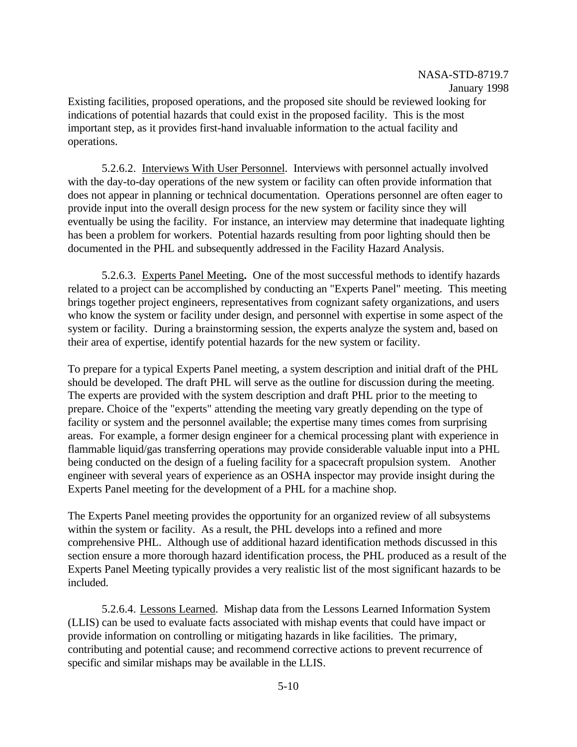Existing facilities, proposed operations, and the proposed site should be reviewed looking for indications of potential hazards that could exist in the proposed facility. This is the most important step, as it provides first-hand invaluable information to the actual facility and operations.

5.2.6.2. Interviews With User Personnel. Interviews with personnel actually involved with the day-to-day operations of the new system or facility can often provide information that does not appear in planning or technical documentation. Operations personnel are often eager to provide input into the overall design process for the new system or facility since they will eventually be using the facility. For instance, an interview may determine that inadequate lighting has been a problem for workers. Potential hazards resulting from poor lighting should then be documented in the PHL and subsequently addressed in the Facility Hazard Analysis.

5.2.6.3. Experts Panel Meeting**.** One of the most successful methods to identify hazards related to a project can be accomplished by conducting an "Experts Panel" meeting. This meeting brings together project engineers, representatives from cognizant safety organizations, and users who know the system or facility under design, and personnel with expertise in some aspect of the system or facility. During a brainstorming session, the experts analyze the system and, based on their area of expertise, identify potential hazards for the new system or facility.

To prepare for a typical Experts Panel meeting, a system description and initial draft of the PHL should be developed. The draft PHL will serve as the outline for discussion during the meeting. The experts are provided with the system description and draft PHL prior to the meeting to prepare. Choice of the "experts" attending the meeting vary greatly depending on the type of facility or system and the personnel available; the expertise many times comes from surprising areas. For example, a former design engineer for a chemical processing plant with experience in flammable liquid/gas transferring operations may provide considerable valuable input into a PHL being conducted on the design of a fueling facility for a spacecraft propulsion system. Another engineer with several years of experience as an OSHA inspector may provide insight during the Experts Panel meeting for the development of a PHL for a machine shop.

The Experts Panel meeting provides the opportunity for an organized review of all subsystems within the system or facility. As a result, the PHL develops into a refined and more comprehensive PHL. Although use of additional hazard identification methods discussed in this section ensure a more thorough hazard identification process, the PHL produced as a result of the Experts Panel Meeting typically provides a very realistic list of the most significant hazards to be included.

5.2.6.4. Lessons Learned. Mishap data from the Lessons Learned Information System (LLIS) can be used to evaluate facts associated with mishap events that could have impact or provide information on controlling or mitigating hazards in like facilities. The primary, contributing and potential cause; and recommend corrective actions to prevent recurrence of specific and similar mishaps may be available in the LLIS.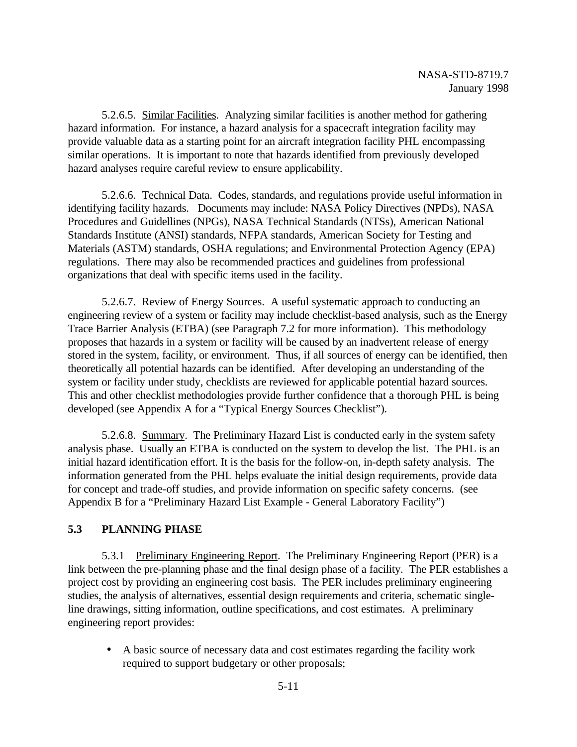5.2.6.5. Similar Facilities. Analyzing similar facilities is another method for gathering hazard information. For instance, a hazard analysis for a spacecraft integration facility may provide valuable data as a starting point for an aircraft integration facility PHL encompassing similar operations. It is important to note that hazards identified from previously developed hazard analyses require careful review to ensure applicability.

5.2.6.6. Technical Data. Codes, standards, and regulations provide useful information in identifying facility hazards. Documents may include: NASA Policy Directives (NPDs), NASA Procedures and Guidellines (NPGs), NASA Technical Standards (NTSs), American National Standards Institute (ANSI) standards, NFPA standards, American Society for Testing and Materials (ASTM) standards, OSHA regulations; and Environmental Protection Agency (EPA) regulations. There may also be recommended practices and guidelines from professional organizations that deal with specific items used in the facility.

5.2.6.7. Review of Energy Sources. A useful systematic approach to conducting an engineering review of a system or facility may include checklist-based analysis, such as the Energy Trace Barrier Analysis (ETBA) (see Paragraph 7.2 for more information). This methodology proposes that hazards in a system or facility will be caused by an inadvertent release of energy stored in the system, facility, or environment. Thus, if all sources of energy can be identified, then theoretically all potential hazards can be identified. After developing an understanding of the system or facility under study, checklists are reviewed for applicable potential hazard sources. This and other checklist methodologies provide further confidence that a thorough PHL is being developed (see Appendix A for a "Typical Energy Sources Checklist").

5.2.6.8. Summary. The Preliminary Hazard List is conducted early in the system safety analysis phase. Usually an ETBA is conducted on the system to develop the list. The PHL is an initial hazard identification effort. It is the basis for the follow-on, in-depth safety analysis. The information generated from the PHL helps evaluate the initial design requirements, provide data for concept and trade-off studies, and provide information on specific safety concerns. (see Appendix B for a "Preliminary Hazard List Example - General Laboratory Facility")

### **5.3 PLANNING PHASE**

5.3.1 Preliminary Engineering Report. The Preliminary Engineering Report (PER) is a link between the pre-planning phase and the final design phase of a facility. The PER establishes a project cost by providing an engineering cost basis. The PER includes preliminary engineering studies, the analysis of alternatives, essential design requirements and criteria, schematic singleline drawings, sitting information, outline specifications, and cost estimates. A preliminary engineering report provides:

• A basic source of necessary data and cost estimates regarding the facility work required to support budgetary or other proposals;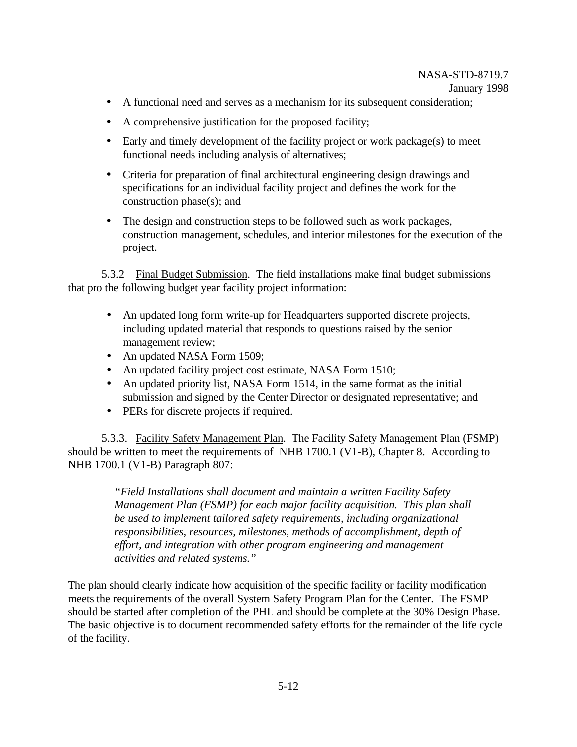- A functional need and serves as a mechanism for its subsequent consideration;
- A comprehensive justification for the proposed facility;
- Early and timely development of the facility project or work package(s) to meet functional needs including analysis of alternatives;
- Criteria for preparation of final architectural engineering design drawings and specifications for an individual facility project and defines the work for the construction phase(s); and
- The design and construction steps to be followed such as work packages, construction management, schedules, and interior milestones for the execution of the project.

5.3.2 Final Budget Submission. The field installations make final budget submissions that pro the following budget year facility project information:

- An updated long form write-up for Headquarters supported discrete projects, including updated material that responds to questions raised by the senior management review;
- An updated NASA Form 1509;
- An updated facility project cost estimate, NASA Form 1510;
- An updated priority list, NASA Form 1514, in the same format as the initial submission and signed by the Center Director or designated representative; and
- PERs for discrete projects if required.

5.3.3. Facility Safety Management Plan. The Facility Safety Management Plan (FSMP) should be written to meet the requirements of NHB 1700.1 (V1-B), Chapter 8. According to NHB 1700.1 (V1-B) Paragraph 807:

> *"Field Installations shall document and maintain a written Facility Safety Management Plan (FSMP) for each major facility acquisition. This plan shall be used to implement tailored safety requirements, including organizational responsibilities, resources, milestones, methods of accomplishment, depth of effort, and integration with other program engineering and management activities and related systems."*

The plan should clearly indicate how acquisition of the specific facility or facility modification meets the requirements of the overall System Safety Program Plan for the Center. The FSMP should be started after completion of the PHL and should be complete at the 30% Design Phase. The basic objective is to document recommended safety efforts for the remainder of the life cycle of the facility.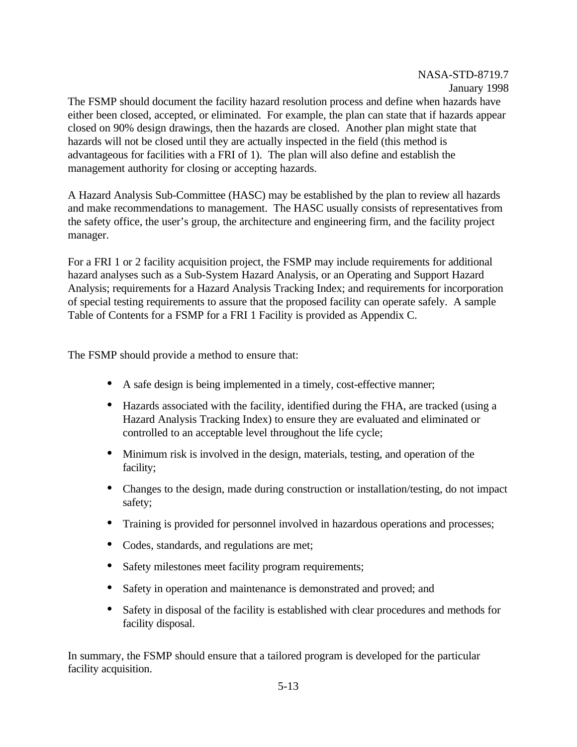The FSMP should document the facility hazard resolution process and define when hazards have either been closed, accepted, or eliminated. For example, the plan can state that if hazards appear closed on 90% design drawings, then the hazards are closed. Another plan might state that hazards will not be closed until they are actually inspected in the field (this method is advantageous for facilities with a FRI of 1). The plan will also define and establish the management authority for closing or accepting hazards.

A Hazard Analysis Sub-Committee (HASC) may be established by the plan to review all hazards and make recommendations to management. The HASC usually consists of representatives from the safety office, the user's group, the architecture and engineering firm, and the facility project manager.

For a FRI 1 or 2 facility acquisition project, the FSMP may include requirements for additional hazard analyses such as a Sub-System Hazard Analysis, or an Operating and Support Hazard Analysis; requirements for a Hazard Analysis Tracking Index; and requirements for incorporation of special testing requirements to assure that the proposed facility can operate safely. A sample Table of Contents for a FSMP for a FRI 1 Facility is provided as Appendix C.

The FSMP should provide a method to ensure that:

- A safe design is being implemented in a timely, cost-effective manner;
- Hazards associated with the facility, identified during the FHA, are tracked (using a Hazard Analysis Tracking Index) to ensure they are evaluated and eliminated or controlled to an acceptable level throughout the life cycle;
- Minimum risk is involved in the design, materials, testing, and operation of the facility;
- Changes to the design, made during construction or installation/testing, do not impact safety;
- Training is provided for personnel involved in hazardous operations and processes;
- Codes, standards, and regulations are met;
- Safety milestones meet facility program requirements;
- Safety in operation and maintenance is demonstrated and proved; and
- Safety in disposal of the facility is established with clear procedures and methods for facility disposal.

In summary, the FSMP should ensure that a tailored program is developed for the particular facility acquisition.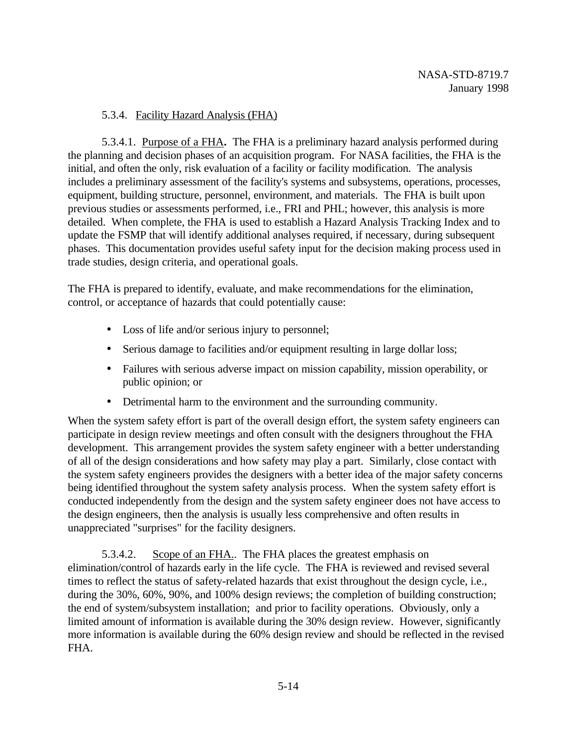### 5.3.4. Facility Hazard Analysis (FHA)

5.3.4.1. Purpose of a FHA**.** The FHA is a preliminary hazard analysis performed during the planning and decision phases of an acquisition program. For NASA facilities, the FHA is the initial, and often the only, risk evaluation of a facility or facility modification. The analysis includes a preliminary assessment of the facility's systems and subsystems, operations, processes, equipment, building structure, personnel, environment, and materials. The FHA is built upon previous studies or assessments performed, i.e., FRI and PHL; however, this analysis is more detailed. When complete, the FHA is used to establish a Hazard Analysis Tracking Index and to update the FSMP that will identify additional analyses required, if necessary, during subsequent phases. This documentation provides useful safety input for the decision making process used in trade studies, design criteria, and operational goals.

The FHA is prepared to identify, evaluate, and make recommendations for the elimination, control, or acceptance of hazards that could potentially cause:

- Loss of life and/or serious injury to personnel;
- Serious damage to facilities and/or equipment resulting in large dollar loss;
- Failures with serious adverse impact on mission capability, mission operability, or public opinion; or
- Detrimental harm to the environment and the surrounding community.

When the system safety effort is part of the overall design effort, the system safety engineers can participate in design review meetings and often consult with the designers throughout the FHA development. This arrangement provides the system safety engineer with a better understanding of all of the design considerations and how safety may play a part. Similarly, close contact with the system safety engineers provides the designers with a better idea of the major safety concerns being identified throughout the system safety analysis process. When the system safety effort is conducted independently from the design and the system safety engineer does not have access to the design engineers, then the analysis is usually less comprehensive and often results in unappreciated "surprises" for the facility designers.

5.3.4.2. Scope of an FHA.. The FHA places the greatest emphasis on elimination/control of hazards early in the life cycle. The FHA is reviewed and revised several times to reflect the status of safety-related hazards that exist throughout the design cycle, i.e., during the 30%, 60%, 90%, and 100% design reviews; the completion of building construction; the end of system/subsystem installation; and prior to facility operations. Obviously, only a limited amount of information is available during the 30% design review. However, significantly more information is available during the 60% design review and should be reflected in the revised FHA.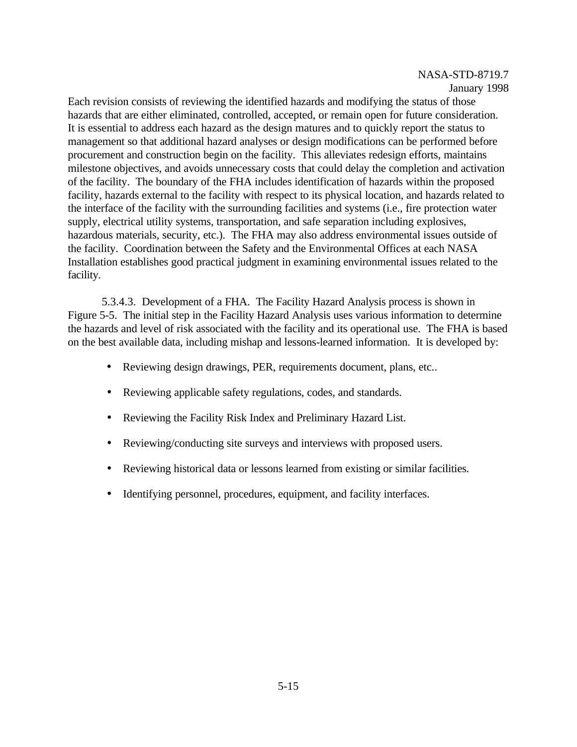Each revision consists of reviewing the identified hazards and modifying the status of those hazards that are either eliminated, controlled, accepted, or remain open for future consideration. It is essential to address each hazard as the design matures and to quickly report the status to management so that additional hazard analyses or design modifications can be performed before procurement and construction begin on the facility. This alleviates redesign efforts, maintains milestone objectives, and avoids unnecessary costs that could delay the completion and activation of the facility. The boundary of the FHA includes identification of hazards within the proposed facility, hazards external to the facility with respect to its physical location, and hazards related to the interface of the facility with the surrounding facilities and systems (i.e., fire protection water supply, electrical utility systems, transportation, and safe separation including explosives, hazardous materials, security, etc.). The FHA may also address environmental issues outside of the facility. Coordination between the Safety and the Environmental Offices at each NASA Installation establishes good practical judgment in examining environmental issues related to the facility.

5.3.4.3. Development of a FHA. The Facility Hazard Analysis process is shown in Figure 5-5. The initial step in the Facility Hazard Analysis uses various information to determine the hazards and level of risk associated with the facility and its operational use. The FHA is based on the best available data, including mishap and lessons-learned information. It is developed by:

- Reviewing design drawings, PER, requirements document, plans, etc...
- Reviewing applicable safety regulations, codes, and standards.
- Reviewing the Facility Risk Index and Preliminary Hazard List.
- Reviewing/conducting site surveys and interviews with proposed users.
- Reviewing historical data or lessons learned from existing or similar facilities.
- Identifying personnel, procedures, equipment, and facility interfaces.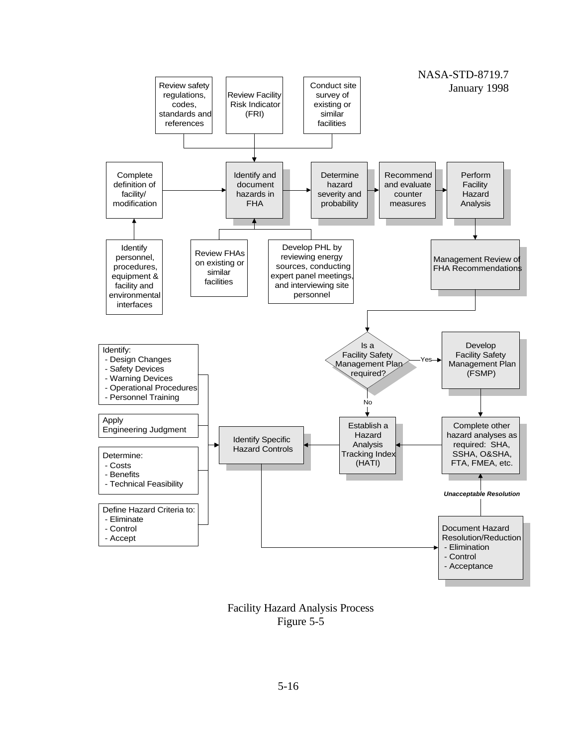

Facility Hazard Analysis Process Figure 5-5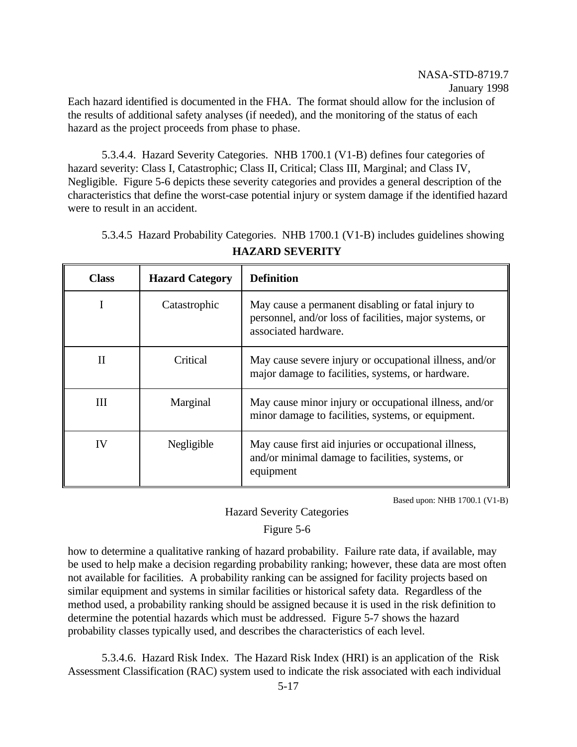Each hazard identified is documented in the FHA. The format should allow for the inclusion of the results of additional safety analyses (if needed), and the monitoring of the status of each hazard as the project proceeds from phase to phase.

5.3.4.4. Hazard Severity Categories. NHB 1700.1 (V1-B) defines four categories of hazard severity: Class I, Catastrophic; Class II, Critical; Class III, Marginal; and Class IV, Negligible. Figure 5-6 depicts these severity categories and provides a general description of the characteristics that define the worst-case potential injury or system damage if the identified hazard were to result in an accident.

| <b>Class</b> | <b>Hazard Category</b> | <b>Definition</b>                                                                                                                     |
|--------------|------------------------|---------------------------------------------------------------------------------------------------------------------------------------|
| I            | Catastrophic           | May cause a permanent disabling or fatal injury to<br>personnel, and/or loss of facilities, major systems, or<br>associated hardware. |
| $\mathbf{I}$ | Critical               | May cause severe injury or occupational illness, and/or<br>major damage to facilities, systems, or hardware.                          |
| Ш            | Marginal               | May cause minor injury or occupational illness, and/or<br>minor damage to facilities, systems, or equipment.                          |
| IV           | Negligible             | May cause first aid injuries or occupational illness,<br>and/or minimal damage to facilities, systems, or<br>equipment                |

5.3.4.5 Hazard Probability Categories. NHB 1700.1 (V1-B) includes guidelines showing **HAZARD SEVERITY**

Based upon: NHB 1700.1 (V1-B)

### Hazard Severity Categories

### Figure 5-6

how to determine a qualitative ranking of hazard probability. Failure rate data, if available, may be used to help make a decision regarding probability ranking; however, these data are most often not available for facilities. A probability ranking can be assigned for facility projects based on similar equipment and systems in similar facilities or historical safety data. Regardless of the method used, a probability ranking should be assigned because it is used in the risk definition to determine the potential hazards which must be addressed. Figure 5-7 shows the hazard probability classes typically used, and describes the characteristics of each level.

5.3.4.6. Hazard Risk Index. The Hazard Risk Index (HRI) is an application of the Risk Assessment Classification (RAC) system used to indicate the risk associated with each individual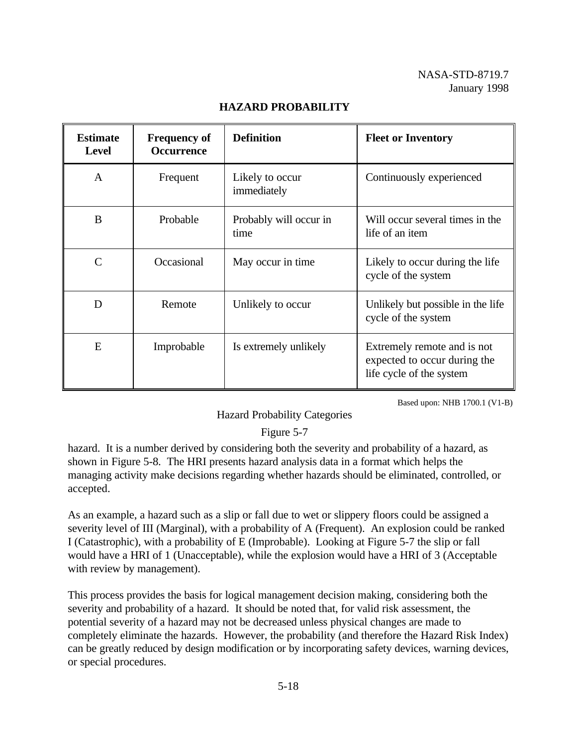| <b>Estimate</b><br><b>Level</b> | <b>Frequency of</b><br><b>Occurrence</b> | <b>Definition</b>              | <b>Fleet or Inventory</b>                                                               |
|---------------------------------|------------------------------------------|--------------------------------|-----------------------------------------------------------------------------------------|
| A                               | Frequent                                 | Likely to occur<br>immediately | Continuously experienced                                                                |
| B                               | Probable                                 | Probably will occur in<br>time | Will occur several times in the<br>life of an item                                      |
| C                               | Occasional                               | May occur in time.             | Likely to occur during the life<br>cycle of the system                                  |
| D                               | Remote                                   | Unlikely to occur              | Unlikely but possible in the life<br>cycle of the system                                |
| E                               | Improbable                               | Is extremely unlikely          | Extremely remote and is not<br>expected to occur during the<br>life cycle of the system |

### **HAZARD PROBABILITY**

Based upon: NHB 1700.1 (V1-B)

### Hazard Probability Categories

### Figure 5-7

hazard. It is a number derived by considering both the severity and probability of a hazard, as shown in Figure 5-8. The HRI presents hazard analysis data in a format which helps the managing activity make decisions regarding whether hazards should be eliminated, controlled, or accepted.

As an example, a hazard such as a slip or fall due to wet or slippery floors could be assigned a severity level of III (Marginal), with a probability of A (Frequent). An explosion could be ranked I (Catastrophic), with a probability of E (Improbable). Looking at Figure 5-7 the slip or fall would have a HRI of 1 (Unacceptable), while the explosion would have a HRI of 3 (Acceptable with review by management).

This process provides the basis for logical management decision making, considering both the severity and probability of a hazard. It should be noted that, for valid risk assessment, the potential severity of a hazard may not be decreased unless physical changes are made to completely eliminate the hazards. However, the probability (and therefore the Hazard Risk Index) can be greatly reduced by design modification or by incorporating safety devices, warning devices, or special procedures.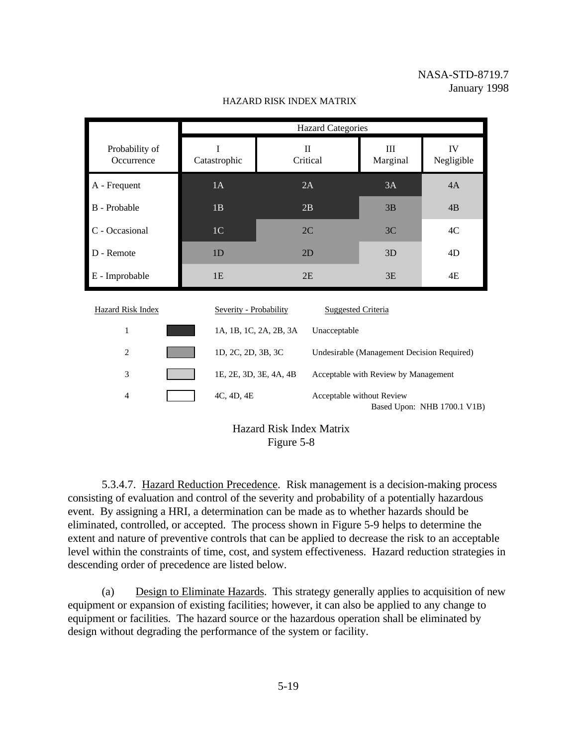|                              | <b>Hazard Categories</b>                                         |                                                                |                           |                             |  |
|------------------------------|------------------------------------------------------------------|----------------------------------------------------------------|---------------------------|-----------------------------|--|
| Probability of<br>Occurrence | I<br>Catastrophic                                                | $\mathbf{I}$<br>Critical                                       | III<br>Marginal           | IV<br>Negligible            |  |
| A - Frequent                 | 1A                                                               | 2A                                                             | 3A                        | 4A                          |  |
| B - Probable                 | 1B                                                               | 2B                                                             | 3B                        | 4B                          |  |
| C - Occasional               | 1 <sup>C</sup>                                                   | 2C                                                             | 3C                        | 4C                          |  |
| D - Remote                   | 1 <sub>D</sub>                                                   | 2D                                                             | 3D                        | 4D                          |  |
| E - Improbable               | 1E                                                               | 2E                                                             | 3E                        | 4E                          |  |
| <b>Hazard Risk Index</b>     | Severity - Probability                                           | <b>Suggested Criteria</b>                                      |                           |                             |  |
| $\mathbf{1}$                 |                                                                  | 1A, 1B, 1C, 2A, 2B, 3A<br>Unacceptable                         |                           |                             |  |
| $\overline{2}$               | 1D, 2C, 2D, 3B, 3C<br>Undesirable (Management Decision Required) |                                                                |                           |                             |  |
| 3                            |                                                                  | 1E, 2E, 3D, 3E, 4A, 4B<br>Acceptable with Review by Management |                           |                             |  |
| $\overline{4}$               | 4C, 4D, 4E                                                       |                                                                | Acceptable without Review | Based Upon: NHB 1700.1 V1B) |  |
|                              |                                                                  | <b>Hazard Risk Index Matrix</b>                                |                           |                             |  |

#### HAZARD RISK INDEX MATRIX

Hazard Risk Index Matrix Figure 5-8

5.3.4.7. Hazard Reduction Precedence. Risk management is a decision-making process consisting of evaluation and control of the severity and probability of a potentially hazardous event. By assigning a HRI, a determination can be made as to whether hazards should be eliminated, controlled, or accepted. The process shown in Figure 5-9 helps to determine the extent and nature of preventive controls that can be applied to decrease the risk to an acceptable level within the constraints of time, cost, and system effectiveness. Hazard reduction strategies in descending order of precedence are listed below.

(a) Design to Eliminate Hazards. This strategy generally applies to acquisition of new equipment or expansion of existing facilities; however, it can also be applied to any change to equipment or facilities. The hazard source or the hazardous operation shall be eliminated by design without degrading the performance of the system or facility.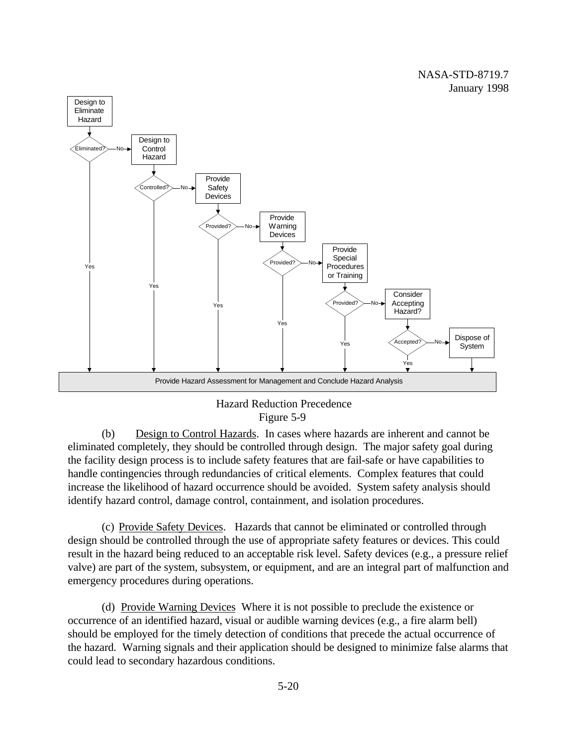## NASA-STD-8719.7 January 1998



## Hazard Reduction Precedence Figure 5-9

(b) Design to Control Hazards. In cases where hazards are inherent and cannot be eliminated completely, they should be controlled through design. The major safety goal during the facility design process is to include safety features that are fail-safe or have capabilities to handle contingencies through redundancies of critical elements. Complex features that could increase the likelihood of hazard occurrence should be avoided. System safety analysis should identify hazard control, damage control, containment, and isolation procedures.

(c) Provide Safety Devices. Hazards that cannot be eliminated or controlled through design should be controlled through the use of appropriate safety features or devices. This could result in the hazard being reduced to an acceptable risk level. Safety devices (e.g., a pressure relief valve) are part of the system, subsystem, or equipment, and are an integral part of malfunction and emergency procedures during operations.

(d) Provide Warning Devices Where it is not possible to preclude the existence or occurrence of an identified hazard, visual or audible warning devices (e.g., a fire alarm bell) should be employed for the timely detection of conditions that precede the actual occurrence of the hazard. Warning signals and their application should be designed to minimize false alarms that could lead to secondary hazardous conditions.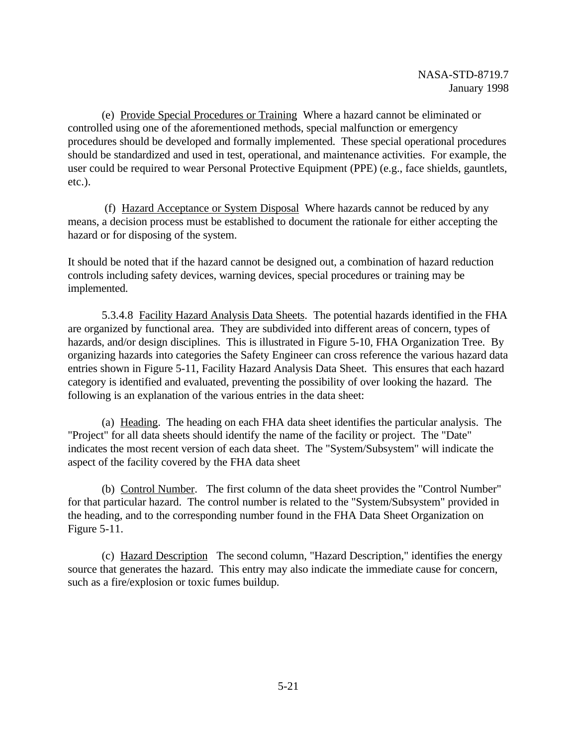(e) Provide Special Procedures or Training Where a hazard cannot be eliminated or controlled using one of the aforementioned methods, special malfunction or emergency procedures should be developed and formally implemented. These special operational procedures should be standardized and used in test, operational, and maintenance activities. For example, the user could be required to wear Personal Protective Equipment (PPE) (e.g., face shields, gauntlets, etc.).

 (f) Hazard Acceptance or System Disposal Where hazards cannot be reduced by any means, a decision process must be established to document the rationale for either accepting the hazard or for disposing of the system.

It should be noted that if the hazard cannot be designed out, a combination of hazard reduction controls including safety devices, warning devices, special procedures or training may be implemented.

5.3.4.8 Facility Hazard Analysis Data Sheets. The potential hazards identified in the FHA are organized by functional area. They are subdivided into different areas of concern, types of hazards, and/or design disciplines. This is illustrated in Figure 5-10, FHA Organization Tree. By organizing hazards into categories the Safety Engineer can cross reference the various hazard data entries shown in Figure 5-11, Facility Hazard Analysis Data Sheet. This ensures that each hazard category is identified and evaluated, preventing the possibility of over looking the hazard. The following is an explanation of the various entries in the data sheet:

(a) Heading. The heading on each FHA data sheet identifies the particular analysis. The "Project" for all data sheets should identify the name of the facility or project. The "Date" indicates the most recent version of each data sheet. The "System/Subsystem" will indicate the aspect of the facility covered by the FHA data sheet

(b) Control Number. The first column of the data sheet provides the "Control Number" for that particular hazard. The control number is related to the "System/Subsystem" provided in the heading, and to the corresponding number found in the FHA Data Sheet Organization on Figure 5-11.

(c) Hazard Description The second column, "Hazard Description," identifies the energy source that generates the hazard. This entry may also indicate the immediate cause for concern, such as a fire/explosion or toxic fumes buildup.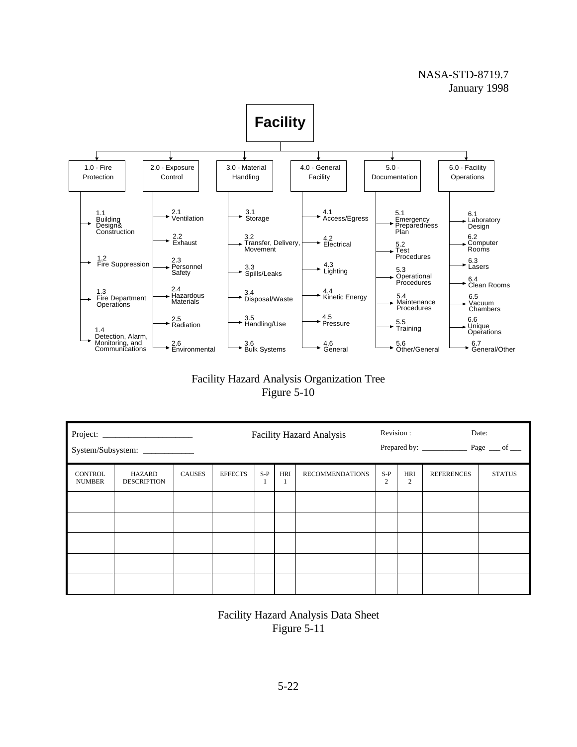### NASA-STD-8719.7 January 1998



# Facility Hazard Analysis Organization Tree Figure 5-10

| System/Subsystem: ____________  |                              |               |                | <b>Facility Hazard Analysis</b> |          |                        |                         |          |                   |               |
|---------------------------------|------------------------------|---------------|----------------|---------------------------------|----------|------------------------|-------------------------|----------|-------------------|---------------|
| <b>CONTROL</b><br><b>NUMBER</b> | HAZARD<br><b>DESCRIPTION</b> | <b>CAUSES</b> | <b>EFFECTS</b> | $S-P$                           | HRI<br>1 | <b>RECOMMENDATIONS</b> | $S-P$<br>$\overline{c}$ | HRI<br>2 | <b>REFERENCES</b> | <b>STATUS</b> |
|                                 |                              |               |                |                                 |          |                        |                         |          |                   |               |
|                                 |                              |               |                |                                 |          |                        |                         |          |                   |               |
|                                 |                              |               |                |                                 |          |                        |                         |          |                   |               |
|                                 |                              |               |                |                                 |          |                        |                         |          |                   |               |
|                                 |                              |               |                |                                 |          |                        |                         |          |                   |               |

Facility Hazard Analysis Data Sheet Figure 5-11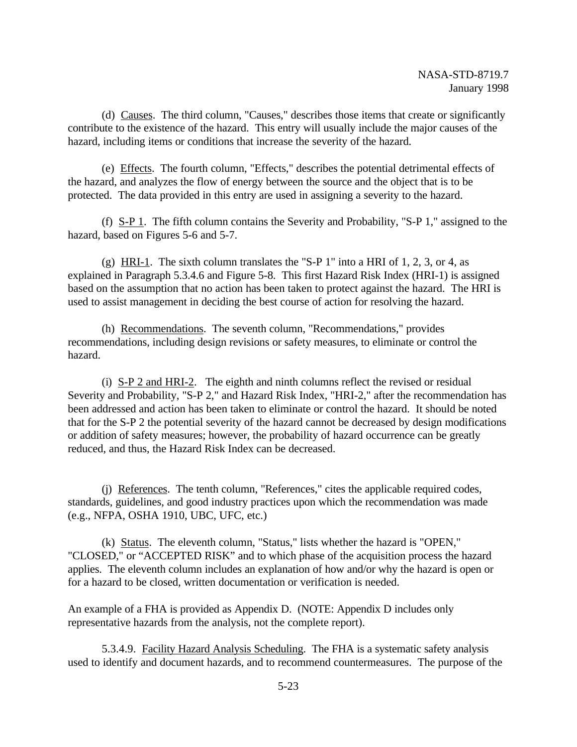(d) Causes. The third column, "Causes," describes those items that create or significantly contribute to the existence of the hazard. This entry will usually include the major causes of the hazard, including items or conditions that increase the severity of the hazard.

(e) Effects. The fourth column, "Effects," describes the potential detrimental effects of the hazard, and analyzes the flow of energy between the source and the object that is to be protected. The data provided in this entry are used in assigning a severity to the hazard.

(f)  $S-P$  1. The fifth column contains the Severity and Probability, "S-P 1," assigned to the hazard, based on Figures 5-6 and 5-7.

(g) HRI-1. The sixth column translates the "S-P 1" into a HRI of 1, 2, 3, or 4, as explained in Paragraph 5.3.4.6 and Figure 5-8. This first Hazard Risk Index (HRI-1) is assigned based on the assumption that no action has been taken to protect against the hazard. The HRI is used to assist management in deciding the best course of action for resolving the hazard.

(h) Recommendations. The seventh column, "Recommendations," provides recommendations, including design revisions or safety measures, to eliminate or control the hazard.

(i) S-P 2 and HRI-2. The eighth and ninth columns reflect the revised or residual Severity and Probability, "S-P 2," and Hazard Risk Index, "HRI-2," after the recommendation has been addressed and action has been taken to eliminate or control the hazard. It should be noted that for the S-P 2 the potential severity of the hazard cannot be decreased by design modifications or addition of safety measures; however, the probability of hazard occurrence can be greatly reduced, and thus, the Hazard Risk Index can be decreased.

(j) References. The tenth column, "References," cites the applicable required codes, standards, guidelines, and good industry practices upon which the recommendation was made (e.g., NFPA, OSHA 1910, UBC, UFC, etc.)

(k) Status. The eleventh column, "Status," lists whether the hazard is "OPEN," "CLOSED," or "ACCEPTED RISK" and to which phase of the acquisition process the hazard applies. The eleventh column includes an explanation of how and/or why the hazard is open or for a hazard to be closed, written documentation or verification is needed.

An example of a FHA is provided as Appendix D. (NOTE: Appendix D includes only representative hazards from the analysis, not the complete report).

5.3.4.9. Facility Hazard Analysis Scheduling. The FHA is a systematic safety analysis used to identify and document hazards, and to recommend countermeasures. The purpose of the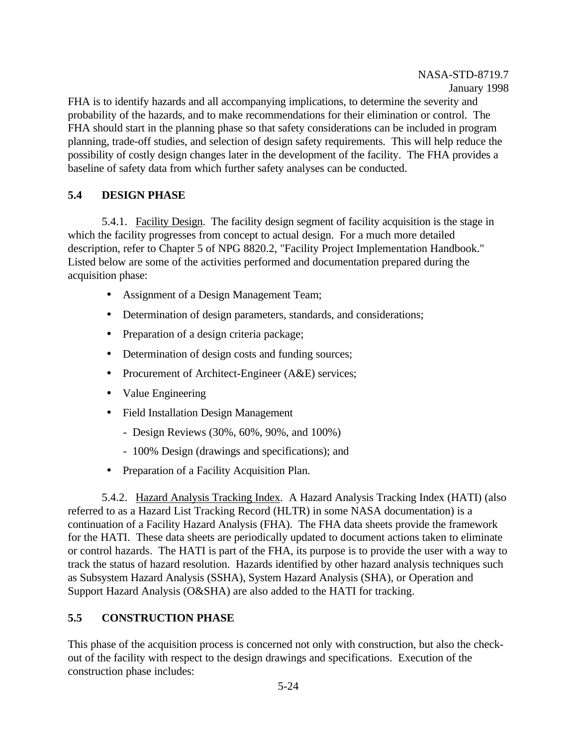FHA is to identify hazards and all accompanying implications, to determine the severity and probability of the hazards, and to make recommendations for their elimination or control. The FHA should start in the planning phase so that safety considerations can be included in program planning, trade-off studies, and selection of design safety requirements. This will help reduce the possibility of costly design changes later in the development of the facility. The FHA provides a baseline of safety data from which further safety analyses can be conducted.

# **5.4 DESIGN PHASE**

5.4.1. Facility Design. The facility design segment of facility acquisition is the stage in which the facility progresses from concept to actual design. For a much more detailed description, refer to Chapter 5 of NPG 8820.2, "Facility Project Implementation Handbook." Listed below are some of the activities performed and documentation prepared during the acquisition phase:

- Assignment of a Design Management Team;
- Determination of design parameters, standards, and considerations;
- Preparation of a design criteria package;
- Determination of design costs and funding sources;
- Procurement of Architect-Engineer (A&E) services;
- Value Engineering
- Field Installation Design Management
	- Design Reviews (30%, 60%, 90%, and 100%)
	- 100% Design (drawings and specifications); and
- Preparation of a Facility Acquisition Plan.

5.4.2. Hazard Analysis Tracking Index. A Hazard Analysis Tracking Index (HATI) (also referred to as a Hazard List Tracking Record (HLTR) in some NASA documentation) is a continuation of a Facility Hazard Analysis (FHA). The FHA data sheets provide the framework for the HATI. These data sheets are periodically updated to document actions taken to eliminate or control hazards. The HATI is part of the FHA, its purpose is to provide the user with a way to track the status of hazard resolution. Hazards identified by other hazard analysis techniques such as Subsystem Hazard Analysis (SSHA), System Hazard Analysis (SHA), or Operation and Support Hazard Analysis (O&SHA) are also added to the HATI for tracking.

# **5.5 CONSTRUCTION PHASE**

This phase of the acquisition process is concerned not only with construction, but also the checkout of the facility with respect to the design drawings and specifications. Execution of the construction phase includes: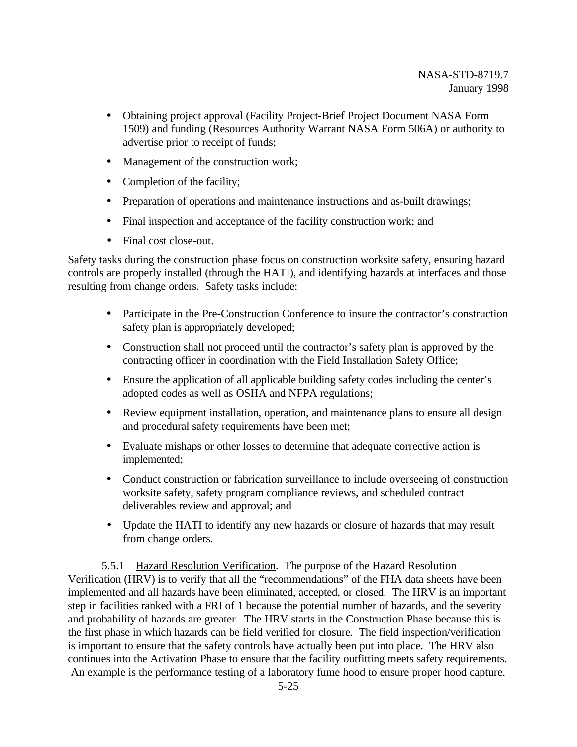- Obtaining project approval (Facility Project-Brief Project Document NASA Form 1509) and funding (Resources Authority Warrant NASA Form 506A) or authority to advertise prior to receipt of funds;
- Management of the construction work;
- Completion of the facility;
- Preparation of operations and maintenance instructions and as-built drawings;
- Final inspection and acceptance of the facility construction work; and
- Final cost close-out.

Safety tasks during the construction phase focus on construction worksite safety, ensuring hazard controls are properly installed (through the HATI), and identifying hazards at interfaces and those resulting from change orders. Safety tasks include:

- Participate in the Pre-Construction Conference to insure the contractor's construction safety plan is appropriately developed;
- Construction shall not proceed until the contractor's safety plan is approved by the contracting officer in coordination with the Field Installation Safety Office;
- Ensure the application of all applicable building safety codes including the center's adopted codes as well as OSHA and NFPA regulations;
- Review equipment installation, operation, and maintenance plans to ensure all design and procedural safety requirements have been met;
- Evaluate mishaps or other losses to determine that adequate corrective action is implemented;
- Conduct construction or fabrication surveillance to include overseeing of construction worksite safety, safety program compliance reviews, and scheduled contract deliverables review and approval; and
- Update the HATI to identify any new hazards or closure of hazards that may result from change orders.

5.5.1 Hazard Resolution Verification. The purpose of the Hazard Resolution Verification (HRV) is to verify that all the "recommendations" of the FHA data sheets have been implemented and all hazards have been eliminated, accepted, or closed. The HRV is an important step in facilities ranked with a FRI of 1 because the potential number of hazards, and the severity and probability of hazards are greater. The HRV starts in the Construction Phase because this is the first phase in which hazards can be field verified for closure. The field inspection/verification is important to ensure that the safety controls have actually been put into place. The HRV also continues into the Activation Phase to ensure that the facility outfitting meets safety requirements. An example is the performance testing of a laboratory fume hood to ensure proper hood capture.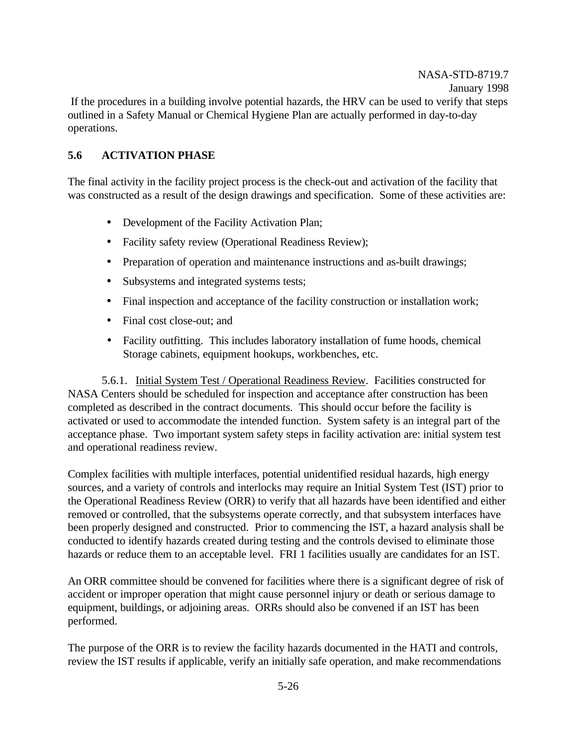# **5.6 ACTIVATION PHASE**

The final activity in the facility project process is the check-out and activation of the facility that was constructed as a result of the design drawings and specification. Some of these activities are:

- Development of the Facility Activation Plan;
- Facility safety review (Operational Readiness Review);
- Preparation of operation and maintenance instructions and as-built drawings;
- Subsystems and integrated systems tests;
- Final inspection and acceptance of the facility construction or installation work;
- Final cost close-out; and
- Facility outfitting. This includes laboratory installation of fume hoods, chemical Storage cabinets, equipment hookups, workbenches, etc.

5.6.1. Initial System Test / Operational Readiness Review. Facilities constructed for NASA Centers should be scheduled for inspection and acceptance after construction has been completed as described in the contract documents. This should occur before the facility is activated or used to accommodate the intended function. System safety is an integral part of the acceptance phase. Two important system safety steps in facility activation are: initial system test and operational readiness review.

Complex facilities with multiple interfaces, potential unidentified residual hazards, high energy sources, and a variety of controls and interlocks may require an Initial System Test (IST) prior to the Operational Readiness Review (ORR) to verify that all hazards have been identified and either removed or controlled, that the subsystems operate correctly, and that subsystem interfaces have been properly designed and constructed. Prior to commencing the IST, a hazard analysis shall be conducted to identify hazards created during testing and the controls devised to eliminate those hazards or reduce them to an acceptable level. FRI 1 facilities usually are candidates for an IST.

An ORR committee should be convened for facilities where there is a significant degree of risk of accident or improper operation that might cause personnel injury or death or serious damage to equipment, buildings, or adjoining areas. ORRs should also be convened if an IST has been performed.

The purpose of the ORR is to review the facility hazards documented in the HATI and controls, review the IST results if applicable, verify an initially safe operation, and make recommendations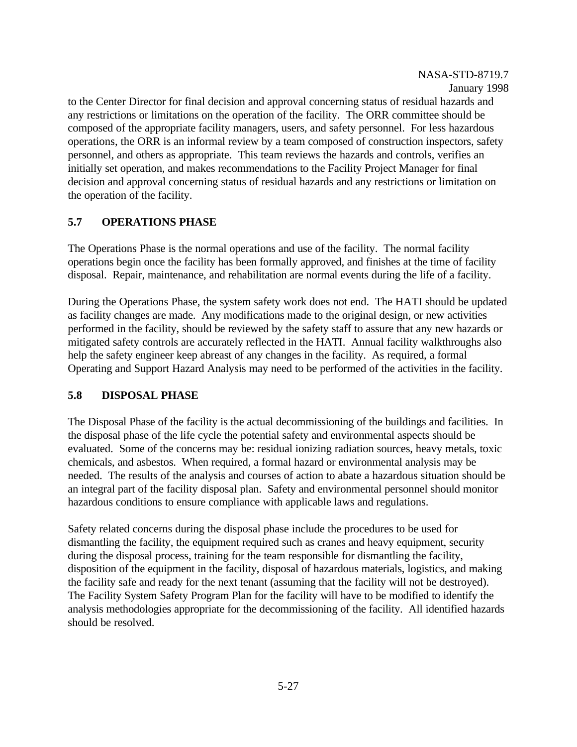#### NASA-STD-8719.7 January 1998

to the Center Director for final decision and approval concerning status of residual hazards and any restrictions or limitations on the operation of the facility. The ORR committee should be composed of the appropriate facility managers, users, and safety personnel. For less hazardous operations, the ORR is an informal review by a team composed of construction inspectors, safety personnel, and others as appropriate. This team reviews the hazards and controls, verifies an initially set operation, and makes recommendations to the Facility Project Manager for final decision and approval concerning status of residual hazards and any restrictions or limitation on the operation of the facility.

## **5.7 OPERATIONS PHASE**

The Operations Phase is the normal operations and use of the facility. The normal facility operations begin once the facility has been formally approved, and finishes at the time of facility disposal. Repair, maintenance, and rehabilitation are normal events during the life of a facility.

During the Operations Phase, the system safety work does not end. The HATI should be updated as facility changes are made. Any modifications made to the original design, or new activities performed in the facility, should be reviewed by the safety staff to assure that any new hazards or mitigated safety controls are accurately reflected in the HATI. Annual facility walkthroughs also help the safety engineer keep abreast of any changes in the facility. As required, a formal Operating and Support Hazard Analysis may need to be performed of the activities in the facility.

## **5.8 DISPOSAL PHASE**

The Disposal Phase of the facility is the actual decommissioning of the buildings and facilities. In the disposal phase of the life cycle the potential safety and environmental aspects should be evaluated. Some of the concerns may be: residual ionizing radiation sources, heavy metals, toxic chemicals, and asbestos. When required, a formal hazard or environmental analysis may be needed. The results of the analysis and courses of action to abate a hazardous situation should be an integral part of the facility disposal plan. Safety and environmental personnel should monitor hazardous conditions to ensure compliance with applicable laws and regulations.

Safety related concerns during the disposal phase include the procedures to be used for dismantling the facility, the equipment required such as cranes and heavy equipment, security during the disposal process, training for the team responsible for dismantling the facility, disposition of the equipment in the facility, disposal of hazardous materials, logistics, and making the facility safe and ready for the next tenant (assuming that the facility will not be destroyed). The Facility System Safety Program Plan for the facility will have to be modified to identify the analysis methodologies appropriate for the decommissioning of the facility. All identified hazards should be resolved.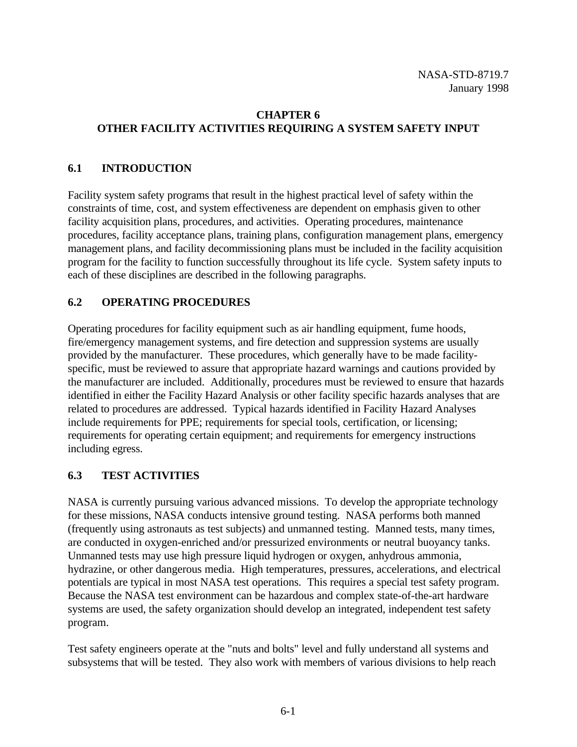# **CHAPTER 6 OTHER FACILITY ACTIVITIES REQUIRING A SYSTEM SAFETY INPUT**

# **6.1 INTRODUCTION**

Facility system safety programs that result in the highest practical level of safety within the constraints of time, cost, and system effectiveness are dependent on emphasis given to other facility acquisition plans, procedures, and activities. Operating procedures, maintenance procedures, facility acceptance plans, training plans, configuration management plans, emergency management plans, and facility decommissioning plans must be included in the facility acquisition program for the facility to function successfully throughout its life cycle. System safety inputs to each of these disciplines are described in the following paragraphs.

# **6.2 OPERATING PROCEDURES**

Operating procedures for facility equipment such as air handling equipment, fume hoods, fire/emergency management systems, and fire detection and suppression systems are usually provided by the manufacturer. These procedures, which generally have to be made facilityspecific, must be reviewed to assure that appropriate hazard warnings and cautions provided by the manufacturer are included. Additionally, procedures must be reviewed to ensure that hazards identified in either the Facility Hazard Analysis or other facility specific hazards analyses that are related to procedures are addressed. Typical hazards identified in Facility Hazard Analyses include requirements for PPE; requirements for special tools, certification, or licensing; requirements for operating certain equipment; and requirements for emergency instructions including egress.

# **6.3 TEST ACTIVITIES**

NASA is currently pursuing various advanced missions. To develop the appropriate technology for these missions, NASA conducts intensive ground testing. NASA performs both manned (frequently using astronauts as test subjects) and unmanned testing. Manned tests, many times, are conducted in oxygen-enriched and/or pressurized environments or neutral buoyancy tanks. Unmanned tests may use high pressure liquid hydrogen or oxygen, anhydrous ammonia, hydrazine, or other dangerous media. High temperatures, pressures, accelerations, and electrical potentials are typical in most NASA test operations. This requires a special test safety program. Because the NASA test environment can be hazardous and complex state-of-the-art hardware systems are used, the safety organization should develop an integrated, independent test safety program.

Test safety engineers operate at the "nuts and bolts" level and fully understand all systems and subsystems that will be tested. They also work with members of various divisions to help reach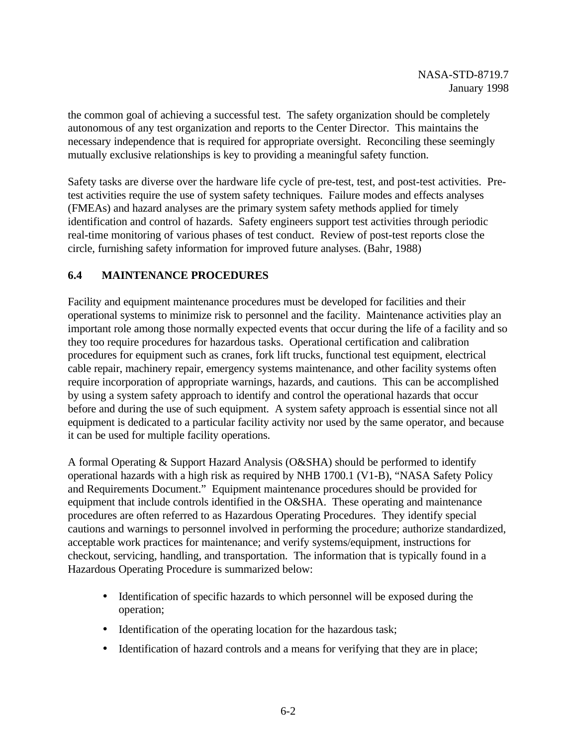the common goal of achieving a successful test. The safety organization should be completely autonomous of any test organization and reports to the Center Director. This maintains the necessary independence that is required for appropriate oversight. Reconciling these seemingly mutually exclusive relationships is key to providing a meaningful safety function.

Safety tasks are diverse over the hardware life cycle of pre-test, test, and post-test activities. Pretest activities require the use of system safety techniques. Failure modes and effects analyses (FMEAs) and hazard analyses are the primary system safety methods applied for timely identification and control of hazards. Safety engineers support test activities through periodic real-time monitoring of various phases of test conduct. Review of post-test reports close the circle, furnishing safety information for improved future analyses. (Bahr, 1988)

# **6.4 MAINTENANCE PROCEDURES**

Facility and equipment maintenance procedures must be developed for facilities and their operational systems to minimize risk to personnel and the facility. Maintenance activities play an important role among those normally expected events that occur during the life of a facility and so they too require procedures for hazardous tasks. Operational certification and calibration procedures for equipment such as cranes, fork lift trucks, functional test equipment, electrical cable repair, machinery repair, emergency systems maintenance, and other facility systems often require incorporation of appropriate warnings, hazards, and cautions. This can be accomplished by using a system safety approach to identify and control the operational hazards that occur before and during the use of such equipment. A system safety approach is essential since not all equipment is dedicated to a particular facility activity nor used by the same operator, and because it can be used for multiple facility operations.

A formal Operating & Support Hazard Analysis (O&SHA) should be performed to identify operational hazards with a high risk as required by NHB 1700.1 (V1-B), "NASA Safety Policy and Requirements Document." Equipment maintenance procedures should be provided for equipment that include controls identified in the O&SHA. These operating and maintenance procedures are often referred to as Hazardous Operating Procedures. They identify special cautions and warnings to personnel involved in performing the procedure; authorize standardized, acceptable work practices for maintenance; and verify systems/equipment, instructions for checkout, servicing, handling, and transportation. The information that is typically found in a Hazardous Operating Procedure is summarized below:

- Identification of specific hazards to which personnel will be exposed during the operation;
- Identification of the operating location for the hazardous task;
- Identification of hazard controls and a means for verifying that they are in place;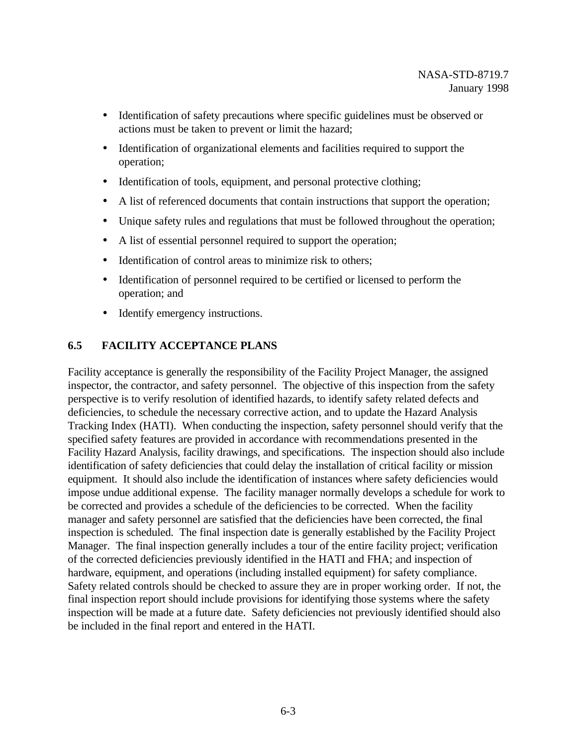- Identification of safety precautions where specific guidelines must be observed or actions must be taken to prevent or limit the hazard;
- Identification of organizational elements and facilities required to support the operation;
- Identification of tools, equipment, and personal protective clothing;
- A list of referenced documents that contain instructions that support the operation;
- Unique safety rules and regulations that must be followed throughout the operation;
- A list of essential personnel required to support the operation;
- Identification of control areas to minimize risk to others;
- Identification of personnel required to be certified or licensed to perform the operation; and
- Identify emergency instructions.

# **6.5 FACILITY ACCEPTANCE PLANS**

Facility acceptance is generally the responsibility of the Facility Project Manager, the assigned inspector, the contractor, and safety personnel. The objective of this inspection from the safety perspective is to verify resolution of identified hazards, to identify safety related defects and deficiencies, to schedule the necessary corrective action, and to update the Hazard Analysis Tracking Index (HATI). When conducting the inspection, safety personnel should verify that the specified safety features are provided in accordance with recommendations presented in the Facility Hazard Analysis, facility drawings, and specifications. The inspection should also include identification of safety deficiencies that could delay the installation of critical facility or mission equipment. It should also include the identification of instances where safety deficiencies would impose undue additional expense. The facility manager normally develops a schedule for work to be corrected and provides a schedule of the deficiencies to be corrected. When the facility manager and safety personnel are satisfied that the deficiencies have been corrected, the final inspection is scheduled. The final inspection date is generally established by the Facility Project Manager. The final inspection generally includes a tour of the entire facility project; verification of the corrected deficiencies previously identified in the HATI and FHA; and inspection of hardware, equipment, and operations (including installed equipment) for safety compliance. Safety related controls should be checked to assure they are in proper working order. If not, the final inspection report should include provisions for identifying those systems where the safety inspection will be made at a future date. Safety deficiencies not previously identified should also be included in the final report and entered in the HATI.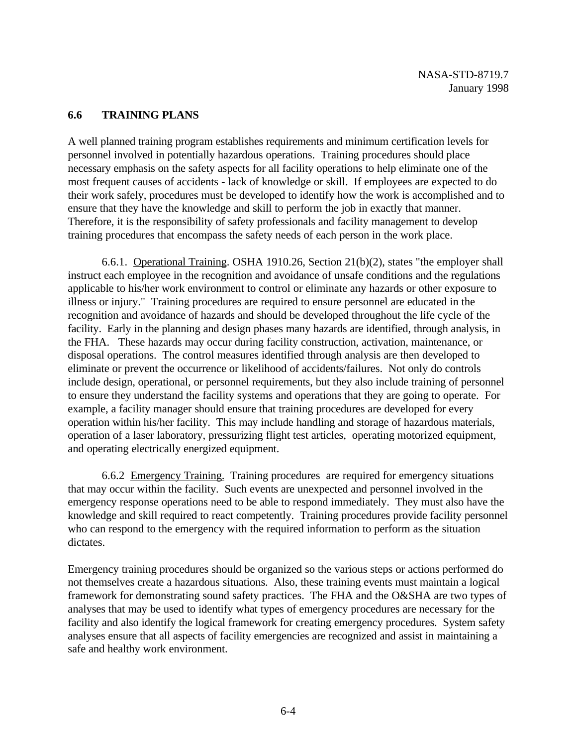## **6.6 TRAINING PLANS**

A well planned training program establishes requirements and minimum certification levels for personnel involved in potentially hazardous operations. Training procedures should place necessary emphasis on the safety aspects for all facility operations to help eliminate one of the most frequent causes of accidents - lack of knowledge or skill. If employees are expected to do their work safely, procedures must be developed to identify how the work is accomplished and to ensure that they have the knowledge and skill to perform the job in exactly that manner. Therefore, it is the responsibility of safety professionals and facility management to develop training procedures that encompass the safety needs of each person in the work place.

6.6.1. Operational Training. OSHA 1910.26, Section 21(b)(2), states "the employer shall instruct each employee in the recognition and avoidance of unsafe conditions and the regulations applicable to his/her work environment to control or eliminate any hazards or other exposure to illness or injury." Training procedures are required to ensure personnel are educated in the recognition and avoidance of hazards and should be developed throughout the life cycle of the facility. Early in the planning and design phases many hazards are identified, through analysis, in the FHA. These hazards may occur during facility construction, activation, maintenance, or disposal operations. The control measures identified through analysis are then developed to eliminate or prevent the occurrence or likelihood of accidents/failures. Not only do controls include design, operational, or personnel requirements, but they also include training of personnel to ensure they understand the facility systems and operations that they are going to operate. For example, a facility manager should ensure that training procedures are developed for every operation within his/her facility. This may include handling and storage of hazardous materials, operation of a laser laboratory, pressurizing flight test articles, operating motorized equipment, and operating electrically energized equipment.

6.6.2 Emergency Training. Training procedures are required for emergency situations that may occur within the facility. Such events are unexpected and personnel involved in the emergency response operations need to be able to respond immediately. They must also have the knowledge and skill required to react competently. Training procedures provide facility personnel who can respond to the emergency with the required information to perform as the situation dictates.

Emergency training procedures should be organized so the various steps or actions performed do not themselves create a hazardous situations. Also, these training events must maintain a logical framework for demonstrating sound safety practices. The FHA and the O&SHA are two types of analyses that may be used to identify what types of emergency procedures are necessary for the facility and also identify the logical framework for creating emergency procedures. System safety analyses ensure that all aspects of facility emergencies are recognized and assist in maintaining a safe and healthy work environment.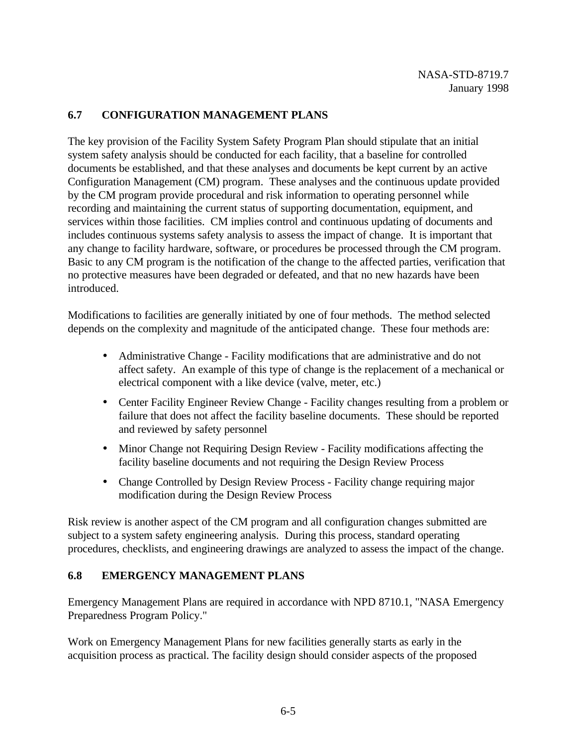## **6.7 CONFIGURATION MANAGEMENT PLANS**

The key provision of the Facility System Safety Program Plan should stipulate that an initial system safety analysis should be conducted for each facility, that a baseline for controlled documents be established, and that these analyses and documents be kept current by an active Configuration Management (CM) program. These analyses and the continuous update provided by the CM program provide procedural and risk information to operating personnel while recording and maintaining the current status of supporting documentation, equipment, and services within those facilities. CM implies control and continuous updating of documents and includes continuous systems safety analysis to assess the impact of change. It is important that any change to facility hardware, software, or procedures be processed through the CM program. Basic to any CM program is the notification of the change to the affected parties, verification that no protective measures have been degraded or defeated, and that no new hazards have been introduced.

Modifications to facilities are generally initiated by one of four methods. The method selected depends on the complexity and magnitude of the anticipated change. These four methods are:

- Administrative Change Facility modifications that are administrative and do not affect safety. An example of this type of change is the replacement of a mechanical or electrical component with a like device (valve, meter, etc.)
- Center Facility Engineer Review Change Facility changes resulting from a problem or failure that does not affect the facility baseline documents. These should be reported and reviewed by safety personnel
- Minor Change not Requiring Design Review Facility modifications affecting the facility baseline documents and not requiring the Design Review Process
- Change Controlled by Design Review Process Facility change requiring major modification during the Design Review Process

Risk review is another aspect of the CM program and all configuration changes submitted are subject to a system safety engineering analysis. During this process, standard operating procedures, checklists, and engineering drawings are analyzed to assess the impact of the change.

## **6.8 EMERGENCY MANAGEMENT PLANS**

Emergency Management Plans are required in accordance with NPD 8710.1, "NASA Emergency Preparedness Program Policy."

Work on Emergency Management Plans for new facilities generally starts as early in the acquisition process as practical. The facility design should consider aspects of the proposed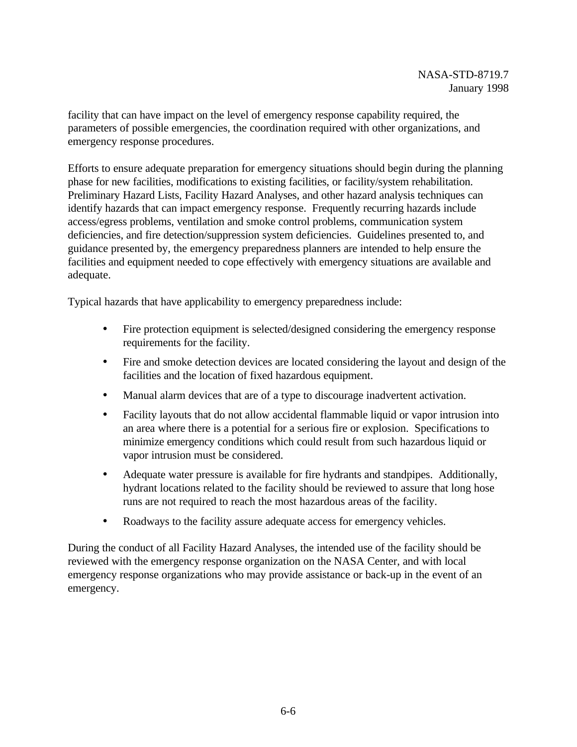facility that can have impact on the level of emergency response capability required, the parameters of possible emergencies, the coordination required with other organizations, and emergency response procedures.

Efforts to ensure adequate preparation for emergency situations should begin during the planning phase for new facilities, modifications to existing facilities, or facility/system rehabilitation. Preliminary Hazard Lists, Facility Hazard Analyses, and other hazard analysis techniques can identify hazards that can impact emergency response. Frequently recurring hazards include access/egress problems, ventilation and smoke control problems, communication system deficiencies, and fire detection/suppression system deficiencies. Guidelines presented to, and guidance presented by, the emergency preparedness planners are intended to help ensure the facilities and equipment needed to cope effectively with emergency situations are available and adequate.

Typical hazards that have applicability to emergency preparedness include:

- Fire protection equipment is selected/designed considering the emergency response requirements for the facility.
- Fire and smoke detection devices are located considering the layout and design of the facilities and the location of fixed hazardous equipment.
- Manual alarm devices that are of a type to discourage inadvertent activation.
- Facility layouts that do not allow accidental flammable liquid or vapor intrusion into an area where there is a potential for a serious fire or explosion. Specifications to minimize emergency conditions which could result from such hazardous liquid or vapor intrusion must be considered.
- Adequate water pressure is available for fire hydrants and standpipes. Additionally, hydrant locations related to the facility should be reviewed to assure that long hose runs are not required to reach the most hazardous areas of the facility.
- Roadways to the facility assure adequate access for emergency vehicles.

During the conduct of all Facility Hazard Analyses, the intended use of the facility should be reviewed with the emergency response organization on the NASA Center, and with local emergency response organizations who may provide assistance or back-up in the event of an emergency.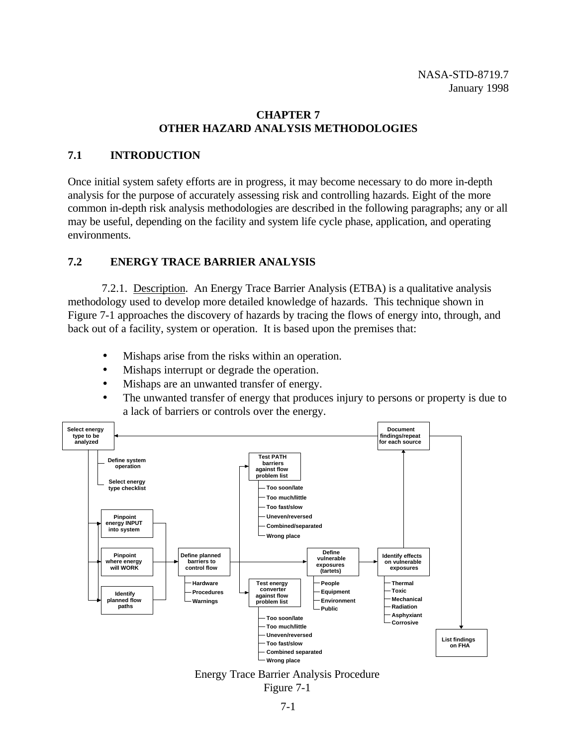## **CHAPTER 7 OTHER HAZARD ANALYSIS METHODOLOGIES**

# **7.1 INTRODUCTION**

Once initial system safety efforts are in progress, it may become necessary to do more in-depth analysis for the purpose of accurately assessing risk and controlling hazards. Eight of the more common in-depth risk analysis methodologies are described in the following paragraphs; any or all may be useful, depending on the facility and system life cycle phase, application, and operating environments.

# **7.2 ENERGY TRACE BARRIER ANALYSIS**

7.2.1. Description. An Energy Trace Barrier Analysis (ETBA) is a qualitative analysis methodology used to develop more detailed knowledge of hazards. This technique shown in Figure 7-1 approaches the discovery of hazards by tracing the flows of energy into, through, and back out of a facility, system or operation. It is based upon the premises that:

- Mishaps arise from the risks within an operation.
- Mishaps interrupt or degrade the operation.
- Mishaps are an unwanted transfer of energy.
- The unwanted transfer of energy that produces injury to persons or property is due to a lack of barriers or controls over the energy.



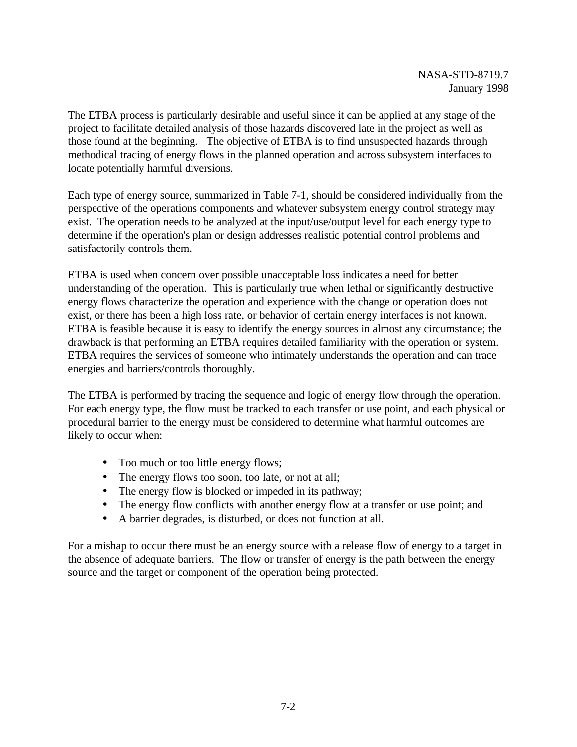The ETBA process is particularly desirable and useful since it can be applied at any stage of the project to facilitate detailed analysis of those hazards discovered late in the project as well as those found at the beginning. The objective of ETBA is to find unsuspected hazards through methodical tracing of energy flows in the planned operation and across subsystem interfaces to locate potentially harmful diversions.

Each type of energy source, summarized in Table 7-1, should be considered individually from the perspective of the operations components and whatever subsystem energy control strategy may exist. The operation needs to be analyzed at the input/use/output level for each energy type to determine if the operation's plan or design addresses realistic potential control problems and satisfactorily controls them.

ETBA is used when concern over possible unacceptable loss indicates a need for better understanding of the operation. This is particularly true when lethal or significantly destructive energy flows characterize the operation and experience with the change or operation does not exist, or there has been a high loss rate, or behavior of certain energy interfaces is not known. ETBA is feasible because it is easy to identify the energy sources in almost any circumstance; the drawback is that performing an ETBA requires detailed familiarity with the operation or system. ETBA requires the services of someone who intimately understands the operation and can trace energies and barriers/controls thoroughly.

The ETBA is performed by tracing the sequence and logic of energy flow through the operation. For each energy type, the flow must be tracked to each transfer or use point, and each physical or procedural barrier to the energy must be considered to determine what harmful outcomes are likely to occur when:

- Too much or too little energy flows;
- The energy flows too soon, too late, or not at all;
- The energy flow is blocked or impeded in its pathway;
- The energy flow conflicts with another energy flow at a transfer or use point; and
- A barrier degrades, is disturbed, or does not function at all.

For a mishap to occur there must be an energy source with a release flow of energy to a target in the absence of adequate barriers. The flow or transfer of energy is the path between the energy source and the target or component of the operation being protected.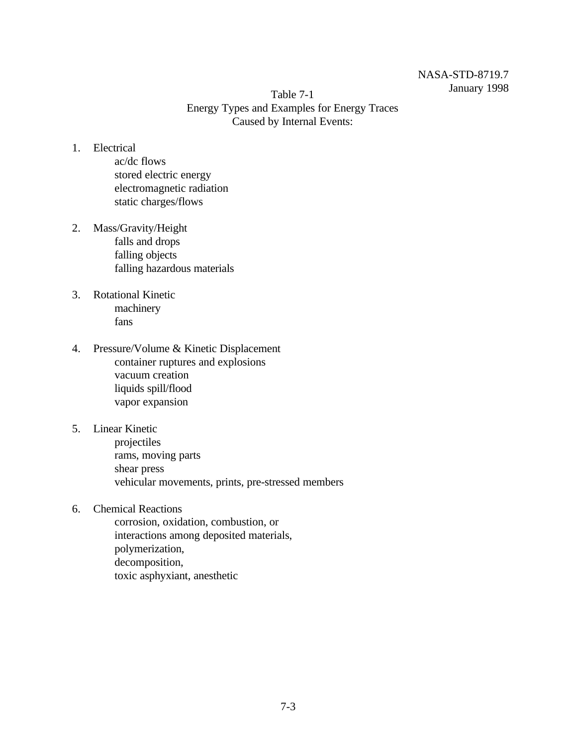## NASA-STD-8719.7 January 1998

Table 7-1 Energy Types and Examples for Energy Traces Caused by Internal Events:

- 1. Electrical
	- ac/dc flows stored electric energy electromagnetic radiation static charges/flows
- 2. Mass/Gravity/Height falls and drops falling objects falling hazardous materials
- 3. Rotational Kinetic machinery fans
- 4. Pressure/Volume & Kinetic Displacement container ruptures and explosions vacuum creation liquids spill/flood vapor expansion
- 5. Linear Kinetic
	- projectiles rams, moving parts shear press vehicular movements, prints, pre-stressed members
- 6. Chemical Reactions

corrosion, oxidation, combustion, or interactions among deposited materials, polymerization, decomposition, toxic asphyxiant, anesthetic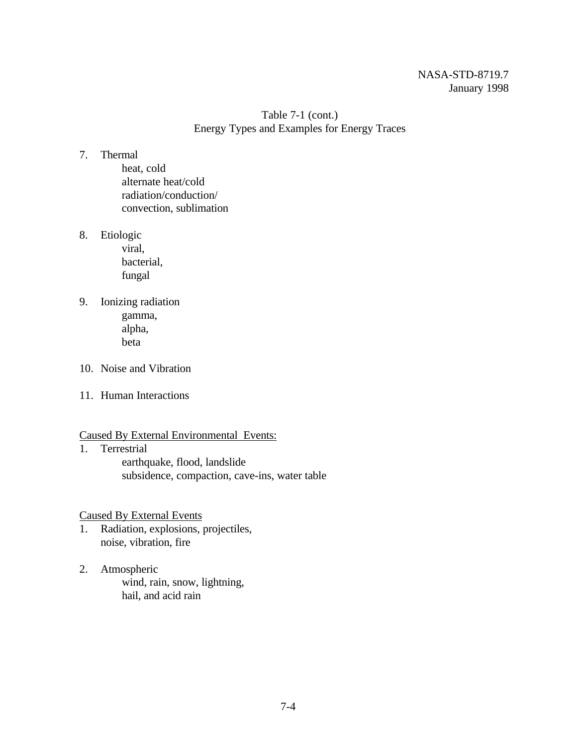## NASA-STD-8719.7 January 1998

Table 7-1 (cont.) Energy Types and Examples for Energy Traces

### 7. Thermal

heat, cold alternate heat/cold radiation/conduction/ convection, sublimation

8. Etiologic

viral, bacterial, fungal

- 9. Ionizing radiation gamma, alpha, beta
- 10. Noise and Vibration
- 11. Human Interactions

### Caused By External Environmental Events:

1. Terrestrial earthquake, flood, landslide subsidence, compaction, cave-ins, water table

Caused By External Events

- 1. Radiation, explosions, projectiles, noise, vibration, fire
- 2. Atmospheric wind, rain, snow, lightning, hail, and acid rain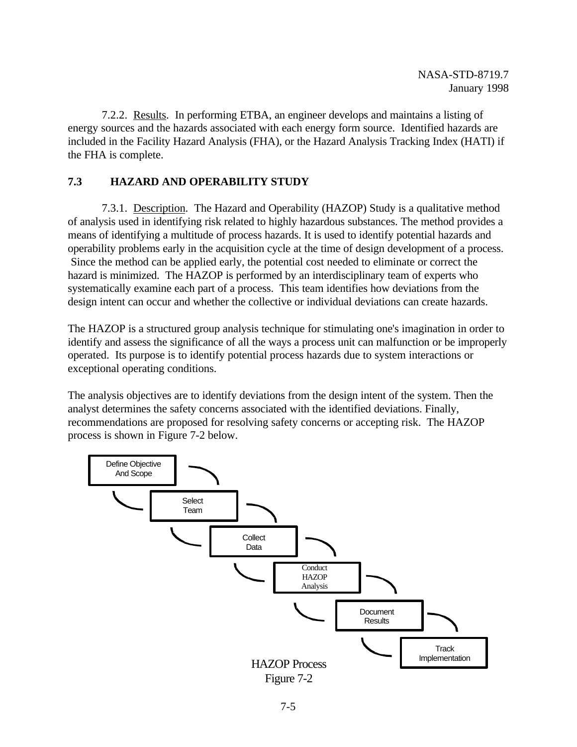7.2.2. Results. In performing ETBA, an engineer develops and maintains a listing of energy sources and the hazards associated with each energy form source. Identified hazards are included in the Facility Hazard Analysis (FHA), or the Hazard Analysis Tracking Index (HATI) if the FHA is complete.

# **7.3 HAZARD AND OPERABILITY STUDY**

7.3.1. Description. The Hazard and Operability (HAZOP) Study is a qualitative method of analysis used in identifying risk related to highly hazardous substances. The method provides a means of identifying a multitude of process hazards. It is used to identify potential hazards and operability problems early in the acquisition cycle at the time of design development of a process. Since the method can be applied early, the potential cost needed to eliminate or correct the hazard is minimized. The HAZOP is performed by an interdisciplinary team of experts who systematically examine each part of a process. This team identifies how deviations from the design intent can occur and whether the collective or individual deviations can create hazards.

The HAZOP is a structured group analysis technique for stimulating one's imagination in order to identify and assess the significance of all the ways a process unit can malfunction or be improperly operated. Its purpose is to identify potential process hazards due to system interactions or exceptional operating conditions.

The analysis objectives are to identify deviations from the design intent of the system. Then the analyst determines the safety concerns associated with the identified deviations. Finally, recommendations are proposed for resolving safety concerns or accepting risk. The HAZOP process is shown in Figure 7-2 below.

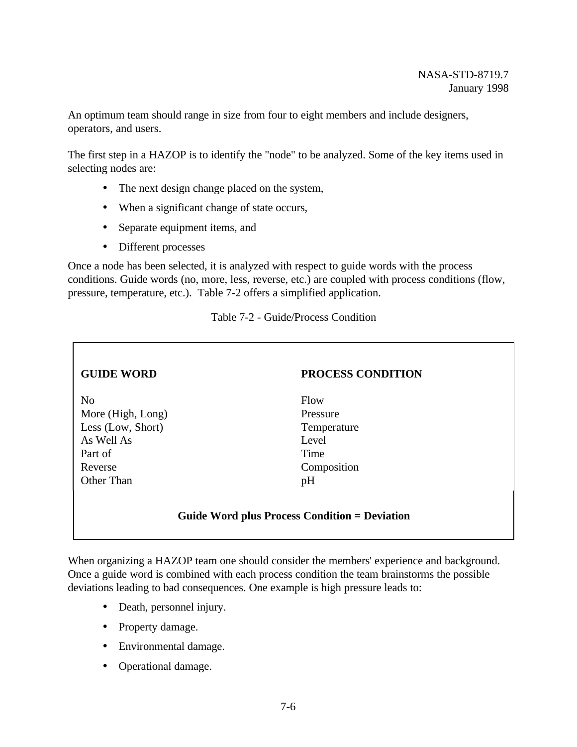An optimum team should range in size from four to eight members and include designers, operators, and users.

The first step in a HAZOP is to identify the "node" to be analyzed. Some of the key items used in selecting nodes are:

- The next design change placed on the system,
- When a significant change of state occurs,
- Separate equipment items, and
- Different processes

Once a node has been selected, it is analyzed with respect to guide words with the process conditions. Guide words (no, more, less, reverse, etc.) are coupled with process conditions (flow, pressure, temperature, etc.). Table 7-2 offers a simplified application.

## Table 7-2 - Guide/Process Condition

| <b>PROCESS CONDITION</b>                      |  |  |  |  |  |  |  |
|-----------------------------------------------|--|--|--|--|--|--|--|
|                                               |  |  |  |  |  |  |  |
| Flow                                          |  |  |  |  |  |  |  |
| Pressure                                      |  |  |  |  |  |  |  |
| Temperature                                   |  |  |  |  |  |  |  |
| Level                                         |  |  |  |  |  |  |  |
| Time                                          |  |  |  |  |  |  |  |
| Composition                                   |  |  |  |  |  |  |  |
| pH                                            |  |  |  |  |  |  |  |
|                                               |  |  |  |  |  |  |  |
|                                               |  |  |  |  |  |  |  |
| Guide Word plus Process Condition = Deviation |  |  |  |  |  |  |  |
|                                               |  |  |  |  |  |  |  |

When organizing a HAZOP team one should consider the members' experience and background. Once a guide word is combined with each process condition the team brainstorms the possible deviations leading to bad consequences. One example is high pressure leads to:

- Death, personnel injury.
- Property damage.
- Environmental damage.
- Operational damage.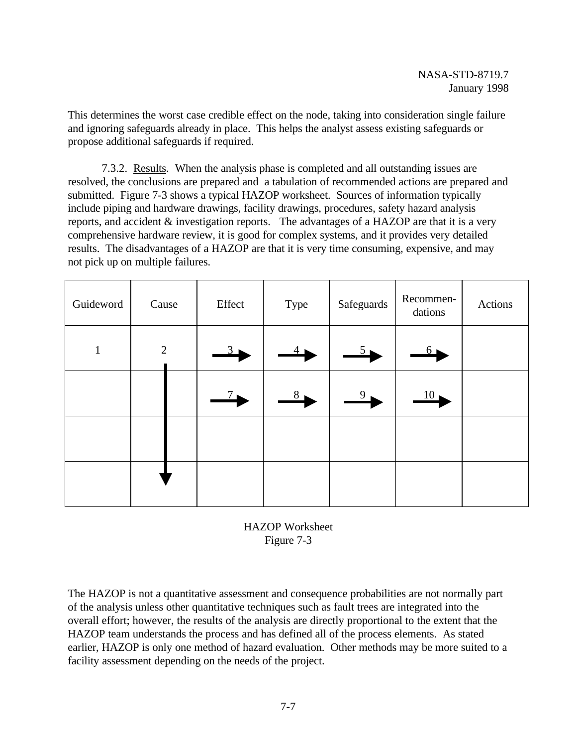This determines the worst case credible effect on the node, taking into consideration single failure and ignoring safeguards already in place. This helps the analyst assess existing safeguards or propose additional safeguards if required.

7.3.2. Results. When the analysis phase is completed and all outstanding issues are resolved, the conclusions are prepared and a tabulation of recommended actions are prepared and submitted. Figure 7-3 shows a typical HAZOP worksheet. Sources of information typically include piping and hardware drawings, facility drawings, procedures, safety hazard analysis reports, and accident & investigation reports. The advantages of a HAZOP are that it is a very comprehensive hardware review, it is good for complex systems, and it provides very detailed results. The disadvantages of a HAZOP are that it is very time consuming, expensive, and may not pick up on multiple failures.

| Guideword    | Cause          |  | Effect<br>Type         |                | Safeguards     | Recommen-<br>dations   | Actions |
|--------------|----------------|--|------------------------|----------------|----------------|------------------------|---------|
| $\mathbf{1}$ | $\overline{2}$ |  |                        |                | $5_{\bullet}$  | $6\blacktriangleright$ |         |
|              |                |  | $7\blacktriangleright$ | 8 <sub>1</sub> | 9 <sub>1</sub> | 10 <sub>1</sub>        |         |
|              |                |  |                        |                |                |                        |         |
|              |                |  |                        |                |                |                        |         |



The HAZOP is not a quantitative assessment and consequence probabilities are not normally part of the analysis unless other quantitative techniques such as fault trees are integrated into the overall effort; however, the results of the analysis are directly proportional to the extent that the HAZOP team understands the process and has defined all of the process elements. As stated earlier, HAZOP is only one method of hazard evaluation. Other methods may be more suited to a facility assessment depending on the needs of the project.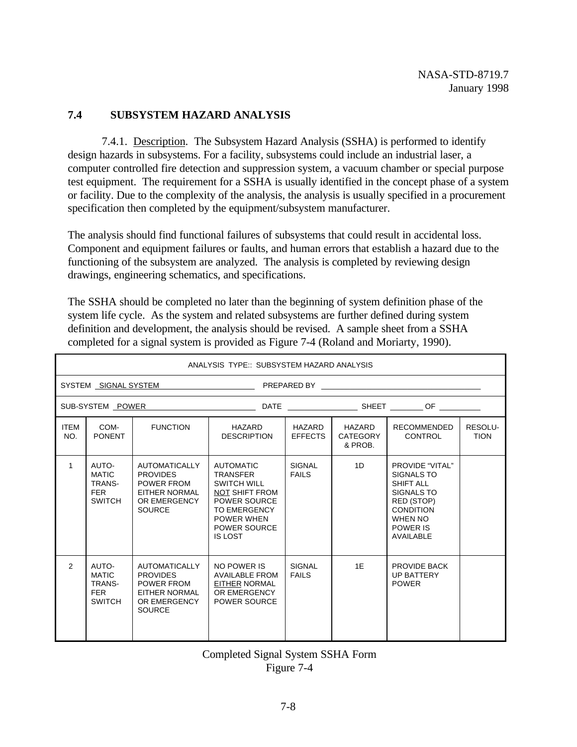## **7.4 SUBSYSTEM HAZARD ANALYSIS**

7.4.1. Description. The Subsystem Hazard Analysis (SSHA) is performed to identify design hazards in subsystems. For a facility, subsystems could include an industrial laser, a computer controlled fire detection and suppression system, a vacuum chamber or special purpose test equipment. The requirement for a SSHA is usually identified in the concept phase of a system or facility. Due to the complexity of the analysis, the analysis is usually specified in a procurement specification then completed by the equipment/subsystem manufacturer.

The analysis should find functional failures of subsystems that could result in accidental loss. Component and equipment failures or faults, and human errors that establish a hazard due to the functioning of the subsystem are analyzed. The analysis is completed by reviewing design drawings, engineering schematics, and specifications.

The SSHA should be completed no later than the beginning of system definition phase of the system life cycle. As the system and related subsystems are further defined during system definition and development, the analysis should be revised. A sample sheet from a SSHA completed for a signal system is provided as Figure 7-4 (Roland and Moriarty, 1990).

|                      | ANALYSIS TYPE:: SUBSYSTEM HAZARD ANALYSIS                      |                                                                                                         |                                                                                                                                                                                         |                               |                               |                                                                                                                                       |                        |  |  |  |
|----------------------|----------------------------------------------------------------|---------------------------------------------------------------------------------------------------------|-----------------------------------------------------------------------------------------------------------------------------------------------------------------------------------------|-------------------------------|-------------------------------|---------------------------------------------------------------------------------------------------------------------------------------|------------------------|--|--|--|
| SYSTEM SIGNAL SYSTEM |                                                                |                                                                                                         |                                                                                                                                                                                         |                               |                               |                                                                                                                                       |                        |  |  |  |
|                      |                                                                |                                                                                                         |                                                                                                                                                                                         |                               |                               |                                                                                                                                       |                        |  |  |  |
| <b>ITEM</b><br>NO.   | COM-<br><b>PONENT</b>                                          | <b>FUNCTION</b>                                                                                         | HAZARD<br><b>DESCRIPTION</b>                                                                                                                                                            | HAZARD<br><b>EFFECTS</b>      | HAZARD<br>CATEGORY<br>& PROB. | <b>RECOMMENDED</b><br>CONTROL                                                                                                         | RESOLU-<br><b>TION</b> |  |  |  |
| $\mathbf{1}$         | AUTO-<br><b>MATIC</b><br>TRANS-<br><b>FER</b><br><b>SWITCH</b> | <b>AUTOMATICALLY</b><br><b>PROVIDES</b><br>POWER FROM<br>EITHER NORMAL<br>OR EMERGENCY<br><b>SOURCE</b> | <b>AUTOMATIC</b><br><b>TRANSFER</b><br><b>SWITCH WILL</b><br><b>NOT SHIFT FROM</b><br>POWER SOURCE<br><b>TO EMERGENCY</b><br><b>POWER WHEN</b><br><b>POWER SOURCE</b><br><b>IS LOST</b> | <b>SIGNAL</b><br><b>FAILS</b> | 1D                            | PROVIDE "VITAL"<br>SIGNALS TO<br><b>SHIFT ALL</b><br>SIGNALS TO<br>RED (STOP)<br><b>CONDITION</b><br>WHEN NO<br>POWER IS<br>AVAILABLE |                        |  |  |  |
| 2                    | AUTO-<br><b>MATIC</b><br>TRANS-<br><b>FER</b><br><b>SWITCH</b> | <b>AUTOMATICALLY</b><br><b>PROVIDES</b><br>POWER FROM<br>EITHER NORMAL<br>OR EMERGENCY<br><b>SOURCE</b> | NO POWER IS<br><b>AVAILABLE FROM</b><br><b>EITHER NORMAL</b><br>OR EMERGENCY<br><b>POWER SOURCE</b>                                                                                     | <b>SIGNAL</b><br><b>FAILS</b> | 1E                            | PROVIDE BACK<br><b>UP BATTERY</b><br><b>POWER</b>                                                                                     |                        |  |  |  |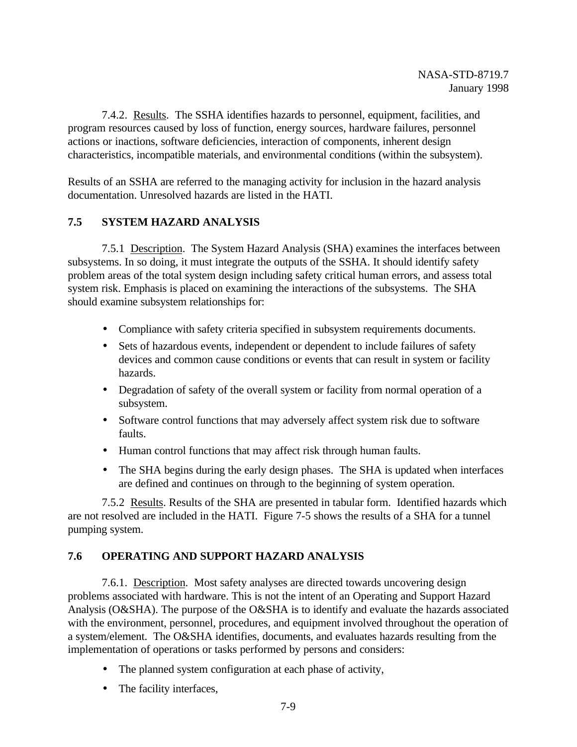7.4.2. Results. The SSHA identifies hazards to personnel, equipment, facilities, and program resources caused by loss of function, energy sources, hardware failures, personnel actions or inactions, software deficiencies, interaction of components, inherent design characteristics, incompatible materials, and environmental conditions (within the subsystem).

Results of an SSHA are referred to the managing activity for inclusion in the hazard analysis documentation. Unresolved hazards are listed in the HATI.

# **7.5 SYSTEM HAZARD ANALYSIS**

7.5.1 Description. The System Hazard Analysis (SHA) examines the interfaces between subsystems. In so doing, it must integrate the outputs of the SSHA. It should identify safety problem areas of the total system design including safety critical human errors, and assess total system risk. Emphasis is placed on examining the interactions of the subsystems. The SHA should examine subsystem relationships for:

- Compliance with safety criteria specified in subsystem requirements documents.
- Sets of hazardous events, independent or dependent to include failures of safety devices and common cause conditions or events that can result in system or facility hazards.
- Degradation of safety of the overall system or facility from normal operation of a subsystem.
- Software control functions that may adversely affect system risk due to software faults.
- Human control functions that may affect risk through human faults.
- The SHA begins during the early design phases. The SHA is updated when interfaces are defined and continues on through to the beginning of system operation.

7.5.2 Results. Results of the SHA are presented in tabular form. Identified hazards which are not resolved are included in the HATI. Figure 7-5 shows the results of a SHA for a tunnel pumping system.

## **7.6 OPERATING AND SUPPORT HAZARD ANALYSIS**

7.6.1. Description. Most safety analyses are directed towards uncovering design problems associated with hardware. This is not the intent of an Operating and Support Hazard Analysis (O&SHA). The purpose of the O&SHA is to identify and evaluate the hazards associated with the environment, personnel, procedures, and equipment involved throughout the operation of a system/element. The O&SHA identifies, documents, and evaluates hazards resulting from the implementation of operations or tasks performed by persons and considers:

- The planned system configuration at each phase of activity,
- The facility interfaces,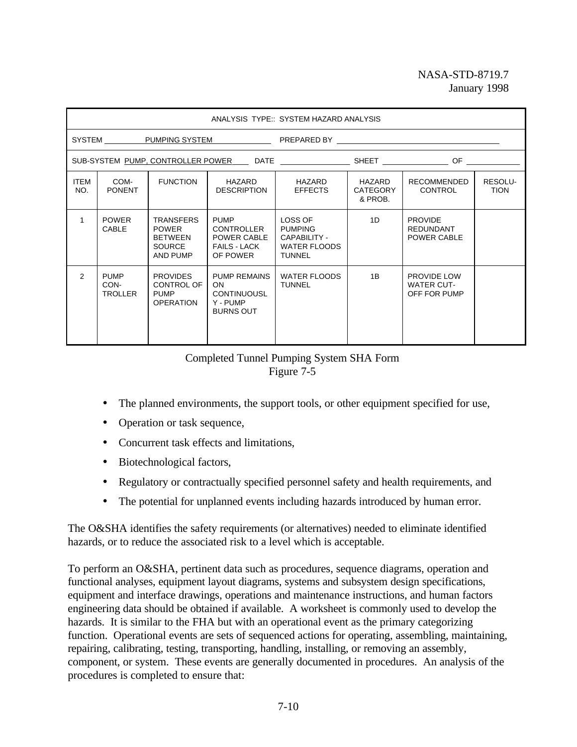## NASA-STD-8719.7 January 1998

|                                               | ANALYSIS TYPE:: SYSTEM HAZARD ANALYSIS |                                                                                                     |                                                                                    |                                                                                   |                                      |                                                   |                        |  |  |
|-----------------------------------------------|----------------------------------------|-----------------------------------------------------------------------------------------------------|------------------------------------------------------------------------------------|-----------------------------------------------------------------------------------|--------------------------------------|---------------------------------------------------|------------------------|--|--|
| SYSTEM PUMPING SYSTEM PREPARED BY PREPARED BY |                                        |                                                                                                     |                                                                                    |                                                                                   |                                      |                                                   |                        |  |  |
|                                               |                                        | SUB-SYSTEM PUMP, CONTROLLER POWER ____ DATE _________________ SHEET _______________ OF ____________ |                                                                                    |                                                                                   |                                      |                                                   |                        |  |  |
| <b>ITEM</b><br>NO.                            | COM-<br><b>PONENT</b>                  | <b>FUNCTION</b>                                                                                     | HAZARD<br><b>DESCRIPTION</b>                                                       | HAZARD<br><b>EFFECTS</b>                                                          | HAZARD<br><b>CATEGORY</b><br>& PROB. | <b>RECOMMENDED</b><br>CONTROL                     | RESOLU-<br><b>TION</b> |  |  |
| 1                                             | <b>POWER</b><br><b>CABLE</b>           | <b>TRANSFERS</b><br><b>POWER</b><br><b>BETWEEN</b><br><b>SOURCE</b><br>AND PUMP                     | <b>PUMP</b><br><b>CONTROLLER</b><br>POWER CABLE<br><b>FAILS - LACK</b><br>OF POWER | LOSS OF<br><b>PUMPING</b><br>CAPABILITY -<br><b>WATER FLOODS</b><br><b>TUNNEL</b> | 1D                                   | <b>PROVIDE</b><br><b>REDUNDANT</b><br>POWER CABLE |                        |  |  |
| $\mathcal{P}$                                 | <b>PUMP</b><br>CON-<br><b>TROLLER</b>  | <b>PROVIDES</b><br>CONTROL OF<br><b>PUMP</b><br><b>OPERATION</b>                                    | <b>PUMP REMAINS</b><br>ON.<br><b>CONTINUOUSL</b><br>Y - PUMP<br><b>BURNS OUT</b>   | <b>WATER FLOODS</b><br><b>TUNNEL</b>                                              | 1B                                   | PROVIDE LOW<br><b>WATER CUT-</b><br>OFF FOR PUMP  |                        |  |  |

## Completed Tunnel Pumping System SHA Form Figure 7-5

- The planned environments, the support tools, or other equipment specified for use,
- Operation or task sequence,
- Concurrent task effects and limitations,
- Biotechnological factors,
- Regulatory or contractually specified personnel safety and health requirements, and
- The potential for unplanned events including hazards introduced by human error.

The O&SHA identifies the safety requirements (or alternatives) needed to eliminate identified hazards, or to reduce the associated risk to a level which is acceptable.

To perform an O&SHA, pertinent data such as procedures, sequence diagrams, operation and functional analyses, equipment layout diagrams, systems and subsystem design specifications, equipment and interface drawings, operations and maintenance instructions, and human factors engineering data should be obtained if available. A worksheet is commonly used to develop the hazards. It is similar to the FHA but with an operational event as the primary categorizing function. Operational events are sets of sequenced actions for operating, assembling, maintaining, repairing, calibrating, testing, transporting, handling, installing, or removing an assembly, component, or system. These events are generally documented in procedures. An analysis of the procedures is completed to ensure that: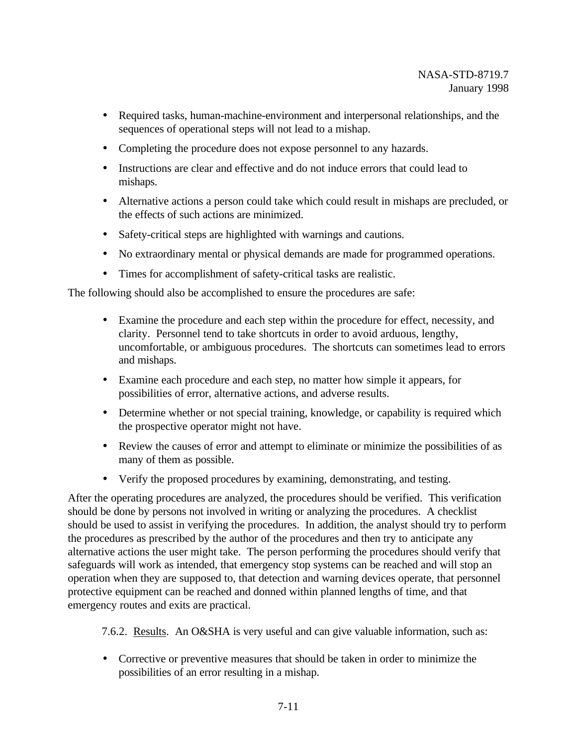- Required tasks, human-machine-environment and interpersonal relationships, and the sequences of operational steps will not lead to a mishap.
- Completing the procedure does not expose personnel to any hazards.
- Instructions are clear and effective and do not induce errors that could lead to mishaps.
- Alternative actions a person could take which could result in mishaps are precluded, or the effects of such actions are minimized.
- Safety-critical steps are highlighted with warnings and cautions.
- No extraordinary mental or physical demands are made for programmed operations.
- Times for accomplishment of safety-critical tasks are realistic.

The following should also be accomplished to ensure the procedures are safe:

- Examine the procedure and each step within the procedure for effect, necessity, and clarity. Personnel tend to take shortcuts in order to avoid arduous, lengthy, uncomfortable, or ambiguous procedures. The shortcuts can sometimes lead to errors and mishaps.
- Examine each procedure and each step, no matter how simple it appears, for possibilities of error, alternative actions, and adverse results.
- Determine whether or not special training, knowledge, or capability is required which the prospective operator might not have.
- Review the causes of error and attempt to eliminate or minimize the possibilities of as many of them as possible.
- Verify the proposed procedures by examining, demonstrating, and testing.

After the operating procedures are analyzed, the procedures should be verified. This verification should be done by persons not involved in writing or analyzing the procedures. A checklist should be used to assist in verifying the procedures. In addition, the analyst should try to perform the procedures as prescribed by the author of the procedures and then try to anticipate any alternative actions the user might take. The person performing the procedures should verify that safeguards will work as intended, that emergency stop systems can be reached and will stop an operation when they are supposed to, that detection and warning devices operate, that personnel protective equipment can be reached and donned within planned lengths of time, and that emergency routes and exits are practical.

7.6.2. Results. An O&SHA is very useful and can give valuable information, such as:

• Corrective or preventive measures that should be taken in order to minimize the possibilities of an error resulting in a mishap.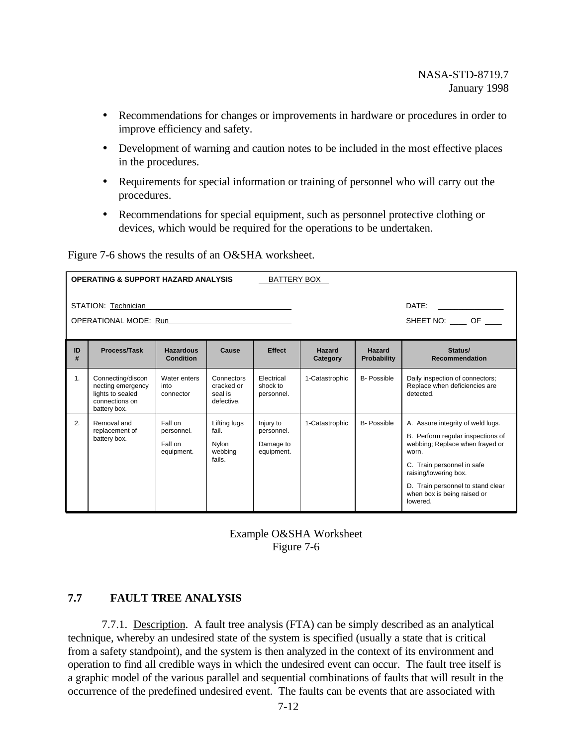- Recommendations for changes or improvements in hardware or procedures in order to improve efficiency and safety.
- Development of warning and caution notes to be included in the most effective places in the procedures.
- Requirements for special information or training of personnel who will carry out the procedures.
- Recommendations for special equipment, such as personnel protective clothing or devices, which would be required for the operations to be undertaken.

Figure 7-6 shows the results of an O&SHA worksheet.

|                                                                                                                                                                              | <b>OPERATING &amp; SUPPORT HAZARD ANALYSIS</b><br>BATTERY BOX                                |                                                |                                                     |                                                    |                |                    |                                                                                                                                                                                                                                                           |  |  |
|------------------------------------------------------------------------------------------------------------------------------------------------------------------------------|----------------------------------------------------------------------------------------------|------------------------------------------------|-----------------------------------------------------|----------------------------------------------------|----------------|--------------------|-----------------------------------------------------------------------------------------------------------------------------------------------------------------------------------------------------------------------------------------------------------|--|--|
|                                                                                                                                                                              | DATE:<br>STATION: Technician<br>OPERATIONAL MODE: Run<br>SHEET NO: OF                        |                                                |                                                     |                                                    |                |                    |                                                                                                                                                                                                                                                           |  |  |
| <b>Effect</b><br>ID<br>Process/Task<br><b>Hazardous</b><br>Hazard<br>Cause<br>Hazard<br>Status/<br>#<br>Condition<br><b>Recommendation</b><br><b>Probability</b><br>Category |                                                                                              |                                                |                                                     |                                                    |                |                    |                                                                                                                                                                                                                                                           |  |  |
| 1.                                                                                                                                                                           | Connecting/discon<br>necting emergency<br>lights to sealed<br>connections on<br>battery box. | Water enters<br>into<br>connector              | Connectors<br>cracked or<br>seal is<br>defective.   | Electrical<br>shock to<br>personnel.               | 1-Catastrophic | <b>B- Possible</b> | Daily inspection of connectors;<br>Replace when deficiencies are<br>detected.                                                                                                                                                                             |  |  |
| 2.                                                                                                                                                                           | Removal and<br>replacement of<br>battery box.                                                | Fall on<br>personnel.<br>Fall on<br>equipment. | Lifting lugs<br>fail.<br>Nylon<br>webbing<br>fails. | Injury to<br>personnel.<br>Damage to<br>equipment. | 1-Catastrophic | <b>B-</b> Possible | A. Assure integrity of weld lugs.<br>B. Perform regular inspections of<br>webbing; Replace when frayed or<br>worn.<br>C. Train personnel in safe<br>raising/lowering box.<br>D. Train personnel to stand clear<br>when box is being raised or<br>lowered. |  |  |

Example O&SHA Worksheet Figure 7-6

### **7.7 FAULT TREE ANALYSIS**

7.7.1. Description. A fault tree analysis (FTA) can be simply described as an analytical technique, whereby an undesired state of the system is specified (usually a state that is critical from a safety standpoint), and the system is then analyzed in the context of its environment and operation to find all credible ways in which the undesired event can occur. The fault tree itself is a graphic model of the various parallel and sequential combinations of faults that will result in the occurrence of the predefined undesired event. The faults can be events that are associated with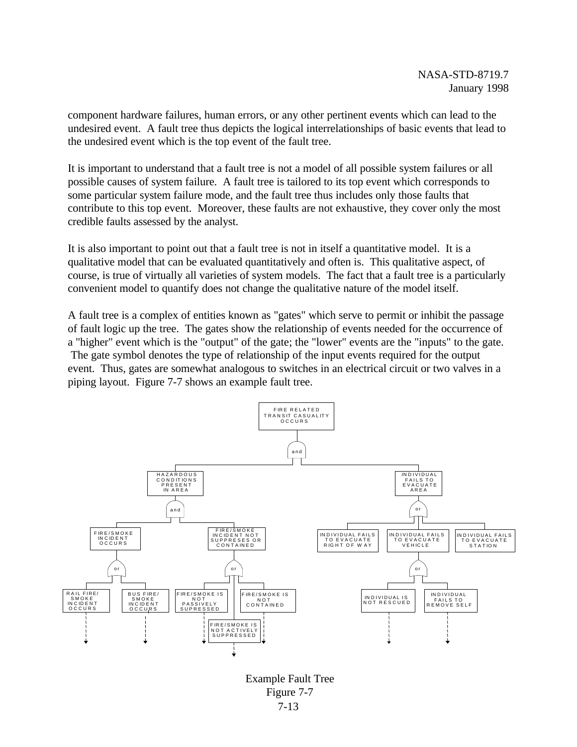component hardware failures, human errors, or any other pertinent events which can lead to the undesired event. A fault tree thus depicts the logical interrelationships of basic events that lead to the undesired event which is the top event of the fault tree.

It is important to understand that a fault tree is not a model of all possible system failures or all possible causes of system failure. A fault tree is tailored to its top event which corresponds to some particular system failure mode, and the fault tree thus includes only those faults that contribute to this top event. Moreover, these faults are not exhaustive, they cover only the most credible faults assessed by the analyst.

It is also important to point out that a fault tree is not in itself a quantitative model. It is a qualitative model that can be evaluated quantitatively and often is. This qualitative aspect, of course, is true of virtually all varieties of system models. The fact that a fault tree is a particularly convenient model to quantify does not change the qualitative nature of the model itself.

A fault tree is a complex of entities known as "gates" which serve to permit or inhibit the passage of fault logic up the tree. The gates show the relationship of events needed for the occurrence of a "higher" event which is the "output" of the gate; the "lower" events are the "inputs" to the gate. The gate symbol denotes the type of relationship of the input events required for the output event. Thus, gates are somewhat analogous to switches in an electrical circuit or two valves in a piping layout. Figure 7-7 shows an example fault tree.



7-13 Example Fault Tree Figure 7-7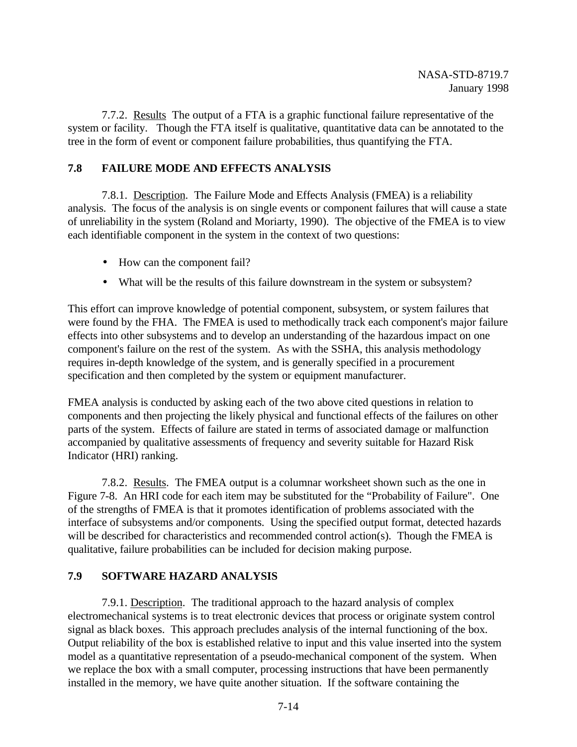7.7.2. Results The output of a FTA is a graphic functional failure representative of the system or facility. Though the FTA itself is qualitative, quantitative data can be annotated to the tree in the form of event or component failure probabilities, thus quantifying the FTA.

# **7.8 FAILURE MODE AND EFFECTS ANALYSIS**

7.8.1. Description. The Failure Mode and Effects Analysis (FMEA) is a reliability analysis. The focus of the analysis is on single events or component failures that will cause a state of unreliability in the system (Roland and Moriarty, 1990). The objective of the FMEA is to view each identifiable component in the system in the context of two questions:

- How can the component fail?
- What will be the results of this failure downstream in the system or subsystem?

This effort can improve knowledge of potential component, subsystem, or system failures that were found by the FHA. The FMEA is used to methodically track each component's major failure effects into other subsystems and to develop an understanding of the hazardous impact on one component's failure on the rest of the system. As with the SSHA, this analysis methodology requires in-depth knowledge of the system, and is generally specified in a procurement specification and then completed by the system or equipment manufacturer.

FMEA analysis is conducted by asking each of the two above cited questions in relation to components and then projecting the likely physical and functional effects of the failures on other parts of the system. Effects of failure are stated in terms of associated damage or malfunction accompanied by qualitative assessments of frequency and severity suitable for Hazard Risk Indicator (HRI) ranking.

7.8.2. Results. The FMEA output is a columnar worksheet shown such as the one in Figure 7-8. An HRI code for each item may be substituted for the "Probability of Failure". One of the strengths of FMEA is that it promotes identification of problems associated with the interface of subsystems and/or components. Using the specified output format, detected hazards will be described for characteristics and recommended control action(s). Though the FMEA is qualitative, failure probabilities can be included for decision making purpose.

## **7.9 SOFTWARE HAZARD ANALYSIS**

7.9.1. Description. The traditional approach to the hazard analysis of complex electromechanical systems is to treat electronic devices that process or originate system control signal as black boxes. This approach precludes analysis of the internal functioning of the box. Output reliability of the box is established relative to input and this value inserted into the system model as a quantitative representation of a pseudo-mechanical component of the system. When we replace the box with a small computer, processing instructions that have been permanently installed in the memory, we have quite another situation. If the software containing the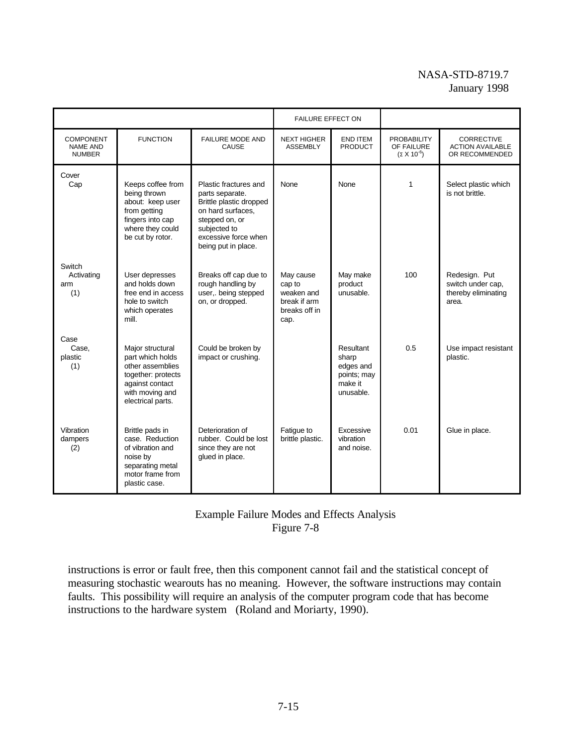# NASA-STD-8719.7 January 1998

|                                                      |                                                                                                                                           |                                                                                                                                                                           | <b>FAILURE EFFECT ON</b>                                                   |                                                                        |                                                          |                                                                    |
|------------------------------------------------------|-------------------------------------------------------------------------------------------------------------------------------------------|---------------------------------------------------------------------------------------------------------------------------------------------------------------------------|----------------------------------------------------------------------------|------------------------------------------------------------------------|----------------------------------------------------------|--------------------------------------------------------------------|
| <b>COMPONENT</b><br><b>NAME AND</b><br><b>NUMBER</b> | <b>FUNCTION</b>                                                                                                                           | <b>FAILURE MODE AND</b><br>CAUSE                                                                                                                                          | <b>NEXT HIGHER</b><br><b>ASSEMBLY</b>                                      | <b>END ITEM</b><br><b>PRODUCT</b>                                      | <b>PROBABILITY</b><br>OF FAILURE<br>$(\Sigma X 10^{-6})$ | <b>CORRECTIVE</b><br><b>ACTION AVAILABLE</b><br>OR RECOMMENDED     |
| Cover<br>Cap                                         | Keeps coffee from<br>being thrown<br>about: keep user<br>from getting<br>fingers into cap<br>where they could<br>be cut by rotor.         | Plastic fractures and<br>parts separate.<br>Brittle plastic dropped<br>on hard surfaces.<br>stepped on, or<br>subjected to<br>excessive force when<br>being put in place. | None                                                                       | None                                                                   | 1                                                        | Select plastic which<br>is not brittle.                            |
| Switch<br>Activating<br>arm<br>(1)                   | User depresses<br>and holds down<br>free end in access<br>hole to switch<br>which operates<br>mill.                                       | Breaks off cap due to<br>rough handling by<br>user,. being stepped<br>on, or dropped.                                                                                     | May cause<br>cap to<br>weaken and<br>break if arm<br>breaks off in<br>cap. | May make<br>product<br>unusable.                                       | 100                                                      | Redesign. Put<br>switch under cap,<br>thereby eliminating<br>area. |
| Case<br>Case.<br>plastic<br>(1)                      | Major structural<br>part which holds<br>other assemblies<br>together: protects<br>against contact<br>with moving and<br>electrical parts. | Could be broken by<br>impact or crushing.                                                                                                                                 |                                                                            | Resultant<br>sharp<br>edges and<br>points; may<br>make it<br>unusable. | 0.5                                                      | Use impact resistant<br>plastic.                                   |
| Vibration<br>dampers<br>(2)                          | Brittle pads in<br>case. Reduction<br>of vibration and<br>noise by<br>separating metal<br>motor frame from<br>plastic case.               | Deterioration of<br>rubber. Could be lost<br>since they are not<br>glued in place.                                                                                        | Fatigue to<br>brittle plastic.                                             | Excessive<br>vibration<br>and noise.                                   | 0.01                                                     | Glue in place.                                                     |

# Example Failure Modes and Effects Analysis Figure 7-8

instructions is error or fault free, then this component cannot fail and the statistical concept of measuring stochastic wearouts has no meaning. However, the software instructions may contain faults. This possibility will require an analysis of the computer program code that has become instructions to the hardware system (Roland and Moriarty, 1990).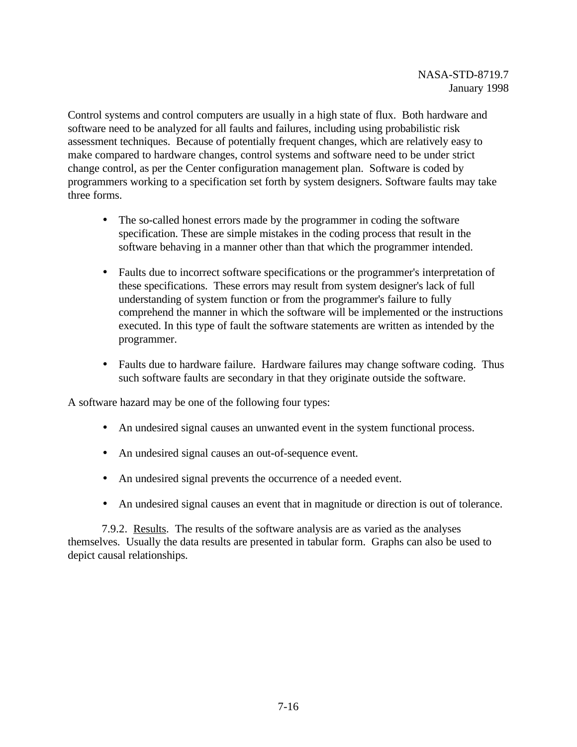Control systems and control computers are usually in a high state of flux. Both hardware and software need to be analyzed for all faults and failures, including using probabilistic risk assessment techniques. Because of potentially frequent changes, which are relatively easy to make compared to hardware changes, control systems and software need to be under strict change control, as per the Center configuration management plan. Software is coded by programmers working to a specification set forth by system designers. Software faults may take three forms.

- The so-called honest errors made by the programmer in coding the software specification. These are simple mistakes in the coding process that result in the software behaving in a manner other than that which the programmer intended.
- Faults due to incorrect software specifications or the programmer's interpretation of these specifications. These errors may result from system designer's lack of full understanding of system function or from the programmer's failure to fully comprehend the manner in which the software will be implemented or the instructions executed. In this type of fault the software statements are written as intended by the programmer.
- Faults due to hardware failure. Hardware failures may change software coding. Thus such software faults are secondary in that they originate outside the software.

A software hazard may be one of the following four types:

- An undesired signal causes an unwanted event in the system functional process.
- An undesired signal causes an out-of-sequence event.
- An undesired signal prevents the occurrence of a needed event.
- An undesired signal causes an event that in magnitude or direction is out of tolerance.

7.9.2. Results. The results of the software analysis are as varied as the analyses themselves. Usually the data results are presented in tabular form. Graphs can also be used to depict causal relationships.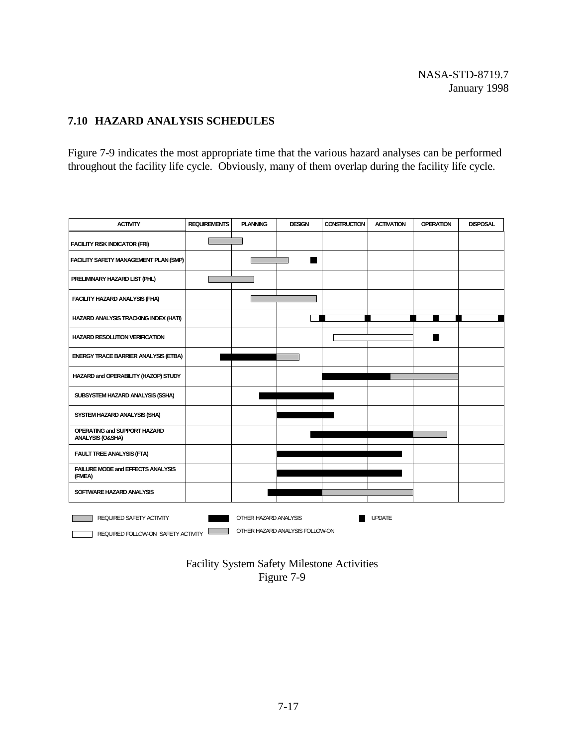# **7.10 HAZARD ANALYSIS SCHEDULES**

Figure 7-9 indicates the most appropriate time that the various hazard analyses can be performed throughout the facility life cycle. Obviously, many of them overlap during the facility life cycle.

| <b>ACTIVITY</b>                                                | <b>REQUIREMENTS</b> | <b>PLANNING</b>       | <b>DESIGN</b>                   | <b>CONSTRUCTION</b> | <b>ACTIVATION</b> | <b>OPERATION</b> | <b>DISPOSAL</b> |
|----------------------------------------------------------------|---------------------|-----------------------|---------------------------------|---------------------|-------------------|------------------|-----------------|
| <b>FACILITY RISK INDICATOR (FRI)</b>                           |                     |                       |                                 |                     |                   |                  |                 |
| FACILITY SAFETY MANAGEMENT PLAN (SMP)                          |                     |                       |                                 |                     |                   |                  |                 |
| PRELIMINARY HAZARD LIST (PHL)                                  |                     |                       |                                 |                     |                   |                  |                 |
| FACILITY HAZARD ANALYSIS (FHA)                                 |                     |                       |                                 |                     |                   |                  |                 |
| HAZARD ANALYSIS TRACKING INDEX (HATI)                          |                     |                       |                                 |                     |                   |                  |                 |
| <b>HAZARD RESOLUTION VERIFICATION</b>                          |                     |                       |                                 |                     |                   |                  |                 |
| <b>ENERGY TRACE BARRIER ANALYSIS (ETBA)</b>                    |                     |                       |                                 |                     |                   |                  |                 |
| HAZARD and OPERABILITY (HAZOP) STUDY                           |                     |                       |                                 |                     |                   |                  |                 |
| SUBSYSTEM HAZARD ANALYSIS (SSHA)                               |                     |                       |                                 |                     |                   |                  |                 |
| SYSTEM HAZARD ANALYSIS (SHA)                                   |                     |                       |                                 |                     |                   |                  |                 |
| OPERATING and SUPPORT HAZARD<br>ANALYSIS (O&SHA)               |                     |                       |                                 |                     |                   |                  |                 |
| FAULT TREE ANALYSIS (FTA)                                      |                     |                       |                                 |                     |                   |                  |                 |
| FAILURE MODE and EFFECTS ANALYSIS<br>(FMEA)                    |                     |                       |                                 |                     |                   |                  |                 |
| SOFTWARE HAZARD ANALYSIS                                       |                     |                       |                                 |                     |                   |                  |                 |
| REQUIRED SAFETY ACTIVITY<br>REQUIRED FOLLOW-ON SAFETY ACTIVITY |                     | OTHER HAZARD ANALYSIS | OTHER HAZARD ANALYSIS FOLLOW-ON |                     | <b>UPDATE</b>     |                  |                 |

Facility System Safety Milestone Activities Figure 7-9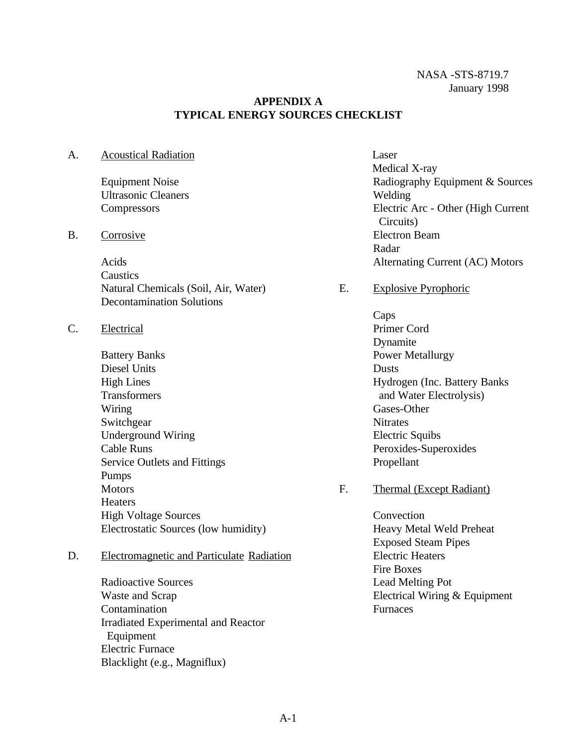### **APPENDIX A TYPICAL ENERGY SOURCES CHECKLIST**

A. Acoustical Radiation

Equipment Noise Ultrasonic Cleaners **Compressors** 

B. Corrosive

Acids **Caustics** Natural Chemicals (Soil, Air, Water) Decontamination Solutions

- C. Electrical
	- Battery Banks Diesel Units High Lines Transformers Wiring **Switchgear** Underground Wiring Cable Runs Service Outlets and Fittings Pumps **Motors Heaters** High Voltage Sources Electrostatic Sources (low humidity)

# D. Electromagnetic and Particulate Radiation

Radioactive Sources Waste and Scrap Contamination Irradiated Experimental and Reactor Equipment Electric Furnace Blacklight (e.g., Magniflux)

- Laser Medical X-ray Radiography Equipment & Sources Welding Electric Arc - Other (High Current Circuits) Electron Beam Radar Alternating Current (AC) Motors
- E. Explosive Pyrophoric
	- Caps Primer Cord Dynamite Power Metallurgy Dusts Hydrogen (Inc. Battery Banks and Water Electrolysis) Gases-Other **Nitrates** Electric Squibs Peroxides-Superoxides Propellant
- F. Thermal (Except Radiant)

**Convection** Heavy Metal Weld Preheat Exposed Steam Pipes Electric Heaters Fire Boxes Lead Melting Pot Electrical Wiring & Equipment **Furnaces**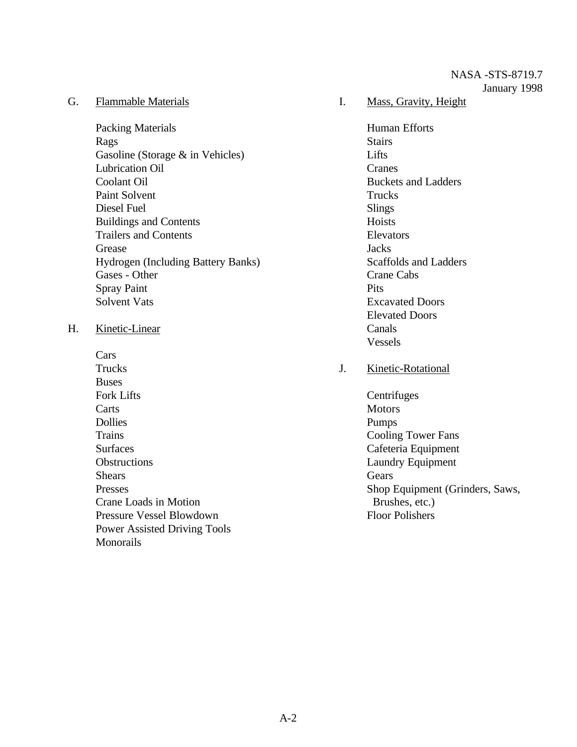#### G. Flammable Materials

Packing Materials Rags Gasoline (Storage & in Vehicles) Lubrication Oil Coolant Oil Paint Solvent Diesel Fuel Buildings and Contents Trailers and Contents Grease Hydrogen (Including Battery Banks) Gases - Other Spray Paint Solvent Vats

#### H. Kinetic-Linear

Cars **Trucks Buses** Fork Lifts **Carts** Dollies Trains Surfaces **Obstructions Shears** Presses Crane Loads in Motion Pressure Vessel Blowdown Power Assisted Driving Tools Monorails

### I. Mass, Gravity, Height

Human Efforts **Stairs** Lifts. Cranes Buckets and Ladders Trucks Slings **Hoists** Elevators **Jacks** Scaffolds and Ladders Crane Cabs **Pits** Excavated Doors Elevated Doors Canals Vessels

## J. Kinetic-Rotational

**Centrifuges** Motors Pumps Cooling Tower Fans Cafeteria Equipment Laundry Equipment **Gears** Shop Equipment (Grinders, Saws, Brushes, etc.) Floor Polishers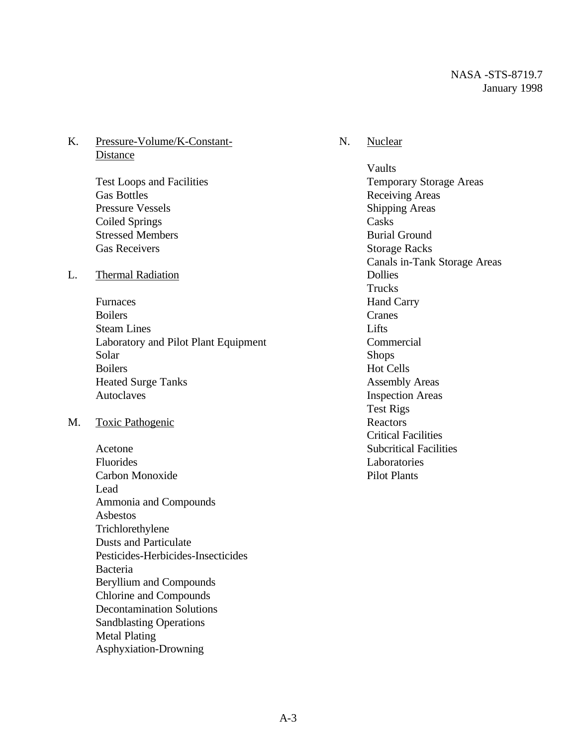## K. Pressure-Volume/K-Constant-**Distance**

Test Loops and Facilities Gas Bottles Pressure Vessels Coiled Springs Stressed Members Gas Receivers

#### L. Thermal Radiation

Furnaces Boilers Steam Lines Laboratory and Pilot Plant Equipment Solar Boilers Heated Surge Tanks Autoclaves

#### M. Toxic Pathogenic

Acetone Fluorides Carbon Monoxide Lead Ammonia and Compounds Asbestos Trichlorethylene Dusts and Particulate Pesticides-Herbicides-Insecticides Bacteria Beryllium and Compounds Chlorine and Compounds Decontamination Solutions Sandblasting Operations Metal Plating Asphyxiation-Drowning

### N. Nuclear

Vaults Temporary Storage Areas Receiving Areas Shipping Areas **Casks** Burial Ground Storage Racks Canals in-Tank Storage Areas Dollies Trucks Hand Carry Cranes **Lifts Commercial** Shops Hot Cells Assembly Areas Inspection Areas Test Rigs Reactors Critical Facilities Subcritical Facilities Laboratories Pilot Plants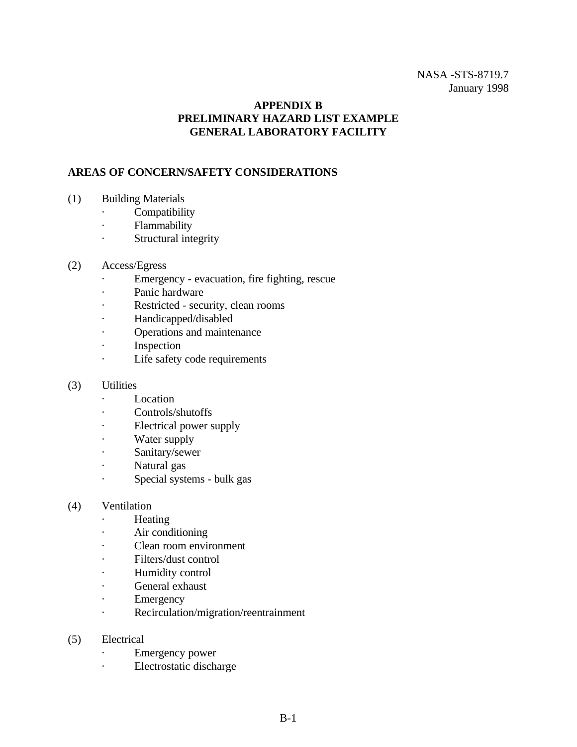## NASA -STS-8719.7 January 1998

## **APPENDIX B PRELIMINARY HAZARD LIST EXAMPLE GENERAL LABORATORY FACILITY**

## **AREAS OF CONCERN/SAFETY CONSIDERATIONS**

- (1) Building Materials
	- · Compatibility
	- · Flammability
	- · Structural integrity
- (2) Access/Egress
	- · Emergency evacuation, fire fighting, rescue
	- · Panic hardware
	- · Restricted security, clean rooms
	- · Handicapped/disabled
	- · Operations and maintenance
	- · Inspection
	- · Life safety code requirements
- (3) Utilities
	- · Location
	- · Controls/shutoffs
	- · Electrical power supply
	- · Water supply
	- · Sanitary/sewer
	- · Natural gas
	- · Special systems bulk gas

#### (4) Ventilation

- · Heating
- · Air conditioning
- · Clean room environment
- · Filters/dust control
- · Humidity control
- · General exhaust
- · Emergency
- · Recirculation/migration/reentrainment
- (5) Electrical
	- · Emergency power
	- · Electrostatic discharge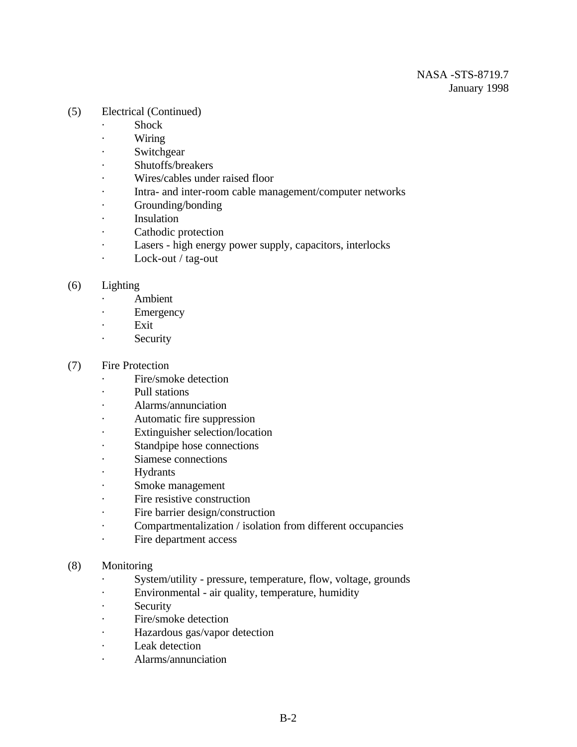- (5) Electrical (Continued)
	- · Shock
	- · Wiring
	- · Switchgear
	- · Shutoffs/breakers
	- · Wires/cables under raised floor
	- · Intra- and inter-room cable management/computer networks
	- · Grounding/bonding
	- · Insulation
	- · Cathodic protection
	- · Lasers high energy power supply, capacitors, interlocks
	- · Lock-out / tag-out

### (6) Lighting

- · Ambient
- · Emergency
- · Exit
- · Security

### (7) Fire Protection

- · Fire/smoke detection
- · Pull stations
- · Alarms/annunciation
- Automatic fire suppression
- · Extinguisher selection/location
- · Standpipe hose connections
- · Siamese connections
- · Hydrants
- · Smoke management
- · Fire resistive construction
- · Fire barrier design/construction
- · Compartmentalization / isolation from different occupancies
- · Fire department access
- (8) Monitoring
	- · System/utility pressure, temperature, flow, voltage, grounds
	- · Environmental air quality, temperature, humidity
	- · Security
	- · Fire/smoke detection
	- · Hazardous gas/vapor detection
	- · Leak detection
	- · Alarms/annunciation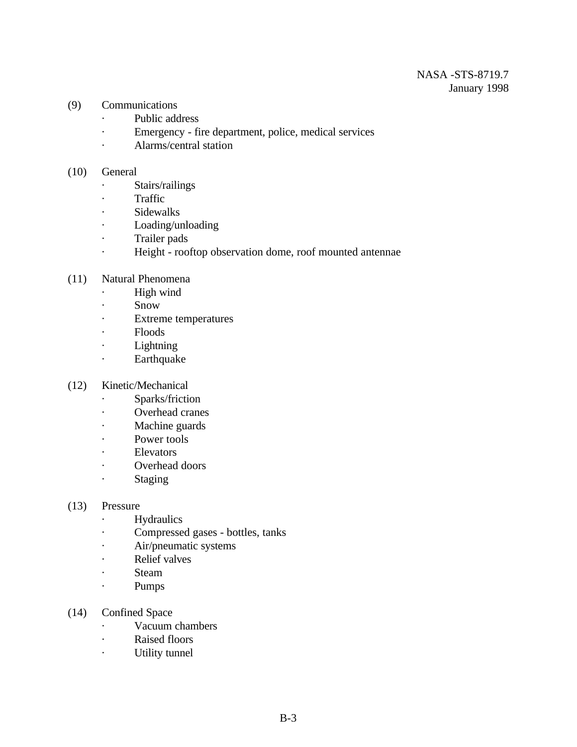- (9) Communications
	- · Public address
	- · Emergency fire department, police, medical services
	- · Alarms/central station

#### (10) General

- · Stairs/railings
- · Traffic
- · Sidewalks
- · Loading/unloading
- · Trailer pads
- · Height rooftop observation dome, roof mounted antennae
- (11) Natural Phenomena
	- · High wind
	- · Snow
	- · Extreme temperatures
	- · Floods
	- · Lightning
	- · Earthquake
- (12) Kinetic/Mechanical
	- · Sparks/friction
	- · Overhead cranes
	- · Machine guards
	- · Power tools
	- · Elevators
	- · Overhead doors
	- · Staging

#### (13) Pressure

- · Hydraulics
- · Compressed gases bottles, tanks
- · Air/pneumatic systems
- · Relief valves
- · Steam
- · Pumps
- (14) Confined Space
	- · Vacuum chambers
	- · Raised floors
	- · Utility tunnel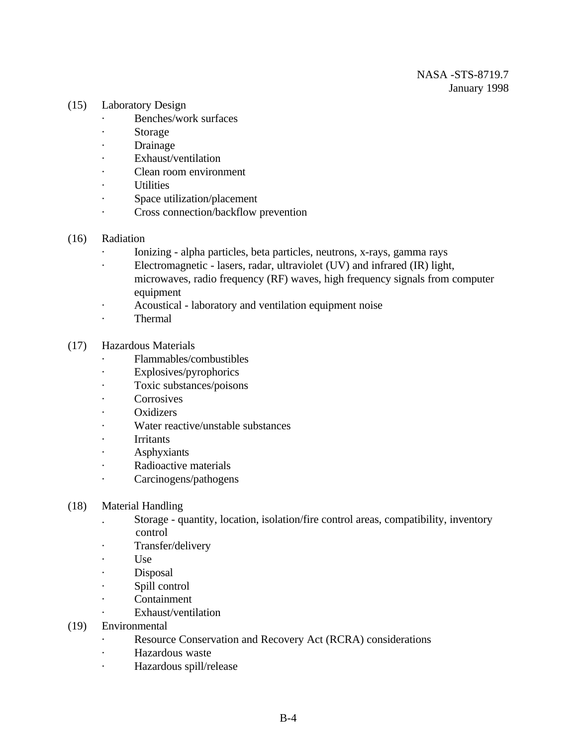- (15) Laboratory Design
	- · Benches/work surfaces
	- · Storage
	- · Drainage
	- · Exhaust/ventilation
	- Clean room environment
	- · Utilities
	- · Space utilization/placement
	- · Cross connection/backflow prevention
- (16) Radiation
	- · Ionizing alpha particles, beta particles, neutrons, x-rays, gamma rays
	- · Electromagnetic lasers, radar, ultraviolet (UV) and infrared (IR) light, microwaves, radio frequency (RF) waves, high frequency signals from computer equipment
	- · Acoustical laboratory and ventilation equipment noise
	- · Thermal
- (17) Hazardous Materials
	- · Flammables/combustibles
	- · Explosives/pyrophorics
	- · Toxic substances/poisons
	- **Corrosives**
	- · Oxidizers
	- · Water reactive/unstable substances
	- · Irritants
	- · Asphyxiants
	- Radioactive materials
	- · Carcinogens/pathogens
- (18) Material Handling
	- . Storage quantity, location, isolation/fire control areas, compatibility, inventory control
	- · Transfer/delivery
	- · Use
	- · Disposal
	- · Spill control
	- · Containment
	- Exhaust/ventilation
- (19) Environmental
	- · Resource Conservation and Recovery Act (RCRA) considerations
	- · Hazardous waste
	- · Hazardous spill/release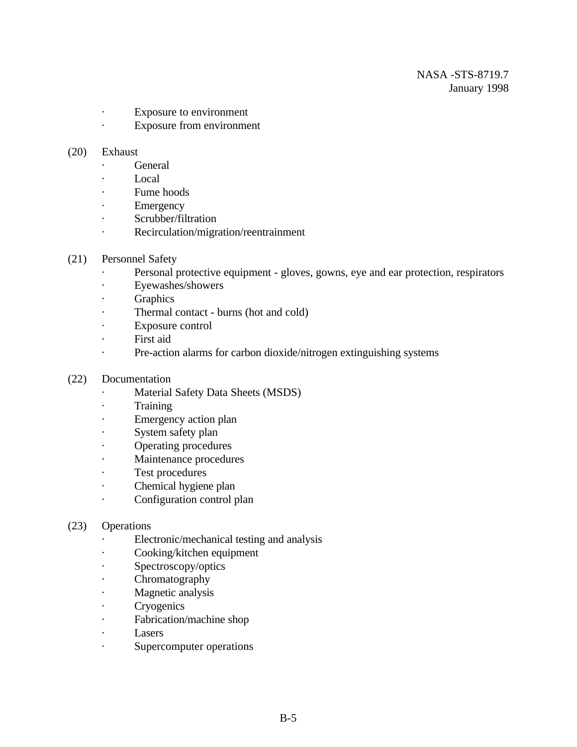- · Exposure to environment
- · Exposure from environment

#### (20) Exhaust

- · General
- · Local
- · Fume hoods
- · Emergency
- · Scrubber/filtration
- · Recirculation/migration/reentrainment
- (21) Personnel Safety
	- · Personal protective equipment gloves, gowns, eye and ear protection, respirators
	- · Eyewashes/showers
	- · Graphics
	- · Thermal contact burns (hot and cold)
	- · Exposure control
	- · First aid
	- · Pre-action alarms for carbon dioxide/nitrogen extinguishing systems
- (22) Documentation
	- · Material Safety Data Sheets (MSDS)
	- · Training
	- · Emergency action plan
	- · System safety plan
	- · Operating procedures
	- · Maintenance procedures
	- · Test procedures
	- Chemical hygiene plan
	- · Configuration control plan

#### (23) Operations

- · Electronic/mechanical testing and analysis
- · Cooking/kitchen equipment
- · Spectroscopy/optics
- · Chromatography
- · Magnetic analysis
- · Cryogenics
- · Fabrication/machine shop
- · Lasers
- · Supercomputer operations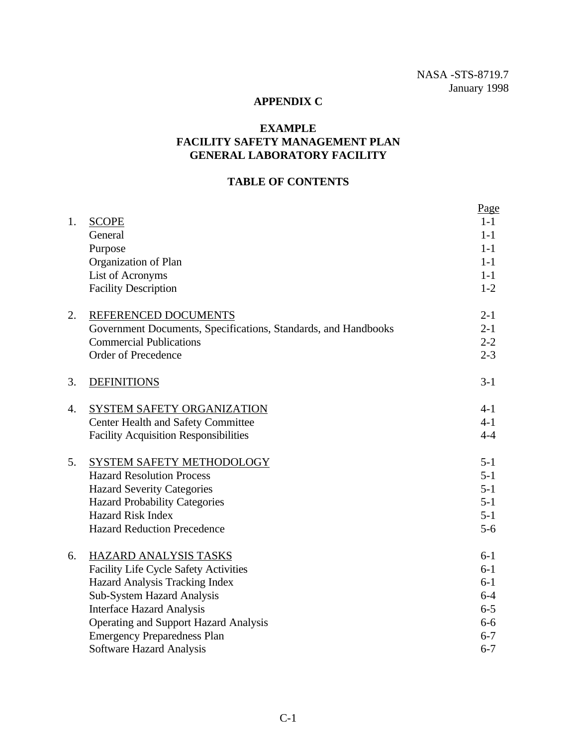#### **APPENDIX C**

### **EXAMPLE FACILITY SAFETY MANAGEMENT PLAN GENERAL LABORATORY FACILITY**

#### **TABLE OF CONTENTS**

| 1. |                                                                | Page<br>$1-1$ |
|----|----------------------------------------------------------------|---------------|
|    | <b>SCOPE</b><br>General                                        | $1-1$         |
|    | Purpose                                                        | $1-1$         |
|    | Organization of Plan                                           | $1 - 1$       |
|    | List of Acronyms                                               | $1-1$         |
|    | <b>Facility Description</b>                                    | $1 - 2$       |
|    |                                                                |               |
| 2. | REFERENCED DOCUMENTS                                           | $2 - 1$       |
|    | Government Documents, Specifications, Standards, and Handbooks | $2 - 1$       |
|    | <b>Commercial Publications</b>                                 | $2 - 2$       |
|    | <b>Order of Precedence</b>                                     | $2 - 3$       |
| 3. | <b>DEFINITIONS</b>                                             | $3-1$         |
| 4. | SYSTEM SAFETY ORGANIZATION                                     | $4 - 1$       |
|    | <b>Center Health and Safety Committee</b>                      | $4 - 1$       |
|    | <b>Facility Acquisition Responsibilities</b>                   | $4 - 4$       |
| 5. | SYSTEM SAFETY METHODOLOGY                                      | $5 - 1$       |
|    | <b>Hazard Resolution Process</b>                               | $5 - 1$       |
|    | <b>Hazard Severity Categories</b>                              | $5 - 1$       |
|    | <b>Hazard Probability Categories</b>                           | $5 - 1$       |
|    | <b>Hazard Risk Index</b>                                       | $5 - 1$       |
|    | <b>Hazard Reduction Precedence</b>                             | $5-6$         |
| 6. | HAZARD ANALYSIS TASKS                                          | $6 - 1$       |
|    | <b>Facility Life Cycle Safety Activities</b>                   | $6-1$         |
|    | Hazard Analysis Tracking Index                                 | $6 - 1$       |
|    | Sub-System Hazard Analysis                                     | $6 - 4$       |
|    | <b>Interface Hazard Analysis</b>                               | $6 - 5$       |
|    | <b>Operating and Support Hazard Analysis</b>                   | $6-6$         |
|    | <b>Emergency Preparedness Plan</b>                             | $6 - 7$       |
|    | <b>Software Hazard Analysis</b>                                | $6 - 7$       |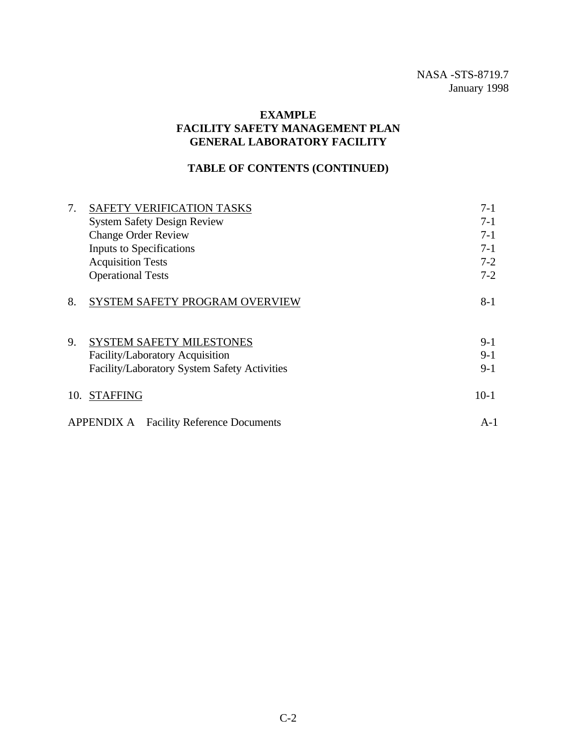#### **EXAMPLE FACILITY SAFETY MANAGEMENT PLAN GENERAL LABORATORY FACILITY**

### **TABLE OF CONTENTS (CONTINUED)**

| 7.  | SAFETY VERIFICATION TASKS                                | $7-1$   |
|-----|----------------------------------------------------------|---------|
|     | <b>System Safety Design Review</b>                       | $7-1$   |
|     | <b>Change Order Review</b>                               | $7-1$   |
|     | Inputs to Specifications                                 | $7-1$   |
|     | <b>Acquisition Tests</b>                                 | $7-2$   |
|     | <b>Operational Tests</b>                                 | $7-2$   |
| 8.  | SYSTEM SAFETY PROGRAM OVERVIEW                           | $8 - 1$ |
| 9.  | <b>SYSTEM SAFETY MILESTONES</b>                          | $9-1$   |
|     | Facility/Laboratory Acquisition                          | $9-1$   |
|     | Facility/Laboratory System Safety Activities             | $9-1$   |
| 10. | <b>STAFFING</b>                                          | $10-1$  |
|     | <b>APPENDIX A</b><br><b>Facility Reference Documents</b> | $A-1$   |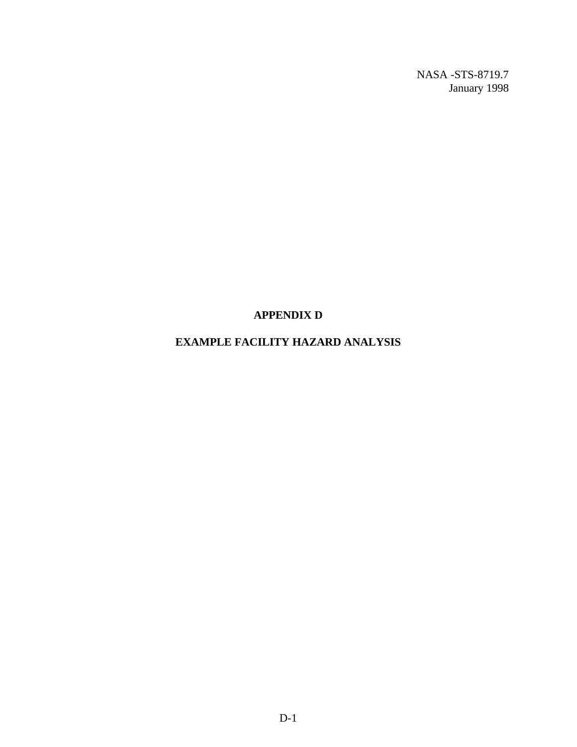#### **APPENDIX D**

### **EXAMPLE FACILITY HAZARD ANALYSIS**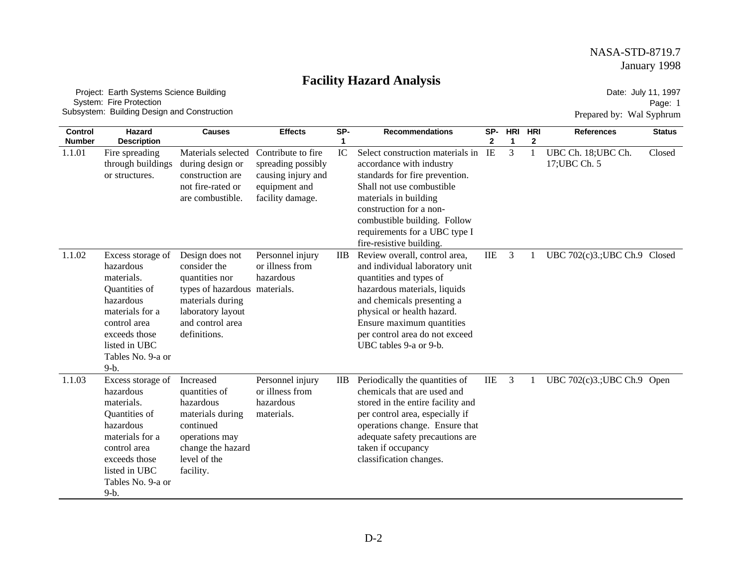# **Facility Hazard Analysis**

 Project: Earth Systems Science Building System: Fire Protection Subsystem: Building Design and Construction

Date: July 11, 1997 Page: 1 Prepared by: Wal Syphrum

| <b>Control</b><br><b>Number</b> | Hazard<br><b>Description</b>                                                                                                                                                   | <b>Causes</b>                                                                                                                                                   | <b>Effects</b>                                                                                      | SP-<br>1        | <b>Recommendations</b>                                                                                                                                                                                                                                                          | SP-<br>$\mathbf{2}$ | <b>HRI</b><br>1 | <b>HRI</b><br>2 | <b>References</b>                    | <b>Status</b> |
|---------------------------------|--------------------------------------------------------------------------------------------------------------------------------------------------------------------------------|-----------------------------------------------------------------------------------------------------------------------------------------------------------------|-----------------------------------------------------------------------------------------------------|-----------------|---------------------------------------------------------------------------------------------------------------------------------------------------------------------------------------------------------------------------------------------------------------------------------|---------------------|-----------------|-----------------|--------------------------------------|---------------|
| 1.1.01                          | Fire spreading<br>through buildings<br>or structures.                                                                                                                          | Materials selected<br>during design or<br>construction are<br>not fire-rated or<br>are combustible.                                                             | Contribute to fire<br>spreading possibly<br>causing injury and<br>equipment and<br>facility damage. | IC              | Select construction materials in<br>accordance with industry<br>standards for fire prevention.<br>Shall not use combustible<br>materials in building<br>construction for a non-<br>combustible building. Follow<br>requirements for a UBC type I<br>fire-resistive building.    | IE                  | 3               |                 | UBC Ch. 18; UBC Ch.<br>17; UBC Ch. 5 | Closed        |
| 1.1.02                          | Excess storage of<br>hazardous<br>materials.<br>Quantities of<br>hazardous<br>materials for a<br>control area<br>exceeds those<br>listed in UBC<br>Tables No. 9-a or<br>$9-b.$ | Design does not<br>consider the<br>quantities nor<br>types of hazardous materials.<br>materials during<br>laboratory layout<br>and control area<br>definitions. | Personnel injury<br>or illness from<br>hazardous                                                    | $_{\text{IIB}}$ | Review overall, control area,<br>and individual laboratory unit<br>quantities and types of<br>hazardous materials, liquids<br>and chemicals presenting a<br>physical or health hazard.<br>Ensure maximum quantities<br>per control area do not exceed<br>UBC tables 9-a or 9-b. | IIE                 | 3               | 1               | UBC 702(c)3.; UBC Ch.9 Closed        |               |
| 1.1.03                          | Excess storage of<br>hazardous<br>materials.<br>Quantities of<br>hazardous<br>materials for a<br>control area<br>exceeds those<br>listed in UBC<br>Tables No. 9-a or<br>$9-b.$ | Increased<br>quantities of<br>hazardous<br>materials during<br>continued<br>operations may<br>change the hazard<br>level of the<br>facility.                    | Personnel injury<br>or illness from<br>hazardous<br>materials.                                      | $_{\rm IIB}$    | Periodically the quantities of<br>chemicals that are used and<br>stored in the entire facility and<br>per control area, especially if<br>operations change. Ensure that<br>adequate safety precautions are<br>taken if occupancy<br>classification changes.                     | <b>IIE</b>          | 3               |                 | UBC 702(c)3.; UBC Ch.9 Open          |               |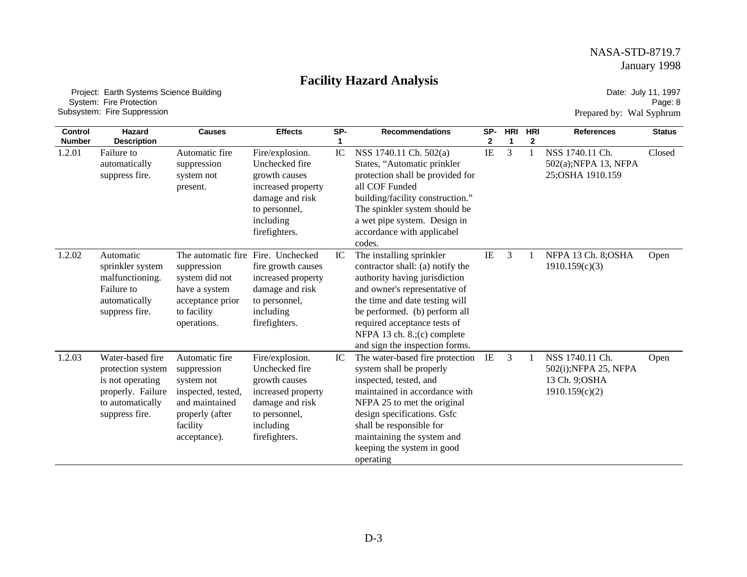# **Facility Hazard Analysis**

 Project: Earth Systems Science Building System: Fire Protection Subsystem: Fire Suppression

Date: July 11, 1997 Page: 8 Prepared by: Wal Syphrum

| <b>Control</b><br><b>Number</b> | Hazard<br><b>Description</b>                                                                                         | <b>Causes</b>                                                                                                                      | <b>Effects</b>                                                                                                                             | SP- | <b>Recommendations</b>                                                                                                                                                                                                                                                                             | SP-<br>2 | <b>HRI</b><br>1 | HRI<br>2 | <b>References</b>                                                            | <b>Status</b> |
|---------------------------------|----------------------------------------------------------------------------------------------------------------------|------------------------------------------------------------------------------------------------------------------------------------|--------------------------------------------------------------------------------------------------------------------------------------------|-----|----------------------------------------------------------------------------------------------------------------------------------------------------------------------------------------------------------------------------------------------------------------------------------------------------|----------|-----------------|----------|------------------------------------------------------------------------------|---------------|
| 1.2.01                          | Failure to<br>automatically<br>suppress fire.                                                                        | Automatic fire<br>suppression<br>system not<br>present.                                                                            | Fire/explosion.<br>Unchecked fire<br>growth causes<br>increased property<br>damage and risk<br>to personnel,<br>including<br>firefighters. | IC  | NSS 1740.11 Ch. 502(a)<br>States, "Automatic prinkler<br>protection shall be provided for<br>all COF Funded<br>building/facility construction."<br>The spinkler system should be<br>a wet pipe system. Design in<br>accordance with applicabel<br>codes.                                           | IE       | 3               |          | NSS 1740.11 Ch.<br>502(a);NFPA 13, NFPA<br>25; OSHA 1910.159                 | Closed        |
| 1.2.02                          | Automatic<br>sprinkler system<br>malfunctioning.<br>Failure to<br>automatically<br>suppress fire.                    | The automatic fire<br>suppression<br>system did not<br>have a system<br>acceptance prior<br>to facility<br>operations.             | Fire. Unchecked<br>fire growth causes<br>increased property<br>damage and risk<br>to personnel,<br>including<br>firefighters.              | IC  | The installing sprinkler<br>contractor shall: (a) notify the<br>authority having jurisdiction<br>and owner's representative of<br>the time and date testing will<br>be performed. (b) perform all<br>required acceptance tests of<br>NFPA 13 ch. 8.;(c) complete<br>and sign the inspection forms. | IE       | 3               |          | NFPA 13 Ch. 8; OSHA<br>1910.159(c)(3)                                        | Open          |
| 1.2.03                          | Water-based fire<br>protection system<br>is not operating<br>properly. Failure<br>to automatically<br>suppress fire. | Automatic fire<br>suppression<br>system not<br>inspected, tested,<br>and maintained<br>properly (after<br>facility<br>acceptance). | Fire/explosion.<br>Unchecked fire<br>growth causes<br>increased property<br>damage and risk<br>to personnel,<br>including<br>firefighters. | IC  | The water-based fire protection<br>system shall be properly<br>inspected, tested, and<br>maintained in accordance with<br>NFPA 25 to met the original<br>design specifications. Gsfc<br>shall be responsible for<br>maintaining the system and<br>keeping the system in good<br>operating          | IE       | 3               |          | NSS 1740.11 Ch.<br>502(i); NFPA 25, NFPA<br>13 Ch. 9; OSHA<br>1910.159(c)(2) | Open          |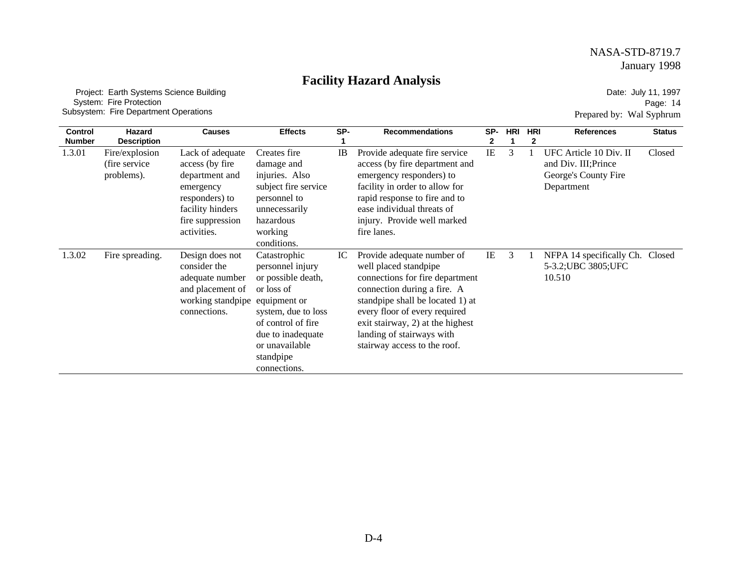# **Facility Hazard Analysis**

 Project: Earth Systems Science Building System: Fire Protection Subsystem: Fire Department Operations

Date: July 11, 1997 Page: 14 Prepared by: Wal Syphrum

| <b>Control</b><br><b>Number</b> | Hazard<br><b>Description</b>                   | <b>Causes</b>                                                                                                                               | <b>Effects</b>                                                                                                                                                                        | SP- | <b>Recommendations</b>                                                                                                                                                                                                                                                                      | SP-      | <b>HRI</b> | <b>HRI</b><br>2 | <b>References</b>                                                                    | <b>Status</b> |
|---------------------------------|------------------------------------------------|---------------------------------------------------------------------------------------------------------------------------------------------|---------------------------------------------------------------------------------------------------------------------------------------------------------------------------------------|-----|---------------------------------------------------------------------------------------------------------------------------------------------------------------------------------------------------------------------------------------------------------------------------------------------|----------|------------|-----------------|--------------------------------------------------------------------------------------|---------------|
| 1.3.01                          | Fire/explosion<br>(fire service)<br>problems). | Lack of adequate<br>access (by fire<br>department and<br>emergency<br>responders) to<br>facility hinders<br>fire suppression<br>activities. | Creates fire<br>damage and<br>injuries. Also<br>subject fire service<br>personnel to<br>unnecessarily<br>hazardous<br>working<br>conditions.                                          | IB  | Provide adequate fire service<br>access (by fire department and<br>emergency responders) to<br>facility in order to allow for<br>rapid response to fire and to<br>ease individual threats of<br>injury. Provide well marked<br>fire lanes.                                                  | $\rm IE$ | 3          |                 | UFC Article 10 Div. II<br>and Div. III; Prince<br>George's County Fire<br>Department | Closed        |
| 1.3.02                          | Fire spreading.                                | Design does not<br>consider the<br>adequate number<br>and placement of<br>working standpipe equipment or<br>connections.                    | Catastrophic<br>personnel injury<br>or possible death,<br>or loss of<br>system, due to loss<br>of control of fire<br>due to inadequate<br>or unavailable<br>standpipe<br>connections. | IC  | Provide adequate number of<br>well placed standpipe<br>connections for fire department<br>connection during a fire. A<br>standpipe shall be located 1) at<br>every floor of every required<br>exit stairway, 2) at the highest<br>landing of stairways with<br>stairway access to the roof. | IE       | 3          |                 | NFPA 14 specifically Ch.<br>5-3.2; UBC 3805; UFC<br>10.510                           | Closed        |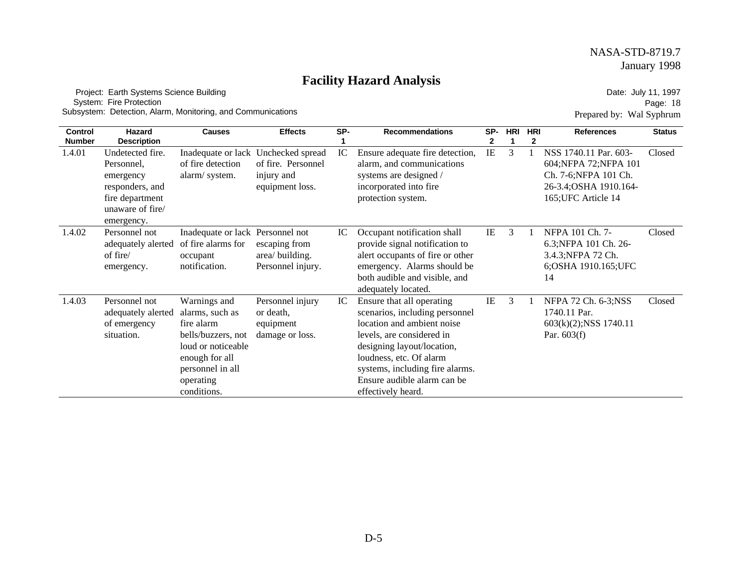# **Facility Hazard Analysis**

 Project: Earth Systems Science Building System: Fire Protection Subsystem: Detection, Alarm, Monitoring, and Communications

Date: July 11, 1997 Page: 18 Prepared by: Wal Syphrum

| <b>Control</b> | <b>Hazard</b>                                                                                                       | <b>Causes</b>                                                                                                                                               | <b>Effects</b>                                                                             | SP- | <b>Recommendations</b>                                                                                                                                                                                                                                                  | SP- | <b>HRI</b> | <b>HRI</b> | <b>References</b>                                                                                                         | <b>Status</b> |
|----------------|---------------------------------------------------------------------------------------------------------------------|-------------------------------------------------------------------------------------------------------------------------------------------------------------|--------------------------------------------------------------------------------------------|-----|-------------------------------------------------------------------------------------------------------------------------------------------------------------------------------------------------------------------------------------------------------------------------|-----|------------|------------|---------------------------------------------------------------------------------------------------------------------------|---------------|
| <b>Number</b>  | <b>Description</b>                                                                                                  |                                                                                                                                                             |                                                                                            |     |                                                                                                                                                                                                                                                                         | 2   |            | 2          |                                                                                                                           |               |
| 1.4.01         | Undetected fire.<br>Personnel,<br>emergency<br>responders, and<br>fire department<br>unaware of fire/<br>emergency. | of fire detection<br>alarm/system.                                                                                                                          | Inadequate or lack Unchecked spread<br>of fire. Personnel<br>injury and<br>equipment loss. | IC  | Ensure adequate fire detection,<br>alarm, and communications<br>systems are designed /<br>incorporated into fire<br>protection system.                                                                                                                                  | IE  | 3          |            | NSS 1740.11 Par. 603-<br>604; NFPA 72; NFPA 101<br>Ch. 7-6; NFPA 101 Ch.<br>26-3.4; OSHA 1910.164-<br>165; UFC Article 14 | Closed        |
| 1.4.02         | Personnel not<br>adequately alerted<br>of fire/<br>emergency.                                                       | Inadequate or lack Personnel not<br>of fire alarms for<br>occupant<br>notification.                                                                         | escaping from<br>area/building.<br>Personnel injury.                                       | IC  | Occupant notification shall<br>provide signal notification to<br>alert occupants of fire or other<br>emergency. Alarms should be<br>both audible and visible, and<br>adequately located.                                                                                | IE  | 3          |            | NFPA 101 Ch. 7-<br>6.3; NFPA 101 Ch. 26-<br>3.4.3; NFPA 72 Ch.<br>6; OSHA 1910.165; UFC<br>14                             | Closed        |
| 1.4.03         | Personnel not<br>adequately alerted<br>of emergency<br>situation.                                                   | Warnings and<br>alarms, such as<br>fire alarm<br>bells/buzzers, not<br>loud or noticeable<br>enough for all<br>personnel in all<br>operating<br>conditions. | Personnel injury<br>or death,<br>equipment<br>damage or loss.                              | IC  | Ensure that all operating<br>scenarios, including personnel<br>location and ambient noise<br>levels, are considered in<br>designing layout/location,<br>loudness, etc. Of alarm<br>systems, including fire alarms.<br>Ensure audible alarm can be<br>effectively heard. | IE  | 3          |            | NFPA 72 Ch. 6-3;NSS<br>1740.11 Par.<br>603(k)(2); NSS 1740.11<br>Par. $603(f)$                                            | Closed        |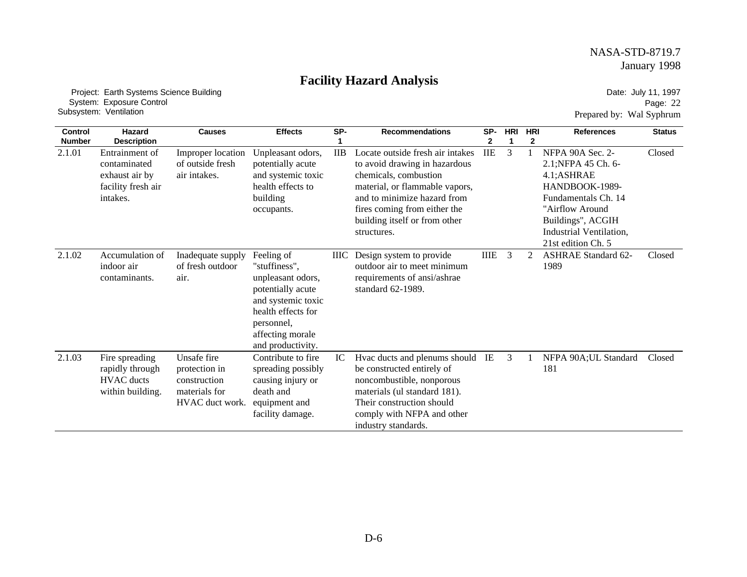# **Facility Hazard Analysis**

 Project: Earth Systems Science Building System: Exposure Control Subsystem: Ventilation

Date: July 11, 1997 Page: 22 Prepared by: Wal Syphrum

| Control       | Hazard                                                                             | <b>Causes</b>                                                                    | <b>Effects</b>                                                                                                                                                           | SP-          | <b>Recommendations</b>                                                                                                                                                                                                                      | SP-        | <b>HRI</b>     | <b>HRI</b>     | <b>References</b>                                                                                                                                                                       | <b>Status</b> |
|---------------|------------------------------------------------------------------------------------|----------------------------------------------------------------------------------|--------------------------------------------------------------------------------------------------------------------------------------------------------------------------|--------------|---------------------------------------------------------------------------------------------------------------------------------------------------------------------------------------------------------------------------------------------|------------|----------------|----------------|-----------------------------------------------------------------------------------------------------------------------------------------------------------------------------------------|---------------|
| <b>Number</b> | <b>Description</b>                                                                 |                                                                                  |                                                                                                                                                                          |              |                                                                                                                                                                                                                                             | 2          | -1             | $\mathbf{2}$   |                                                                                                                                                                                         |               |
| 2.1.01        | Entrainment of<br>contaminated<br>exhaust air by<br>facility fresh air<br>intakes. | Improper location<br>of outside fresh<br>air intakes.                            | Unpleasant odors,<br>potentially acute<br>and systemic toxic<br>health effects to<br>building<br>occupants.                                                              | $_{\rm IIB}$ | Locate outside fresh air intakes<br>to avoid drawing in hazardous<br>chemicals, combustion<br>material, or flammable vapors,<br>and to minimize hazard from<br>fires coming from either the<br>building itself or from other<br>structures. | <b>IIE</b> | 3              |                | NFPA 90A Sec. 2-<br>2.1; NFPA 45 Ch. 6-<br>4.1;ASHRAE<br>HANDBOOK-1989-<br>Fundamentals Ch. 14<br>"Airflow Around<br>Buildings", ACGIH<br>Industrial Ventilation.<br>21st edition Ch. 5 | Closed        |
| 2.1.02        | Accumulation of<br>indoor air<br>contaminants.                                     | Inadequate supply<br>of fresh outdoor<br>air.                                    | Feeling of<br>"stuffiness",<br>unpleasant odors,<br>potentially acute<br>and systemic toxic<br>health effects for<br>personnel,<br>affecting morale<br>and productivity. | <b>IIIC</b>  | Design system to provide<br>outdoor air to meet minimum<br>requirements of ansi/ashrae<br>standard 62-1989.                                                                                                                                 | IIIE       | $\overline{3}$ | $\overline{2}$ | <b>ASHRAE Standard 62-</b><br>1989                                                                                                                                                      | Closed        |
| 2.1.03        | Fire spreading<br>rapidly through<br><b>HVAC</b> ducts<br>within building.         | Unsafe fire<br>protection in<br>construction<br>materials for<br>HVAC duct work. | Contribute to fire.<br>spreading possibly<br>causing injury or<br>death and<br>equipment and<br>facility damage.                                                         | IC           | Hvac ducts and plenums should<br>be constructed entirely of<br>noncombustible, nonporous<br>materials (ul standard 181).<br>Their construction should<br>comply with NFPA and other<br>industry standards.                                  | IE         | 3              |                | NFPA 90A; UL Standard<br>181                                                                                                                                                            | Closed        |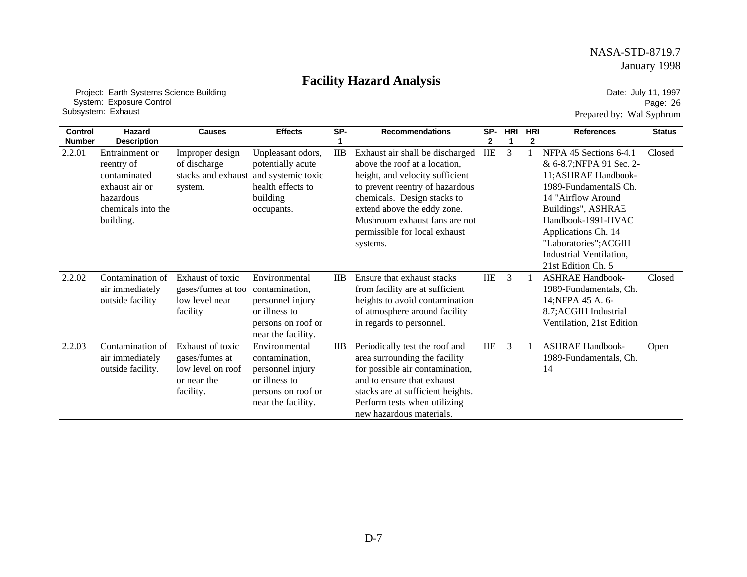# **Facility Hazard Analysis**

 Project: Earth Systems Science Building System: Exposure Control Subsystem: Exhaust

Date: July 11, 1997 Page: 26 Prepared by: Wal Syphrum

| Control       | Hazard                                                                                                         | <b>Causes</b>                                                                       | <b>Effects</b>                                                                                                   | SP-             | <b>Recommendations</b>                                                                                                                                                                                                                                                             | SP-          | <b>HRI</b> | <b>HRI</b> | <b>References</b>                                                                                                                                                                                                                                                     | <b>Status</b> |
|---------------|----------------------------------------------------------------------------------------------------------------|-------------------------------------------------------------------------------------|------------------------------------------------------------------------------------------------------------------|-----------------|------------------------------------------------------------------------------------------------------------------------------------------------------------------------------------------------------------------------------------------------------------------------------------|--------------|------------|------------|-----------------------------------------------------------------------------------------------------------------------------------------------------------------------------------------------------------------------------------------------------------------------|---------------|
| <b>Number</b> | <b>Description</b>                                                                                             |                                                                                     |                                                                                                                  |                 |                                                                                                                                                                                                                                                                                    | $\mathbf{2}$ | 1          | 2          |                                                                                                                                                                                                                                                                       |               |
| 2.2.01        | Entrainment or<br>reentry of<br>contaminated<br>exhaust air or<br>hazardous<br>chemicals into the<br>building. | Improper design<br>of discharge<br>stacks and exhaust<br>system.                    | Unpleasant odors,<br>potentially acute<br>and systemic toxic<br>health effects to<br>building<br>occupants.      | <b>IIB</b>      | Exhaust air shall be discharged<br>above the roof at a location,<br>height, and velocity sufficient<br>to prevent reentry of hazardous<br>chemicals. Design stacks to<br>extend above the eddy zone.<br>Mushroom exhaust fans are not<br>permissible for local exhaust<br>systems. | IIE          | 3          |            | NFPA 45 Sections 6-4.1<br>& 6-8.7; NFPA 91 Sec. 2-<br>11;ASHRAE Handbook-<br>1989-FundamentalS Ch.<br>14 "Airflow Around<br>Buildings", ASHRAE<br>Handbook-1991-HVAC<br>Applications Ch. 14<br>"Laboratories"; ACGIH<br>Industrial Ventilation,<br>21st Edition Ch. 5 | Closed        |
| 2.2.02        | Contamination of<br>air immediately<br>outside facility                                                        | Exhaust of toxic<br>gases/fumes at too<br>low level near<br>facility                | Environmental<br>contamination,<br>personnel injury<br>or illness to<br>persons on roof or<br>near the facility. | <b>IIB</b>      | Ensure that exhaust stacks<br>from facility are at sufficient<br>heights to avoid contamination<br>of atmosphere around facility<br>in regards to personnel.                                                                                                                       | IIE          | 3          |            | <b>ASHRAE Handbook-</b><br>1989-Fundamentals, Ch.<br>14; NFPA 45 A. 6-<br>8.7; ACGIH Industrial<br>Ventilation, 21st Edition                                                                                                                                          | Closed        |
| 2.2.03        | Contamination of<br>air immediately<br>outside facility.                                                       | Exhaust of toxic<br>gases/fumes at<br>low level on roof<br>or near the<br>facility. | Environmental<br>contamination,<br>personnel injury<br>or illness to<br>persons on roof or<br>near the facility. | $_{\text{IIB}}$ | Periodically test the roof and<br>area surrounding the facility<br>for possible air contamination,<br>and to ensure that exhaust<br>stacks are at sufficient heights.<br>Perform tests when utilizing<br>new hazardous materials.                                                  | IIE          | 3          |            | <b>ASHRAE Handbook-</b><br>1989-Fundamentals, Ch.<br>14                                                                                                                                                                                                               | Open          |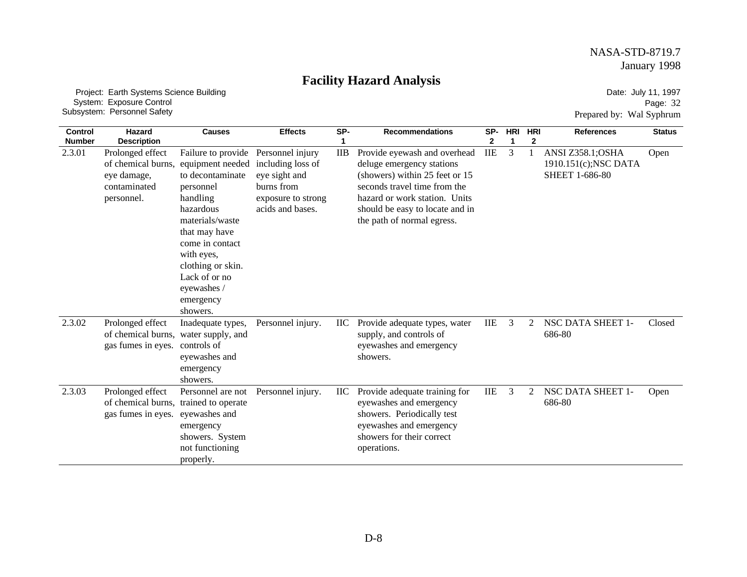# **Facility Hazard Analysis**

 Project: Earth Systems Science Building System: Exposure Control Subsystem: Personnel Safety

Date: July 11, 1997 Page: 32 Prepared by: Wal Syphrum

| <b>Control</b><br><b>Number</b> | <b>Hazard</b><br><b>Description</b>                                                 | <b>Causes</b>                                                                                                                                                                                                                                       | <b>Effects</b>                                                                                                 | SP-<br>1        | <b>Recommendations</b>                                                                                                                                                                                                        | SP-<br>2   | <b>HRI</b><br>1 | <b>HRI</b><br>2 | <b>References</b>                                                  | <b>Status</b> |
|---------------------------------|-------------------------------------------------------------------------------------|-----------------------------------------------------------------------------------------------------------------------------------------------------------------------------------------------------------------------------------------------------|----------------------------------------------------------------------------------------------------------------|-----------------|-------------------------------------------------------------------------------------------------------------------------------------------------------------------------------------------------------------------------------|------------|-----------------|-----------------|--------------------------------------------------------------------|---------------|
| 2.3.01                          | Prolonged effect<br>of chemical burns,<br>eye damage,<br>contaminated<br>personnel. | Failure to provide<br>equipment needed<br>to decontaminate<br>personnel<br>handling<br>hazardous<br>materials/waste<br>that may have<br>come in contact<br>with eyes,<br>clothing or skin.<br>Lack of or no<br>eyewashes /<br>emergency<br>showers. | Personnel injury<br>including loss of<br>eye sight and<br>burns from<br>exposure to strong<br>acids and bases. | $_{\text{IIB}}$ | Provide eyewash and overhead<br>deluge emergency stations<br>(showers) within 25 feet or 15<br>seconds travel time from the<br>hazard or work station. Units<br>should be easy to locate and in<br>the path of normal egress. | <b>IIE</b> | 3               |                 | ANSI Z358.1;OSHA<br>1910.151(c); NSC DATA<br><b>SHEET 1-686-80</b> | Open          |
| 2.3.02                          | Prolonged effect<br>of chemical burns,<br>gas fumes in eyes.                        | Inadequate types,<br>water supply, and<br>controls of<br>eyewashes and<br>emergency<br>showers.                                                                                                                                                     | Personnel injury.                                                                                              | IIC             | Provide adequate types, water<br>supply, and controls of<br>eyewashes and emergency<br>showers.                                                                                                                               | <b>IIE</b> | 3               | 2               | NSC DATA SHEET 1-<br>686-80                                        | Closed        |
| 2.3.03                          | Prolonged effect<br>of chemical burns, trained to operate<br>gas fumes in eyes.     | Personnel are not<br>eyewashes and<br>emergency<br>showers. System<br>not functioning<br>properly.                                                                                                                                                  | Personnel injury.                                                                                              | IIC             | Provide adequate training for<br>eyewashes and emergency<br>showers. Periodically test<br>eyewashes and emergency<br>showers for their correct<br>operations.                                                                 | IIE        | 3               | 2               | NSC DATA SHEET 1-<br>686-80                                        | Open          |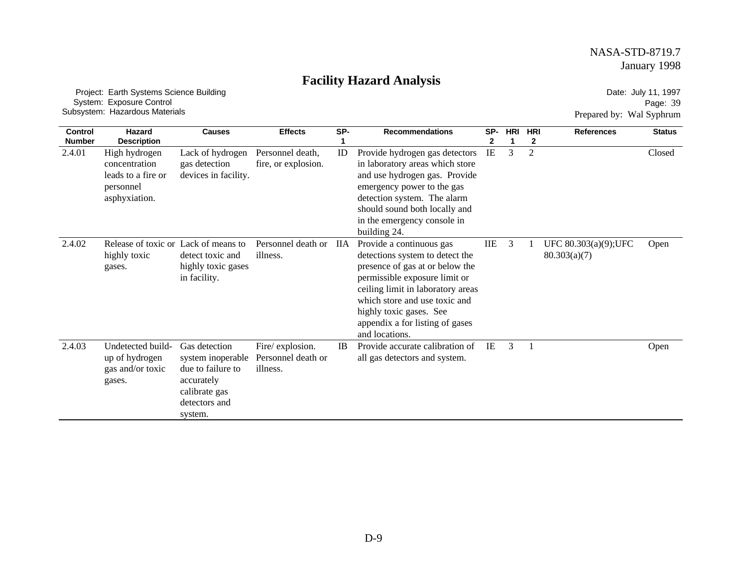# **Facility Hazard Analysis**

 Project: Earth Systems Science Building System: Exposure Control Subsystem: Hazardous Materials

Date: July 11, 1997 Page: 39 Prepared by: Wal Syphrum

| Control       | Hazard                                                                             | <b>Causes</b>                                                                                                      | <b>Effects</b>                                    | SP-       | <b>Recommendations</b>                                                                                                                                                                                                                                                                | SP-        | <b>HRI</b> | <b>HRI</b>     | <b>References</b>                     | <b>Status</b> |
|---------------|------------------------------------------------------------------------------------|--------------------------------------------------------------------------------------------------------------------|---------------------------------------------------|-----------|---------------------------------------------------------------------------------------------------------------------------------------------------------------------------------------------------------------------------------------------------------------------------------------|------------|------------|----------------|---------------------------------------|---------------|
| <b>Number</b> | <b>Description</b>                                                                 |                                                                                                                    |                                                   |           |                                                                                                                                                                                                                                                                                       | 2          |            | 2              |                                       |               |
| 2.4.01        | High hydrogen<br>concentration<br>leads to a fire or<br>personnel<br>asphyxiation. | Lack of hydrogen<br>gas detection<br>devices in facility.                                                          | Personnel death,<br>fire, or explosion.           | ID        | Provide hydrogen gas detectors<br>in laboratory areas which store<br>and use hydrogen gas. Provide<br>emergency power to the gas<br>detection system. The alarm<br>should sound both locally and<br>in the emergency console in<br>building 24.                                       | IE         | 3          | $\overline{2}$ |                                       | Closed        |
| 2.4.02        | Release of toxic or Lack of means to<br>highly toxic<br>gases.                     | detect toxic and<br>highly toxic gases<br>in facility.                                                             | Personnel death or<br>illness.                    | ΠА        | Provide a continuous gas<br>detections system to detect the<br>presence of gas at or below the<br>permissible exposure limit or<br>ceiling limit in laboratory areas<br>which store and use toxic and<br>highly toxic gases. See<br>appendix a for listing of gases<br>and locations. | <b>IIE</b> | 3          |                | UFC 80.303(a)(9); UFC<br>80.303(a)(7) | Open          |
| 2.4.03        | Undetected build-<br>up of hydrogen<br>gas and/or toxic<br>gases.                  | Gas detection<br>system inoperable<br>due to failure to<br>accurately<br>calibrate gas<br>detectors and<br>system. | Fire/explosion.<br>Personnel death or<br>illness. | <b>IB</b> | Provide accurate calibration of<br>all gas detectors and system.                                                                                                                                                                                                                      | IE         | 3          |                |                                       | Open          |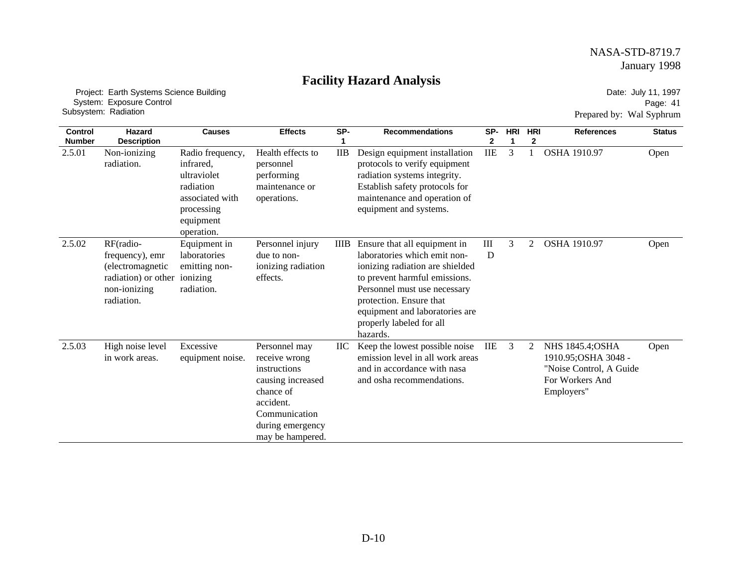# **Facility Hazard Analysis**

 Project: Earth Systems Science Building System: Exposure Control Subsystem: Radiation

Date: July 11, 1997 Page: 41 Prepared by: Wal Syphrum

| <b>Control</b><br><b>Number</b> | Hazard<br><b>Description</b>                                                                           | <b>Causes</b>                                                                                                         | <b>Effects</b>                                                                                                                                         | SP-             | <b>Recommendations</b>                                                                                                                                                                                                                                                | SP-                     | <b>HRI</b> | <b>HRI</b><br>2 | <b>References</b>                                                                                    | <b>Status</b> |
|---------------------------------|--------------------------------------------------------------------------------------------------------|-----------------------------------------------------------------------------------------------------------------------|--------------------------------------------------------------------------------------------------------------------------------------------------------|-----------------|-----------------------------------------------------------------------------------------------------------------------------------------------------------------------------------------------------------------------------------------------------------------------|-------------------------|------------|-----------------|------------------------------------------------------------------------------------------------------|---------------|
| 2.5.01                          | Non-ionizing<br>radiation.                                                                             | Radio frequency,<br>infrared.<br>ultraviolet<br>radiation<br>associated with<br>processing<br>equipment<br>operation. | Health effects to<br>personnel<br>performing<br>maintenance or<br>operations.                                                                          | $_{\text{IIB}}$ | Design equipment installation<br>protocols to verify equipment<br>radiation systems integrity.<br>Establish safety protocols for<br>maintenance and operation of<br>equipment and systems.                                                                            | $\rm IIE$               | 3          |                 | <b>OSHA 1910.97</b>                                                                                  | Open          |
| 2.5.02                          | RF(radio-<br>frequency), emr<br>(electromagnetic)<br>radiation) or other<br>non-ionizing<br>radiation. | Equipment in<br>laboratories<br>emitting non-<br>ionizing<br>radiation.                                               | Personnel injury<br>due to non-<br>ionizing radiation<br>effects.                                                                                      | <b>IIIB</b>     | Ensure that all equipment in<br>laboratories which emit non-<br>ionizing radiation are shielded<br>to prevent harmful emissions.<br>Personnel must use necessary<br>protection. Ensure that<br>equipment and laboratories are<br>properly labeled for all<br>hazards. | $\mathop{\rm III}$<br>D | 3          | 2               | <b>OSHA 1910.97</b>                                                                                  | Open          |
| 2.5.03                          | High noise level<br>in work areas.                                                                     | Excessive<br>equipment noise.                                                                                         | Personnel may<br>receive wrong<br>instructions<br>causing increased<br>chance of<br>accident.<br>Communication<br>during emergency<br>may be hampered. | ПC              | Keep the lowest possible noise<br>emission level in all work areas<br>and in accordance with nasa<br>and osha recommendations.                                                                                                                                        | IIE                     | 3          | 2               | NHS 1845.4; OSHA<br>1910.95; OSHA 3048 -<br>"Noise Control, A Guide<br>For Workers And<br>Employers" | Open          |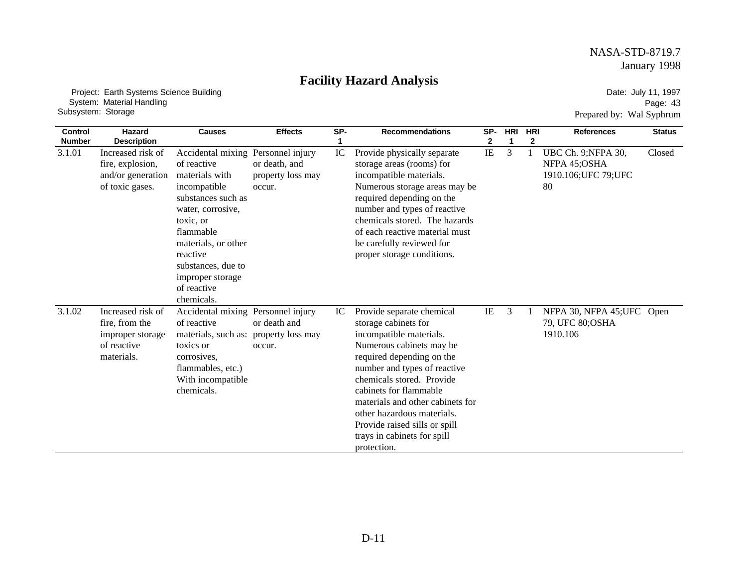# **Facility Hazard Analysis**

 Project: Earth Systems Science Building System: Material Handling Subsystem: Storage

Date: July 11, 1997 Page: 43 Prepared by: Wal Syphrum

| <b>Control</b> | <b>Hazard</b>                                                                        | <b>Causes</b>                                                                                                                                                                                                                                                      | <b>Effects</b>                               | SP- | <b>Recommendations</b>                                                                                                                                                                                                                                                                                                                                                        | SP-          | <b>HRI</b>   | <b>HRI</b>   | <b>References</b>                                                 | <b>Status</b> |
|----------------|--------------------------------------------------------------------------------------|--------------------------------------------------------------------------------------------------------------------------------------------------------------------------------------------------------------------------------------------------------------------|----------------------------------------------|-----|-------------------------------------------------------------------------------------------------------------------------------------------------------------------------------------------------------------------------------------------------------------------------------------------------------------------------------------------------------------------------------|--------------|--------------|--------------|-------------------------------------------------------------------|---------------|
| <b>Number</b>  | <b>Description</b>                                                                   |                                                                                                                                                                                                                                                                    |                                              |     |                                                                                                                                                                                                                                                                                                                                                                               | $\mathbf{2}$ | $\mathbf{1}$ | $\mathbf{2}$ |                                                                   |               |
| 3.1.01         | Increased risk of<br>fire, explosion,<br>and/or generation<br>of toxic gases.        | Accidental mixing Personnel injury<br>of reactive<br>materials with<br>incompatible<br>substances such as<br>water, corrosive,<br>toxic, or<br>flammable<br>materials, or other<br>reactive<br>substances, due to<br>improper storage<br>of reactive<br>chemicals. | or death, and<br>property loss may<br>occur. | IC  | Provide physically separate<br>storage areas (rooms) for<br>incompatible materials.<br>Numerous storage areas may be<br>required depending on the<br>number and types of reactive<br>chemicals stored. The hazards<br>of each reactive material must<br>be carefully reviewed for<br>proper storage conditions.                                                               | $\rm IE$     | 3            | $\mathbf{1}$ | UBC Ch. 9;NFPA 30,<br>NFPA 45;OSHA<br>1910.106; UFC 79; UFC<br>80 | Closed        |
| 3.1.02         | Increased risk of<br>fire, from the<br>improper storage<br>of reactive<br>materials. | Accidental mixing Personnel injury<br>of reactive<br>materials, such as: property loss may<br>toxics or<br>corrosives.<br>flammables, etc.)<br>With incompatible<br>chemicals.                                                                                     | or death and<br>occur.                       | IC  | Provide separate chemical<br>storage cabinets for<br>incompatible materials.<br>Numerous cabinets may be<br>required depending on the<br>number and types of reactive<br>chemicals stored. Provide<br>cabinets for flammable<br>materials and other cabinets for<br>other hazardous materials.<br>Provide raised sills or spill<br>trays in cabinets for spill<br>protection. | IE           | 3            |              | NFPA 30, NFPA 45; UFC Open<br>79, UFC 80; OSHA<br>1910.106        |               |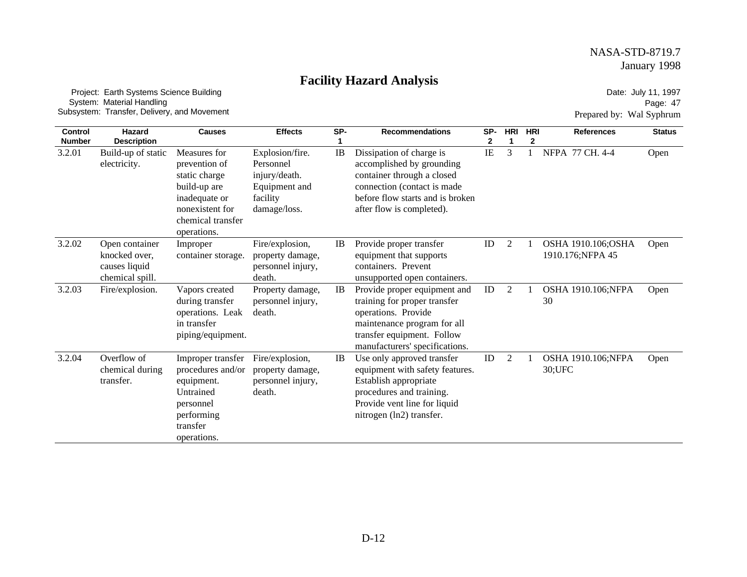### **Facility Hazard Analysis**

 Project: Earth Systems Science Building System: Material Handling Subsystem: Transfer, Delivery, and Movement

Date: July 11, 1997 Page: 47 Prepared by: Wal Syphrum

| <b>Control</b>          | Hazard                                                              | <b>Causes</b>                                                                                                                          | <b>Effects</b>                                                                             | SP- | <b>Recommendations</b>                                                                                                                                                              | SP- | HRI | <b>HRI</b> | <b>References</b>                      | <b>Status</b> |
|-------------------------|---------------------------------------------------------------------|----------------------------------------------------------------------------------------------------------------------------------------|--------------------------------------------------------------------------------------------|-----|-------------------------------------------------------------------------------------------------------------------------------------------------------------------------------------|-----|-----|------------|----------------------------------------|---------------|
| <b>Number</b><br>3.2.01 | <b>Description</b><br>Build-up of static<br>electricity.            | Measures for<br>prevention of<br>static charge<br>build-up are<br>inadequate or<br>nonexistent for<br>chemical transfer<br>operations. | Explosion/fire.<br>Personnel<br>injury/death.<br>Equipment and<br>facility<br>damage/loss. | IB  | Dissipation of charge is<br>accomplished by grounding<br>container through a closed<br>connection (contact is made<br>before flow starts and is broken<br>after flow is completed). | IE  | 3   | 2          | NFPA 77 CH. 4-4                        | Open          |
| 3.2.02                  | Open container<br>knocked over,<br>causes liquid<br>chemical spill. | Improper<br>container storage.                                                                                                         | Fire/explosion,<br>property damage,<br>personnel injury,<br>death.                         | IB  | Provide proper transfer<br>equipment that supports<br>containers. Prevent<br>unsupported open containers.                                                                           | ID  | 2   |            | OSHA 1910.106;OSHA<br>1910.176;NFPA 45 | Open          |
| 3.2.03                  | Fire/explosion.                                                     | Vapors created<br>during transfer<br>operations. Leak<br>in transfer<br>piping/equipment.                                              | Property damage,<br>personnel injury,<br>death.                                            | IB  | Provide proper equipment and<br>training for proper transfer<br>operations. Provide<br>maintenance program for all<br>transfer equipment. Follow<br>manufacturers' specifications.  | ID  | 2   |            | OSHA 1910.106;NFPA<br>30               | Open          |
| 3.2.04                  | Overflow of<br>chemical during<br>transfer.                         | Improper transfer<br>procedures and/or<br>equipment.<br>Untrained<br>personnel<br>performing<br>transfer<br>operations.                | Fire/explosion,<br>property damage,<br>personnel injury,<br>death.                         | IB  | Use only approved transfer<br>equipment with safety features.<br>Establish appropriate<br>procedures and training.<br>Provide vent line for liquid<br>nitrogen (ln2) transfer.      | ID  | 2   |            | OSHA 1910.106;NFPA<br>30; UFC          | Open          |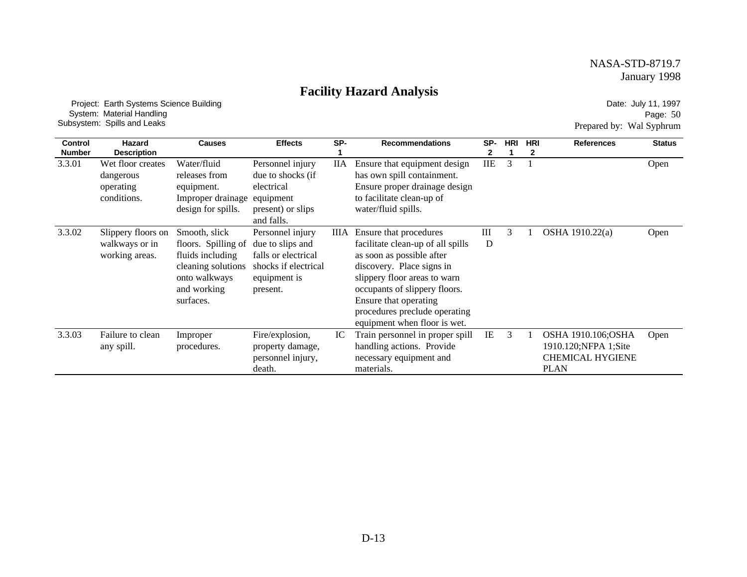### **Facility Hazard Analysis**

 Project: Earth Systems Science Building System: Material Handling Subsystem: Spills and Leaks

Date: July 11, 1997 Page: 50 Prepared by: Wal Syphrum

| <b>Control</b><br><b>Number</b> | Hazard<br><b>Description</b>                               | <b>Causes</b>                                                                                                               | <b>Effects</b>                                                                                                  | SP- | <b>Recommendations</b>                                                                                                                                                                                                                                                           | SP-        | <b>HRI</b> | <b>HRI</b><br>2 | <b>References</b>                                                                    | <b>Status</b> |
|---------------------------------|------------------------------------------------------------|-----------------------------------------------------------------------------------------------------------------------------|-----------------------------------------------------------------------------------------------------------------|-----|----------------------------------------------------------------------------------------------------------------------------------------------------------------------------------------------------------------------------------------------------------------------------------|------------|------------|-----------------|--------------------------------------------------------------------------------------|---------------|
| 3.3.01                          | Wet floor creates<br>dangerous<br>operating<br>conditions. | Water/fluid<br>releases from<br>equipment.<br>Improper drainage<br>design for spills.                                       | Personnel injury<br>due to shocks (if<br>electrical<br>equipment<br>present) or slips<br>and falls.             | IIА | Ensure that equipment design<br>has own spill containment.<br>Ensure proper drainage design<br>to facilitate clean-up of<br>water/fluid spills.                                                                                                                                  | <b>IIE</b> | 3          |                 |                                                                                      | Open          |
| 3.3.02                          | Slippery floors on<br>walkways or in<br>working areas.     | Smooth, slick<br>floors. Spilling of<br>fluids including<br>cleaning solutions<br>onto walkways<br>and working<br>surfaces. | Personnel injury<br>due to slips and<br>falls or electrical<br>shocks if electrical<br>equipment is<br>present. | ШA  | Ensure that procedures<br>facilitate clean-up of all spills<br>as soon as possible after<br>discovery. Place signs in<br>slippery floor areas to warn<br>occupants of slippery floors.<br>Ensure that operating<br>procedures preclude operating<br>equipment when floor is wet. | Ш<br>D     | 3          |                 | OSHA 1910.22(a)                                                                      | Open          |
| 3.3.03                          | Failure to clean<br>any spill.                             | Improper<br>procedures.                                                                                                     | Fire/explosion,<br>property damage,<br>personnel injury,<br>death.                                              | IC  | Train personnel in proper spill<br>handling actions. Provide<br>necessary equipment and<br>materials.                                                                                                                                                                            | IE         | 3          |                 | OSHA 1910.106;OSHA<br>1910.120;NFPA 1;Site<br><b>CHEMICAL HYGIENE</b><br><b>PLAN</b> | Open          |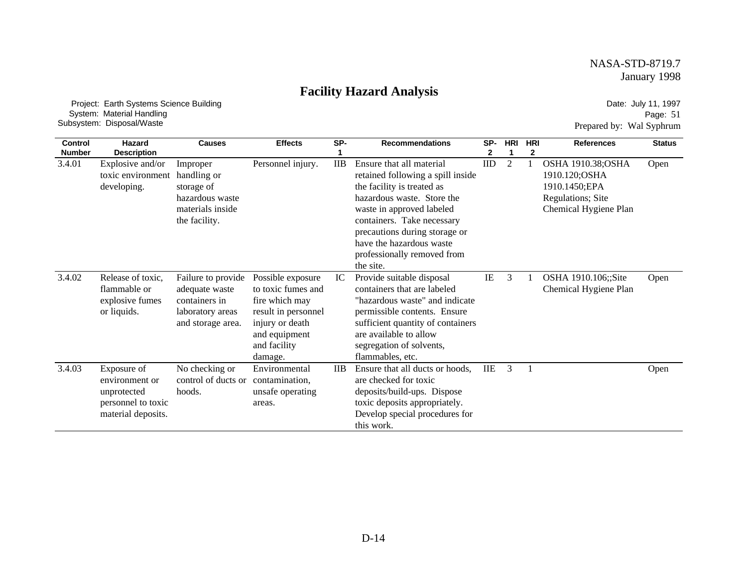### **Facility Hazard Analysis**

 Project: Earth Systems Science Building System: Material Handling Subsystem: Disposal/Waste

Date: July 11, 1997 Page: 51 Prepared by: Wal Syphrum

| <b>Control</b> | Hazard                                                                                   | <b>Causes</b>                                                                                  | <b>Effects</b>                                                                                                                                  | SP-             | <b>Recommendations</b>                                                                                                                                                                                                                                                                        | SP-          | <b>HRI</b>     | <b>HRI</b> | <b>References</b>                                                                                 | <b>Status</b> |
|----------------|------------------------------------------------------------------------------------------|------------------------------------------------------------------------------------------------|-------------------------------------------------------------------------------------------------------------------------------------------------|-----------------|-----------------------------------------------------------------------------------------------------------------------------------------------------------------------------------------------------------------------------------------------------------------------------------------------|--------------|----------------|------------|---------------------------------------------------------------------------------------------------|---------------|
| <b>Number</b>  | <b>Description</b>                                                                       |                                                                                                |                                                                                                                                                 |                 |                                                                                                                                                                                                                                                                                               | $\mathbf{2}$ |                | 2          |                                                                                                   |               |
| 3.4.01         | Explosive and/or<br>toxic environment<br>developing.                                     | Improper<br>handling or<br>storage of<br>hazardous waste<br>materials inside<br>the facility.  | Personnel injury.                                                                                                                               | $_{\text{IIB}}$ | Ensure that all material<br>retained following a spill inside<br>the facility is treated as<br>hazardous waste. Store the<br>waste in approved labeled<br>containers. Take necessary<br>precautions during storage or<br>have the hazardous waste<br>professionally removed from<br>the site. | ID           | $\overline{c}$ |            | OSHA 1910.38;OSHA<br>1910.120;OSHA<br>1910.1450;EPA<br>Regulations; Site<br>Chemical Hygiene Plan | Open          |
| 3.4.02         | Release of toxic,<br>flammable or<br>explosive fumes<br>or liquids.                      | Failure to provide<br>adequate waste<br>containers in<br>laboratory areas<br>and storage area. | Possible exposure<br>to toxic fumes and<br>fire which may<br>result in personnel<br>injury or death<br>and equipment<br>and facility<br>damage. | IC              | Provide suitable disposal<br>containers that are labeled<br>"hazardous waste" and indicate<br>permissible contents. Ensure<br>sufficient quantity of containers<br>are available to allow<br>segregation of solvents,<br>flammables, etc.                                                     | IE           | 3              |            | OSHA 1910.106;;Site<br>Chemical Hygiene Plan                                                      | Open          |
| 3.4.03         | Exposure of<br>environment or<br>unprotected<br>personnel to toxic<br>material deposits. | No checking or<br>control of ducts or<br>hoods.                                                | Environmental<br>contamination,<br>unsafe operating<br>areas.                                                                                   | $_{\text{IIB}}$ | Ensure that all ducts or hoods,<br>are checked for toxic<br>deposits/build-ups. Dispose<br>toxic deposits appropriately.<br>Develop special procedures for<br>this work.                                                                                                                      | <b>IIE</b>   | 3              |            |                                                                                                   | Open          |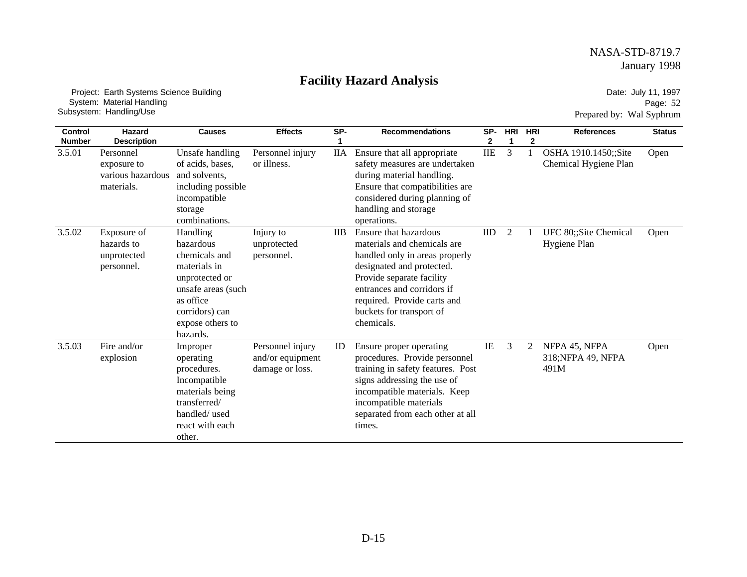# **Facility Hazard Analysis**

 Project: Earth Systems Science Building System: Material Handling Subsystem: Handling/Use

Date: July 11, 1997 Page: 52 Prepared by: Wal Syphrum

| Control       | Hazard                                                      | <b>Causes</b>                                                                                                                                                 | <b>Effects</b>                                          | SP-             | <b>Recommendations</b>                                                                                                                                                                                                                                  | SP-       | <b>HRI</b> | <b>HRI</b> | <b>References</b>                             | <b>Status</b> |
|---------------|-------------------------------------------------------------|---------------------------------------------------------------------------------------------------------------------------------------------------------------|---------------------------------------------------------|-----------------|---------------------------------------------------------------------------------------------------------------------------------------------------------------------------------------------------------------------------------------------------------|-----------|------------|------------|-----------------------------------------------|---------------|
| <b>Number</b> | <b>Description</b>                                          |                                                                                                                                                               |                                                         |                 |                                                                                                                                                                                                                                                         | 2         | 1          | 2          |                                               |               |
| 3.5.01        | Personnel<br>exposure to<br>various hazardous<br>materials. | Unsafe handling<br>of acids, bases,<br>and solvents.<br>including possible<br>incompatible<br>storage<br>combinations.                                        | Personnel injury<br>or illness.                         | <b>IIA</b>      | Ensure that all appropriate<br>safety measures are undertaken<br>during material handling.<br>Ensure that compatibilities are<br>considered during planning of<br>handling and storage<br>operations.                                                   | $\rm IIE$ | 3          |            | OSHA 1910.1450;;Site<br>Chemical Hygiene Plan | Open          |
| 3.5.02        | Exposure of<br>hazards to<br>unprotected<br>personnel.      | Handling<br>hazardous<br>chemicals and<br>materials in<br>unprotected or<br>unsafe areas (such<br>as office<br>corridors) can<br>expose others to<br>hazards. | Injury to<br>unprotected<br>personnel.                  | $_{\text{IIB}}$ | Ensure that hazardous<br>materials and chemicals are<br>handled only in areas properly<br>designated and protected.<br>Provide separate facility<br>entrances and corridors if<br>required. Provide carts and<br>buckets for transport of<br>chemicals. | IID       | 2          |            | UFC 80;;Site Chemical<br>Hygiene Plan         | Open          |
| 3.5.03        | Fire and/or<br>explosion                                    | Improper<br>operating<br>procedures.<br>Incompatible<br>materials being<br>transferred/<br>handled/used<br>react with each<br>other.                          | Personnel injury<br>and/or equipment<br>damage or loss. | ID              | Ensure proper operating<br>procedures. Provide personnel<br>training in safety features. Post<br>signs addressing the use of<br>incompatible materials. Keep<br>incompatible materials<br>separated from each other at all<br>times.                    | IE        | 3          | 2          | NFPA 45, NFPA<br>318; NFPA 49, NFPA<br>491M   | Open          |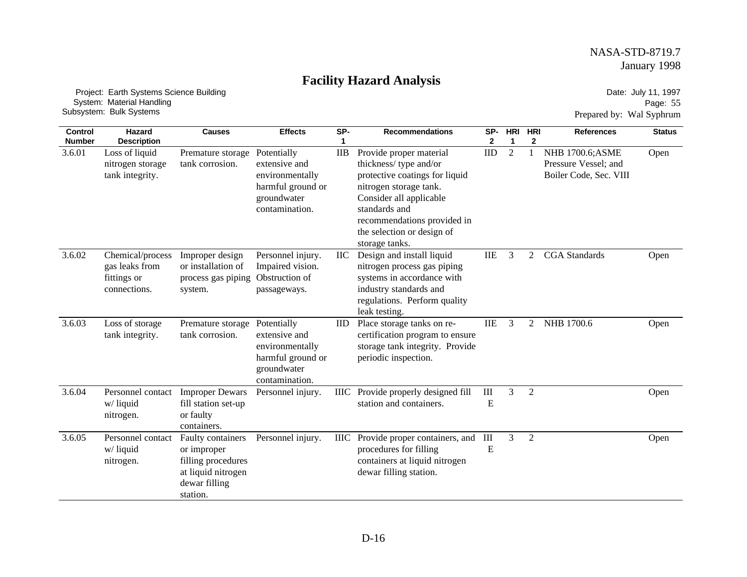# **Facility Hazard Analysis**

 Project: Earth Systems Science Building System: Material Handling Subsystem: Bulk Systems

Date: July 11, 1997 Page: 55 Prepared by: Wal Syphrum

| <b>Control</b><br><b>Number</b> | <b>Hazard</b><br><b>Description</b>                               | <b>Causes</b>                                                                                             | <b>Effects</b>                                                                                        | SP-<br>1        | <b>Recommendations</b>                                                                                                                                                                                                                  | SP-<br>2       | <b>HRI</b><br>1 | <b>HRI</b><br>$\mathbf{2}$ | <b>References</b>                                                         | <b>Status</b> |
|---------------------------------|-------------------------------------------------------------------|-----------------------------------------------------------------------------------------------------------|-------------------------------------------------------------------------------------------------------|-----------------|-----------------------------------------------------------------------------------------------------------------------------------------------------------------------------------------------------------------------------------------|----------------|-----------------|----------------------------|---------------------------------------------------------------------------|---------------|
| 3.6.01                          | Loss of liquid<br>nitrogen storage<br>tank integrity.             | Premature storage<br>tank corrosion.                                                                      | Potentially<br>extensive and<br>environmentally<br>harmful ground or<br>groundwater<br>contamination. | <b>IIB</b>      | Provide proper material<br>thickness/type and/or<br>protective coatings for liquid<br>nitrogen storage tank.<br>Consider all applicable<br>standards and<br>recommendations provided in<br>the selection or design of<br>storage tanks. | <b>IID</b>     | $\overline{2}$  |                            | <b>NHB 1700.6; ASME</b><br>Pressure Vessel; and<br>Boiler Code, Sec. VIII | Open          |
| 3.6.02                          | Chemical/process<br>gas leaks from<br>fittings or<br>connections. | Improper design<br>or installation of<br>process gas piping<br>system.                                    | Personnel injury.<br>Impaired vision.<br>Obstruction of<br>passageways.                               | IIC             | Design and install liquid<br>nitrogen process gas piping<br>systems in accordance with<br>industry standards and<br>regulations. Perform quality<br>leak testing.                                                                       | <b>IIE</b>     | 3               | 2                          | <b>CGA</b> Standards                                                      | Open          |
| 3.6.03                          | Loss of storage<br>tank integrity.                                | Premature storage<br>tank corrosion.                                                                      | Potentially<br>extensive and<br>environmentally<br>harmful ground or<br>groundwater<br>contamination. | $_{\text{IID}}$ | Place storage tanks on re-<br>certification program to ensure<br>storage tank integrity. Provide<br>periodic inspection.                                                                                                                | <b>IIE</b>     | 3               | 2                          | NHB 1700.6                                                                | Open          |
| 3.6.04                          | Personnel contact<br>w/liquid<br>nitrogen.                        | <b>Improper Dewars</b><br>fill station set-up<br>or faulty<br>containers.                                 | Personnel injury.                                                                                     | <b>IIIC</b>     | Provide properly designed fill<br>station and containers.                                                                                                                                                                               | $\rm III$<br>E | $\overline{3}$  | $\overline{2}$             |                                                                           | Open          |
| 3.6.05                          | Personnel contact<br>w/liquid<br>nitrogen.                        | Faulty containers<br>or improper<br>filling procedures<br>at liquid nitrogen<br>dewar filling<br>station. | Personnel injury.                                                                                     | <b>IIIC</b>     | Provide proper containers, and<br>procedures for filling<br>containers at liquid nitrogen<br>dewar filling station.                                                                                                                     | III<br>E       | 3               | $\overline{2}$             |                                                                           | Open          |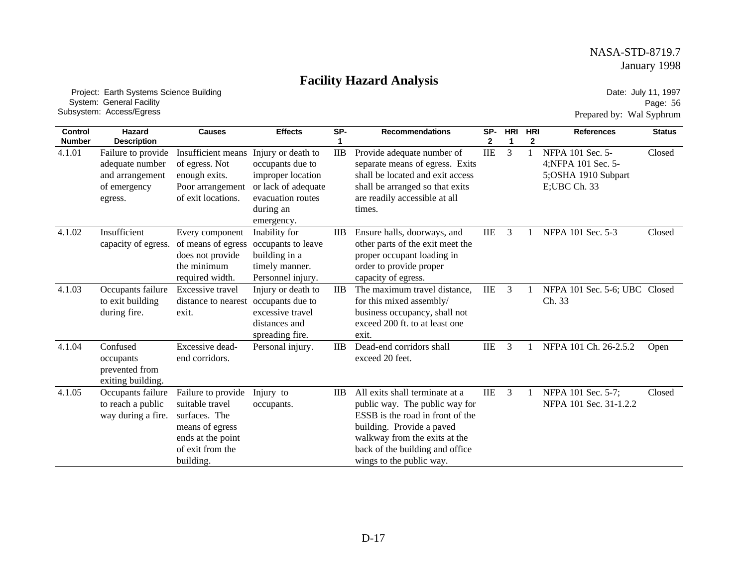# **Facility Hazard Analysis**

 Project: Earth Systems Science Building System: General Facility Subsystem: Access/Egress

Date: July 11, 1997 Page: 56 Prepared by: Wal Syphrum

| <b>Control</b><br><b>Number</b> | Hazard<br><b>Description</b>                                                        | <b>Causes</b>                                                                                                                   | <b>Effects</b>                                                                                                                     | SP-             | <b>Recommendations</b>                                                                                                                                                                                                            | SP-<br>$\mathbf{2}$ | <b>HRI</b><br>1 | <b>HRI</b><br>2 | <b>References</b>                                                             | <b>Status</b> |
|---------------------------------|-------------------------------------------------------------------------------------|---------------------------------------------------------------------------------------------------------------------------------|------------------------------------------------------------------------------------------------------------------------------------|-----------------|-----------------------------------------------------------------------------------------------------------------------------------------------------------------------------------------------------------------------------------|---------------------|-----------------|-----------------|-------------------------------------------------------------------------------|---------------|
| 4.1.01                          | Failure to provide<br>adequate number<br>and arrangement<br>of emergency<br>egress. | Insufficient means<br>of egress. Not<br>enough exits.<br>Poor arrangement<br>of exit locations.                                 | Injury or death to<br>occupants due to<br>improper location<br>or lack of adequate<br>evacuation routes<br>during an<br>emergency. | <b>IIB</b>      | Provide adequate number of<br>separate means of egress. Exits<br>shall be located and exit access<br>shall be arranged so that exits<br>are readily accessible at all<br>times.                                                   | <b>IIE</b>          | 3               | 1               | NFPA 101 Sec. 5-<br>4;NFPA 101 Sec. 5-<br>5;OSHA 1910 Subpart<br>E;UBC Ch. 33 | Closed        |
| 4.1.02                          | Insufficient<br>capacity of egress.                                                 | Every component<br>of means of egress<br>does not provide<br>the minimum<br>required width.                                     | Inability for<br>occupants to leave<br>building in a<br>timely manner.<br>Personnel injury.                                        | $_{\text{IIB}}$ | Ensure halls, doorways, and<br>other parts of the exit meet the<br>proper occupant loading in<br>order to provide proper<br>capacity of egress.                                                                                   | IIE                 | 3               |                 | NFPA 101 Sec. 5-3                                                             | Closed        |
| 4.1.03                          | Occupants failure<br>to exit building<br>during fire.                               | Excessive travel<br>distance to nearest<br>exit.                                                                                | Injury or death to<br>occupants due to<br>excessive travel<br>distances and<br>spreading fire.                                     | $_{\text{IIB}}$ | The maximum travel distance,<br>for this mixed assembly/<br>business occupancy, shall not<br>exceed 200 ft. to at least one<br>exit.                                                                                              | <b>IIE</b>          | 3               |                 | NFPA 101 Sec. 5-6; UBC Closed<br>Ch. 33                                       |               |
| 4.1.04                          | Confused<br>occupants<br>prevented from<br>exiting building.                        | Excessive dead-<br>end corridors.                                                                                               | Personal injury.                                                                                                                   | $_{\rm IIB}$    | Dead-end corridors shall<br>exceed 20 feet.                                                                                                                                                                                       | <b>IIE</b>          | 3               |                 | NFPA 101 Ch. 26-2.5.2                                                         | Open          |
| 4.1.05                          | Occupants failure<br>to reach a public<br>way during a fire.                        | Failure to provide<br>suitable travel<br>surfaces. The<br>means of egress<br>ends at the point<br>of exit from the<br>building. | Injury to<br>occupants.                                                                                                            | $_{\text{IIB}}$ | All exits shall terminate at a<br>public way. The public way for<br>ESSB is the road in front of the<br>building. Provide a paved<br>walkway from the exits at the<br>back of the building and office<br>wings to the public way. | <b>IIE</b>          | 3               |                 | NFPA 101 Sec. 5-7;<br>NFPA 101 Sec. 31-1.2.2                                  | Closed        |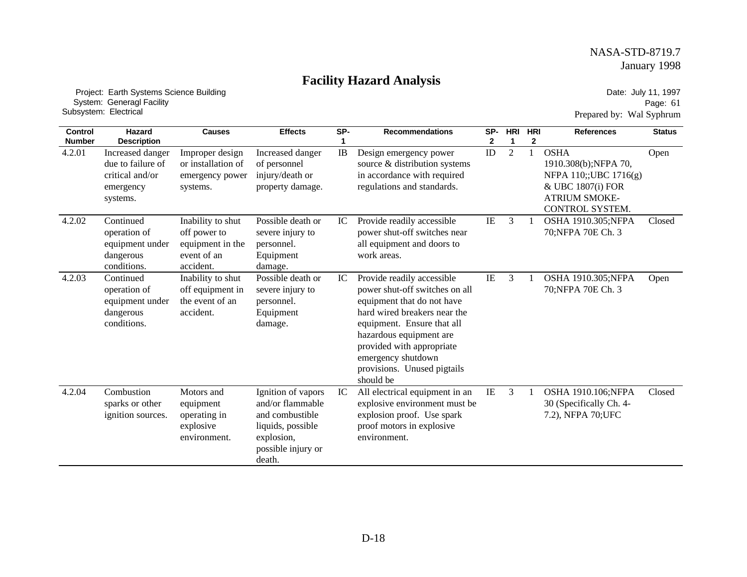# **Facility Hazard Analysis**

 Project: Earth Systems Science Building System: Generagl Facility Subsystem: Electrical

Date: July 11, 1997 Page: 61 Prepared by: Wal Syphrum

| <b>Control</b><br><b>Number</b> | Hazard<br><b>Description</b>                                                      | <b>Causes</b>                                                                     | <b>Effects</b>                                                                                                               | SP- | <b>Recommendations</b>                                                                                                                                                                                                                                                             | SP-<br>$\mathbf{2}$ | <b>HRI</b><br>1 | <b>HRI</b><br>$\mathbf{2}$ | <b>References</b>                                                                                                            | <b>Status</b> |
|---------------------------------|-----------------------------------------------------------------------------------|-----------------------------------------------------------------------------------|------------------------------------------------------------------------------------------------------------------------------|-----|------------------------------------------------------------------------------------------------------------------------------------------------------------------------------------------------------------------------------------------------------------------------------------|---------------------|-----------------|----------------------------|------------------------------------------------------------------------------------------------------------------------------|---------------|
| 4.2.01                          | Increased danger<br>due to failure of<br>critical and/or<br>emergency<br>systems. | Improper design<br>or installation of<br>emergency power<br>systems.              | Increased danger<br>of personnel<br>injury/death or<br>property damage.                                                      | IB  | Design emergency power<br>source & distribution systems<br>in accordance with required<br>regulations and standards.                                                                                                                                                               | ID                  | $\overline{2}$  |                            | <b>OSHA</b><br>1910.308(b);NFPA 70,<br>NFPA 110;;UBC 1716(g)<br>& UBC 1807(i) FOR<br><b>ATRIUM SMOKE-</b><br>CONTROL SYSTEM. | Open          |
| 4.2.02                          | Continued<br>operation of<br>equipment under<br>dangerous<br>conditions.          | Inability to shut<br>off power to<br>equipment in the<br>event of an<br>accident. | Possible death or<br>severe injury to<br>personnel.<br>Equipment<br>damage.                                                  | IC  | Provide readily accessible<br>power shut-off switches near<br>all equipment and doors to<br>work areas.                                                                                                                                                                            | IE                  | 3               |                            | OSHA 1910.305;NFPA<br>70; NFPA 70E Ch. 3                                                                                     | Closed        |
| 4.2.03                          | Continued<br>operation of<br>equipment under<br>dangerous<br>conditions.          | Inability to shut<br>off equipment in<br>the event of an<br>accident.             | Possible death or<br>severe injury to<br>personnel.<br>Equipment<br>damage.                                                  | IC  | Provide readily accessible<br>power shut-off switches on all<br>equipment that do not have<br>hard wired breakers near the<br>equipment. Ensure that all<br>hazardous equipment are<br>provided with appropriate<br>emergency shutdown<br>provisions. Unused pigtails<br>should be | $\rm IE$            | 3               |                            | OSHA 1910.305;NFPA<br>70; NFPA 70E Ch. 3                                                                                     | Open          |
| 4.2.04                          | Combustion<br>sparks or other<br>ignition sources.                                | Motors and<br>equipment<br>operating in<br>explosive<br>environment.              | Ignition of vapors<br>and/or flammable<br>and combustible<br>liquids, possible<br>explosion,<br>possible injury or<br>death. | IC  | All electrical equipment in an<br>explosive environment must be<br>explosion proof. Use spark<br>proof motors in explosive<br>environment.                                                                                                                                         | IE                  | 3               |                            | OSHA 1910.106;NFPA<br>30 (Specifically Ch. 4-<br>7.2), NFPA 70; UFC                                                          | Closed        |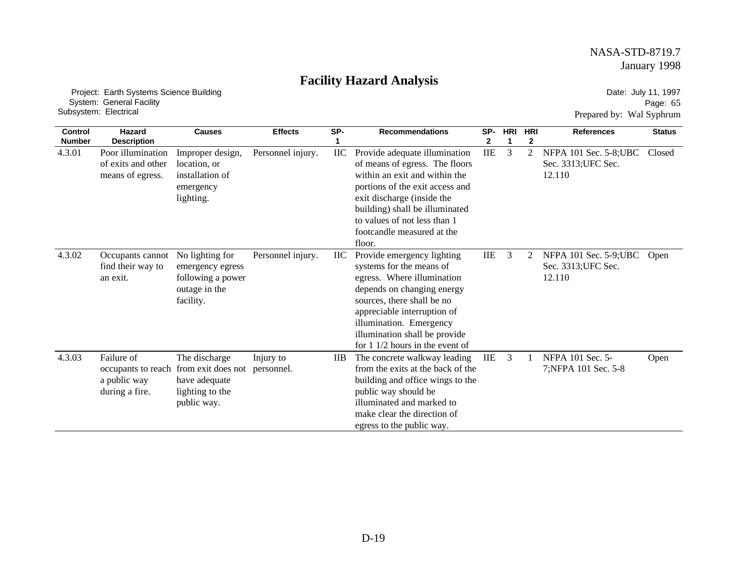# **Facility Hazard Analysis**

 Project: Earth Systems Science Building System: General Facility Subsystem: Electrical

Date: July 11, 1997 Page: 65 Prepared by: Wal Syphrum

| <b>Control</b> | Hazard                                                      | <b>Causes</b>                                                                                             | <b>Effects</b>          | SP-          | <b>Recommendations</b>                                                                                                                                                                                                                                                          | SP-        | <b>HRI</b> | <b>HRI</b>     | <b>References</b>                                       | <b>Status</b> |
|----------------|-------------------------------------------------------------|-----------------------------------------------------------------------------------------------------------|-------------------------|--------------|---------------------------------------------------------------------------------------------------------------------------------------------------------------------------------------------------------------------------------------------------------------------------------|------------|------------|----------------|---------------------------------------------------------|---------------|
| <b>Number</b>  | <b>Description</b>                                          |                                                                                                           |                         |              |                                                                                                                                                                                                                                                                                 | 2          | 1          | $\mathbf{2}$   |                                                         |               |
| 4.3.01         | Poor illumination<br>of exits and other<br>means of egress. | Improper design,<br>location, or<br>installation of<br>emergency<br>lighting.                             | Personnel injury.       | IIC          | Provide adequate illumination<br>of means of egress. The floors<br>within an exit and within the<br>portions of the exit access and<br>exit discharge (inside the<br>building) shall be illuminated<br>to values of not less than 1<br>footcandle measured at the<br>floor.     | $\rm IIE$  | 3          | $\overline{2}$ | NFPA 101 Sec. 5-8; UBC<br>Sec. 3313; UFC Sec.<br>12.110 | Closed        |
| 4.3.02         | Occupants cannot<br>find their way to<br>an exit.           | No lighting for<br>emergency egress<br>following a power<br>outage in the<br>facility.                    | Personnel injury.       | $\rm{HC}$    | Provide emergency lighting<br>systems for the means of<br>egress. Where illumination<br>depends on changing energy<br>sources, there shall be no<br>appreciable interruption of<br>illumination. Emergency<br>illumination shall be provide<br>for $11/2$ hours in the event of | IIE        | 3          | 2              | NFPA 101 Sec. 5-9; UBC<br>Sec. 3313; UFC Sec.<br>12.110 | Open          |
| 4.3.03         | Failure of<br>a public way<br>during a fire.                | The discharge<br>occupants to reach from exit does not<br>have adequate<br>lighting to the<br>public way. | Injury to<br>personnel. | $_{\rm IIB}$ | The concrete walkway leading<br>from the exits at the back of the<br>building and office wings to the<br>public way should be<br>illuminated and marked to<br>make clear the direction of<br>egress to the public way.                                                          | <b>IIE</b> | 3          |                | NFPA 101 Sec. 5-<br>7; NFPA 101 Sec. 5-8                | Open          |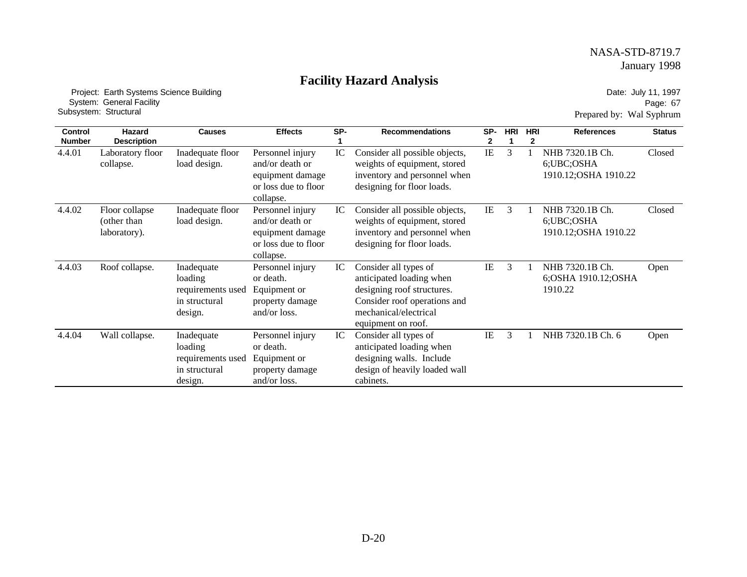# **Facility Hazard Analysis**

 Project: Earth Systems Science Building System: General Facility Subsystem: Structural

Date: July 11, 1997 Page: 67 Prepared by: Wal Syphrum

| <b>Control</b> | Hazard                                        | <b>Causes</b>                                                          | <b>Effects</b>                                                                               | SP- | <b>Recommendations</b>                                                                                                                                         | SP- | <b>HRI</b> | <b>HRI</b> | <b>References</b>                                        | <b>Status</b> |
|----------------|-----------------------------------------------|------------------------------------------------------------------------|----------------------------------------------------------------------------------------------|-----|----------------------------------------------------------------------------------------------------------------------------------------------------------------|-----|------------|------------|----------------------------------------------------------|---------------|
| <b>Number</b>  | <b>Description</b>                            |                                                                        |                                                                                              |     |                                                                                                                                                                | 2   |            | 2          |                                                          |               |
| 4.4.01         | Laboratory floor<br>collapse.                 | Inadequate floor<br>load design.                                       | Personnel injury<br>and/or death or<br>equipment damage<br>or loss due to floor<br>collapse. | IC  | Consider all possible objects,<br>weights of equipment, stored<br>inventory and personnel when<br>designing for floor loads.                                   | IE  | 3          |            | NHB 7320.1B Ch.<br>6; UBC; OSHA<br>1910.12; OSHA 1910.22 | Closed        |
| 4.4.02         | Floor collapse<br>(other than<br>laboratory). | Inadequate floor<br>load design.                                       | Personnel injury<br>and/or death or<br>equipment damage<br>or loss due to floor<br>collapse. | IC  | Consider all possible objects,<br>weights of equipment, stored<br>inventory and personnel when<br>designing for floor loads.                                   | IE  | 3          |            | NHB 7320.1B Ch.<br>6;UBC;OSHA<br>1910.12; OSHA 1910.22   | Closed        |
| 4.4.03         | Roof collapse.                                | Inadequate<br>loading<br>requirements used<br>in structural<br>design. | Personnel injury<br>or death.<br>Equipment or<br>property damage<br>and/or loss.             | IC  | Consider all types of<br>anticipated loading when<br>designing roof structures.<br>Consider roof operations and<br>mechanical/electrical<br>equipment on roof. | IE  | 3          |            | NHB 7320.1B Ch.<br>6; OSHA 1910.12; OSHA<br>1910.22      | Open          |
| 4.4.04         | Wall collapse.                                | Inadequate<br>loading<br>requirements used<br>in structural<br>design. | Personnel injury<br>or death.<br>Equipment or<br>property damage<br>and/or loss.             | IC  | Consider all types of<br>anticipated loading when<br>designing walls. Include<br>design of heavily loaded wall<br>cabinets.                                    | IE  | 3          |            | NHB 7320.1B Ch. 6                                        | Open          |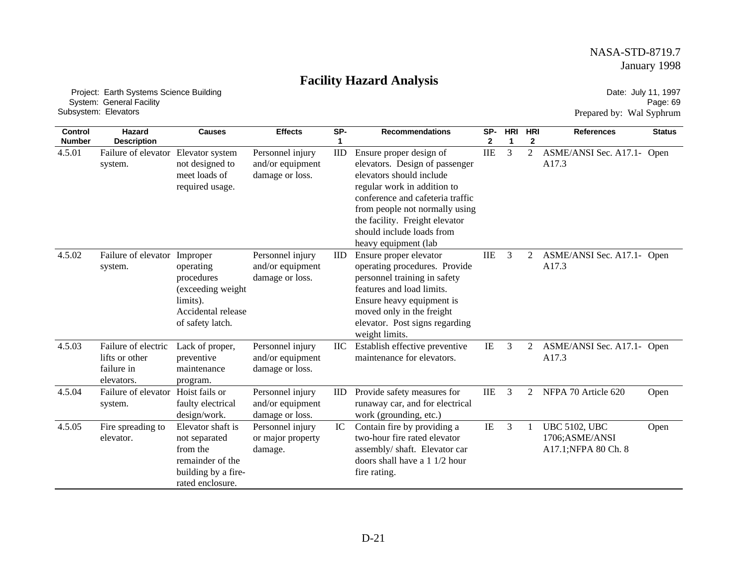# **Facility Hazard Analysis**

 Project: Earth Systems Science Building System: General Facility Subsystem: Elevators

Date: July 11, 1997 Page: 69 Prepared by: Wal Syphrum

| <b>Control</b>          | Hazard                                                            | <b>Causes</b>                                                                                                 | <b>Effects</b>                                          | SP-             | <b>Recommendations</b>                                                                                                                                                                                                                                                            | SP-             | <b>HRI</b> | <b>HRI</b>                     | <b>References</b>                                              | <b>Status</b> |
|-------------------------|-------------------------------------------------------------------|---------------------------------------------------------------------------------------------------------------|---------------------------------------------------------|-----------------|-----------------------------------------------------------------------------------------------------------------------------------------------------------------------------------------------------------------------------------------------------------------------------------|-----------------|------------|--------------------------------|----------------------------------------------------------------|---------------|
| <b>Number</b><br>4.5.01 | <b>Description</b><br>Failure of elevator<br>system.              | Elevator system<br>not designed to<br>meet loads of<br>required usage.                                        | Personnel injury<br>and/or equipment<br>damage or loss. | $\mathbf{IID}$  | Ensure proper design of<br>elevators. Design of passenger<br>elevators should include<br>regular work in addition to<br>conference and cafeteria traffic<br>from people not normally using<br>the facility. Freight elevator<br>should include loads from<br>heavy equipment (lab | 2<br><b>IIE</b> | 1<br>3     | $\mathbf{2}$<br>$\overline{2}$ | ASME/ANSI Sec. A17.1- Open<br>A17.3                            |               |
| 4.5.02                  | Failure of elevator Improper<br>system.                           | operating<br>procedures<br>(exceeding weight<br>limits).<br>Accidental release<br>of safety latch.            | Personnel injury<br>and/or equipment<br>damage or loss. | $_{\text{IID}}$ | Ensure proper elevator<br>operating procedures. Provide<br>personnel training in safety<br>features and load limits.<br>Ensure heavy equipment is<br>moved only in the freight<br>elevator. Post signs regarding<br>weight limits.                                                | <b>IIE</b>      | 3          | 2                              | ASME/ANSI Sec. A17.1- Open<br>A17.3                            |               |
| 4.5.03                  | Failure of electric<br>lifts or other<br>failure in<br>elevators. | Lack of proper,<br>preventive<br>maintenance<br>program.                                                      | Personnel injury<br>and/or equipment<br>damage or loss. |                 | Establish effective preventive<br>maintenance for elevators.                                                                                                                                                                                                                      | $\rm IE$        | 3          | 2                              | ASME/ANSI Sec. A17.1- Open<br>A17.3                            |               |
| 4.5.04                  | Failure of elevator<br>system.                                    | Hoist fails or<br>faulty electrical<br>design/work.                                                           | Personnel injury<br>and/or equipment<br>damage or loss. | $_{\text{IID}}$ | Provide safety measures for<br>runaway car, and for electrical<br>work (grounding, etc.)                                                                                                                                                                                          | <b>IIE</b>      | 3          | $\overline{2}$                 | NFPA 70 Article 620                                            | Open          |
| 4.5.05                  | Fire spreading to<br>elevator.                                    | Elevator shaft is<br>not separated<br>from the<br>remainder of the<br>building by a fire-<br>rated enclosure. | Personnel injury<br>or major property<br>damage.        | IC              | Contain fire by providing a<br>two-hour fire rated elevator<br>assembly/shaft. Elevator car<br>doors shall have a 1 1/2 hour<br>fire rating.                                                                                                                                      | IE              | 3          |                                | <b>UBC 5102, UBC</b><br>1706; ASME/ANSI<br>A17.1;NFPA 80 Ch. 8 | Open          |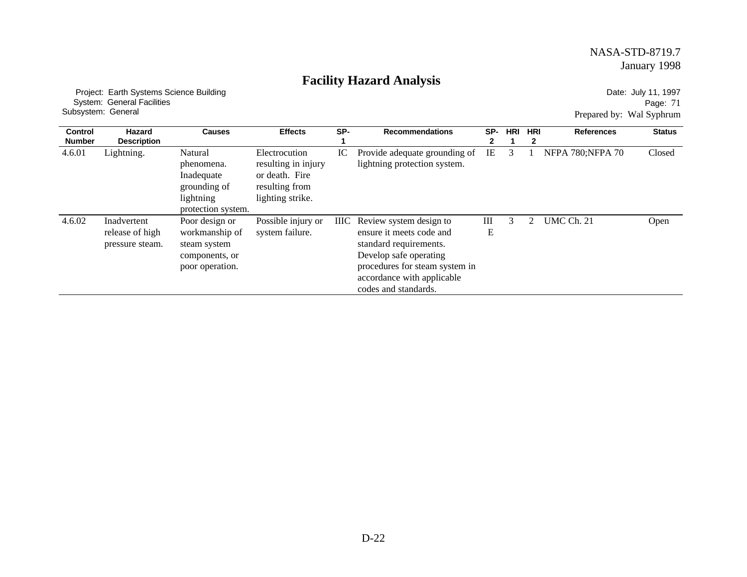# **Facility Hazard Analysis**

 Project: Earth Systems Science Building System: General Facilities Subsystem: General

Date: July 11, 1997 Page: 71 Prepared by: Wal Syphrum

| <b>Control</b> | Hazard                                            | <b>Causes</b>                                                                          | <b>Effects</b>                                                                               | SP- | <b>Recommendations</b>                                                                                                                                                                               | SP-    | <b>HRI</b> | <b>HRI</b> | <b>References</b>        | <b>Status</b> |
|----------------|---------------------------------------------------|----------------------------------------------------------------------------------------|----------------------------------------------------------------------------------------------|-----|------------------------------------------------------------------------------------------------------------------------------------------------------------------------------------------------------|--------|------------|------------|--------------------------|---------------|
| <b>Number</b>  | <b>Description</b>                                |                                                                                        |                                                                                              |     |                                                                                                                                                                                                      | 2      |            |            |                          |               |
| 4.6.01         | Lightning.                                        | Natural<br>phenomena.<br>Inadequate<br>grounding of<br>lightning<br>protection system. | Electrocution<br>resulting in injury<br>or death. Fire<br>resulting from<br>lighting strike. | IC  | Provide adequate grounding of<br>lightning protection system.                                                                                                                                        | IE     | 3          |            | <b>NFPA 780; NFPA 70</b> | Closed        |
| 4.6.02         | Inadvertent<br>release of high<br>pressure steam. | Poor design or<br>workmanship of<br>steam system<br>components, or<br>poor operation.  | Possible injury or<br>system failure.                                                        |     | IIIC Review system design to<br>ensure it meets code and<br>standard requirements.<br>Develop safe operating<br>procedures for steam system in<br>accordance with applicable<br>codes and standards. | Ш<br>Ε | 3          |            | UMC Ch. 21               | Open          |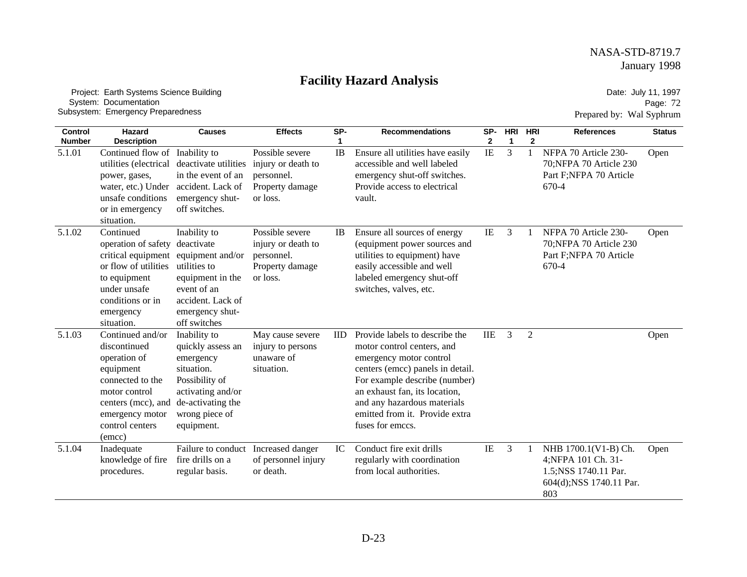# **Facility Hazard Analysis**

 Project: Earth Systems Science Building System: Documentation Subsystem: Emergency Preparedness

Date: July 11, 1997 Page: 72 Prepared by: Wal Syphrum

| <b>Control</b><br><b>Number</b> | Hazard<br><b>Description</b>                                                                                                                                                   | <b>Causes</b>                                                                                                                                            | <b>Effects</b>                                                                     | SP-       | <b>Recommendations</b>                                                                                                                                                                                                                                                             | SP-<br>$\mathbf{2}$ | HRI<br>1 | HRI<br>$\mathbf{2}$ | <b>References</b>                                                                                      | <b>Status</b> |
|---------------------------------|--------------------------------------------------------------------------------------------------------------------------------------------------------------------------------|----------------------------------------------------------------------------------------------------------------------------------------------------------|------------------------------------------------------------------------------------|-----------|------------------------------------------------------------------------------------------------------------------------------------------------------------------------------------------------------------------------------------------------------------------------------------|---------------------|----------|---------------------|--------------------------------------------------------------------------------------------------------|---------------|
| 5.1.01                          | Continued flow of<br>utilities (electrical<br>power, gases,<br>water, etc.) Under<br>unsafe conditions<br>or in emergency<br>situation.                                        | Inability to<br>deactivate utilities<br>in the event of an<br>accident. Lack of<br>emergency shut-<br>off switches.                                      | Possible severe<br>injury or death to<br>personnel.<br>Property damage<br>or loss. | IB        | Ensure all utilities have easily<br>accessible and well labeled<br>emergency shut-off switches.<br>Provide access to electrical<br>vault.                                                                                                                                          | $\rm I\!E$          | 3        |                     | NFPA 70 Article 230-<br>70; NFPA 70 Article 230<br>Part F;NFPA 70 Article<br>670-4                     | Open          |
| 5.1.02                          | Continued<br>operation of safety<br>critical equipment equipment and/or<br>or flow of utilities<br>to equipment<br>under unsafe<br>conditions or in<br>emergency<br>situation. | Inability to<br>deactivate<br>utilities to<br>equipment in the<br>event of an<br>accident. Lack of<br>emergency shut-<br>off switches                    | Possible severe<br>injury or death to<br>personnel.<br>Property damage<br>or loss. | <b>IB</b> | Ensure all sources of energy<br>(equipment power sources and<br>utilities to equipment) have<br>easily accessible and well<br>labeled emergency shut-off<br>switches, valves, etc.                                                                                                 | IE                  | 3        |                     | NFPA 70 Article 230-<br>70; NFPA 70 Article 230<br>Part F;NFPA 70 Article<br>670-4                     | Open          |
| 5.1.03                          | Continued and/or<br>discontinued<br>operation of<br>equipment<br>connected to the<br>motor control<br>centers (mcc), and<br>emergency motor<br>control centers<br>(emcc)       | Inability to<br>quickly assess an<br>emergency<br>situation.<br>Possibility of<br>activating and/or<br>de-activating the<br>wrong piece of<br>equipment. | May cause severe<br>injury to persons<br>unaware of<br>situation.                  | ID        | Provide labels to describe the<br>motor control centers, and<br>emergency motor control<br>centers (emcc) panels in detail.<br>For example describe (number)<br>an exhaust fan, its location,<br>and any hazardous materials<br>emitted from it. Provide extra<br>fuses for emccs. | $\rm IIE$           | 3        | 2                   |                                                                                                        | Open          |
| 5.1.04                          | Inadequate<br>knowledge of fire<br>procedures.                                                                                                                                 | Failure to conduct Increased danger<br>fire drills on a<br>regular basis.                                                                                | of personnel injury<br>or death.                                                   | IC        | Conduct fire exit drills<br>regularly with coordination<br>from local authorities.                                                                                                                                                                                                 | IE                  | 3        |                     | NHB 1700.1(V1-B) Ch.<br>4;NFPA 101 Ch. 31-<br>1.5; NSS 1740.11 Par.<br>604(d); NSS 1740.11 Par.<br>803 | Open          |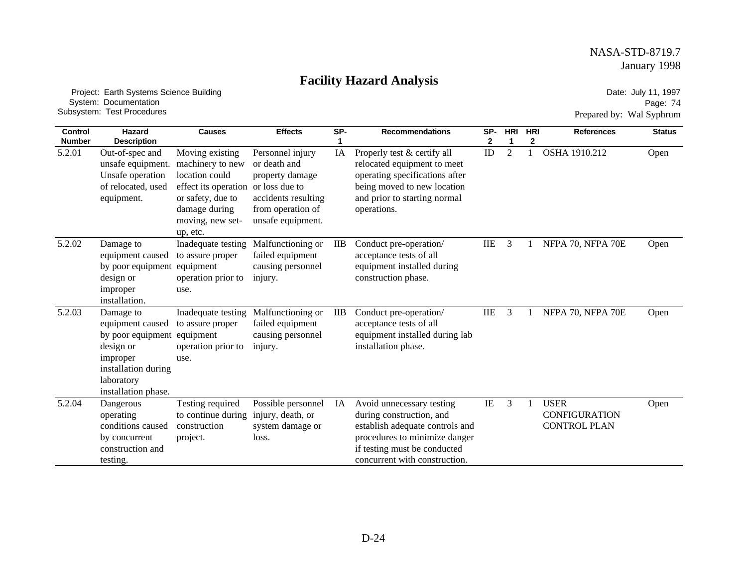# **Facility Hazard Analysis**

 Project: Earth Systems Science Building System: Documentation Subsystem: Test Procedures

Date: July 11, 1997 Page: 74 Prepared by: Wal Syphrum

| <b>Control</b> | Hazard                                                                                                                                  | <b>Causes</b>                                                                                                                                       | <b>Effects</b>                                                                                                                         | SP-        | <b>Recommendations</b>                                                                                                                                                                     | SP-        | <b>HRI</b>     | <b>HRI</b> | <b>References</b>                                          | <b>Status</b> |
|----------------|-----------------------------------------------------------------------------------------------------------------------------------------|-----------------------------------------------------------------------------------------------------------------------------------------------------|----------------------------------------------------------------------------------------------------------------------------------------|------------|--------------------------------------------------------------------------------------------------------------------------------------------------------------------------------------------|------------|----------------|------------|------------------------------------------------------------|---------------|
| <b>Number</b>  | <b>Description</b>                                                                                                                      |                                                                                                                                                     |                                                                                                                                        |            |                                                                                                                                                                                            | 2          |                | 2          |                                                            |               |
| 5.2.01         | Out-of-spec and<br>unsafe equipment.<br>Unsafe operation<br>of relocated, used<br>equipment.                                            | Moving existing<br>machinery to new<br>location could<br>effect its operation<br>or safety, due to<br>damage during<br>moving, new set-<br>up, etc. | Personnel injury<br>or death and<br>property damage<br>or loss due to<br>accidents resulting<br>from operation of<br>unsafe equipment. | IA         | Properly test & certify all<br>relocated equipment to meet<br>operating specifications after<br>being moved to new location<br>and prior to starting normal<br>operations.                 | ID         | $\overline{2}$ |            | OSHA 1910.212                                              | Open          |
| 5.2.02         | Damage to<br>equipment caused<br>by poor equipment<br>design or<br>improper<br>installation.                                            | Inadequate testing<br>to assure proper<br>equipment<br>operation prior to<br>use.                                                                   | Malfunctioning or<br>failed equipment<br>causing personnel<br>injury.                                                                  | <b>IIB</b> | Conduct pre-operation/<br>acceptance tests of all<br>equipment installed during<br>construction phase.                                                                                     | <b>IIE</b> | 3              |            | NFPA 70, NFPA 70E                                          | Open          |
| 5.2.03         | Damage to<br>equipment caused<br>by poor equipment<br>design or<br>improper<br>installation during<br>laboratory<br>installation phase. | Inadequate testing<br>to assure proper<br>equipment<br>operation prior to<br>use.                                                                   | Malfunctioning or<br>failed equipment<br>causing personnel<br>injury.                                                                  | <b>IIB</b> | Conduct pre-operation/<br>acceptance tests of all<br>equipment installed during lab<br>installation phase.                                                                                 | <b>IIE</b> | 3              |            | NFPA 70, NFPA 70E                                          | Open          |
| 5.2.04         | Dangerous<br>operating<br>conditions caused<br>by concurrent<br>construction and<br>testing.                                            | Testing required<br>to continue during<br>construction<br>project.                                                                                  | Possible personnel<br>injury, death, or<br>system damage or<br>loss.                                                                   | IA         | Avoid unnecessary testing<br>during construction, and<br>establish adequate controls and<br>procedures to minimize danger<br>if testing must be conducted<br>concurrent with construction. | IE         | 3              |            | <b>USER</b><br><b>CONFIGURATION</b><br><b>CONTROL PLAN</b> | Open          |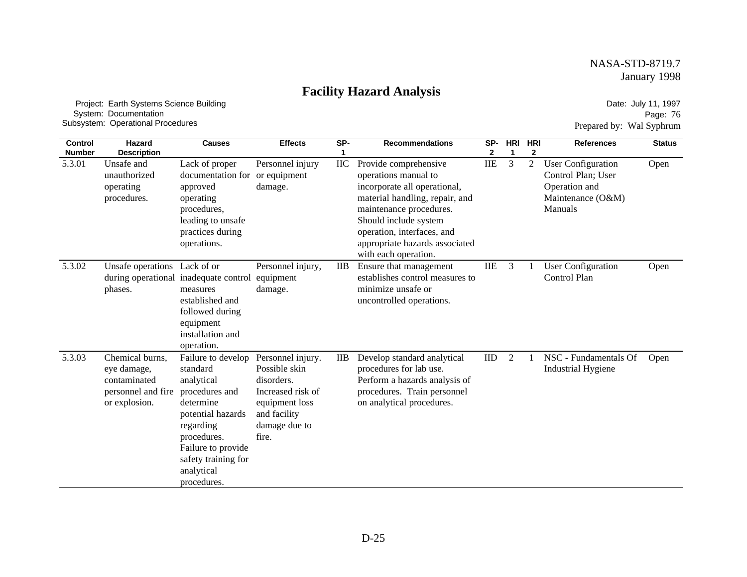### **Facility Hazard Analysis**

 Project: Earth Systems Science Building System: Documentation Subsystem: Operational Procedures

Date: July 11, 1997 Page: 76 Prepared by: Wal Syphrum

| <b>Control</b><br><b>Number</b> | <b>Hazard</b><br><b>Description</b>                                                   | <b>Causes</b>                                                                                                                                                                                          | <b>Effects</b>                                                                                                                    | SP-<br>1     | <b>Recommendations</b>                                                                                                                                                                                                                                      | SP-<br>2   | <b>HRI</b><br>$\mathbf 1$ | <b>HRI</b><br>$\mathbf{2}$ | <b>References</b>                                                                                | <b>Status</b> |
|---------------------------------|---------------------------------------------------------------------------------------|--------------------------------------------------------------------------------------------------------------------------------------------------------------------------------------------------------|-----------------------------------------------------------------------------------------------------------------------------------|--------------|-------------------------------------------------------------------------------------------------------------------------------------------------------------------------------------------------------------------------------------------------------------|------------|---------------------------|----------------------------|--------------------------------------------------------------------------------------------------|---------------|
| 5.3.01                          | Unsafe and<br>unauthorized<br>operating<br>procedures.                                | Lack of proper<br>documentation for or equipment<br>approved<br>operating<br>procedures,<br>leading to unsafe<br>practices during<br>operations.                                                       | Personnel injury<br>damage.                                                                                                       | IIC          | Provide comprehensive<br>operations manual to<br>incorporate all operational,<br>material handling, repair, and<br>maintenance procedures.<br>Should include system<br>operation, interfaces, and<br>appropriate hazards associated<br>with each operation. | <b>IIE</b> | 3                         | $\mathfrak{2}$             | <b>User Configuration</b><br>Control Plan; User<br>Operation and<br>Maintenance (O&M)<br>Manuals | Open          |
| 5.3.02                          | Unsafe operations Lack of or<br>during operational<br>phases.                         | inadequate control<br>measures<br>established and<br>followed during<br>equipment<br>installation and<br>operation.                                                                                    | Personnel injury,<br>equipment<br>damage.                                                                                         | <b>IIB</b>   | Ensure that management<br>establishes control measures to<br>minimize unsafe or<br>uncontrolled operations.                                                                                                                                                 | <b>IIE</b> | 3                         |                            | <b>User Configuration</b><br>Control Plan                                                        | Open          |
| 5.3.03                          | Chemical burns.<br>eye damage,<br>contaminated<br>personnel and fire<br>or explosion. | Failure to develop<br>standard<br>analytical<br>procedures and<br>determine<br>potential hazards<br>regarding<br>procedures.<br>Failure to provide<br>safety training for<br>analytical<br>procedures. | Personnel injury.<br>Possible skin<br>disorders.<br>Increased risk of<br>equipment loss<br>and facility<br>damage due to<br>fire. | $_{\rm IIB}$ | Develop standard analytical<br>procedures for lab use.<br>Perform a hazards analysis of<br>procedures. Train personnel<br>on analytical procedures.                                                                                                         | IID        | 2                         |                            | NSC - Fundamentals Of<br><b>Industrial Hygiene</b>                                               | Open          |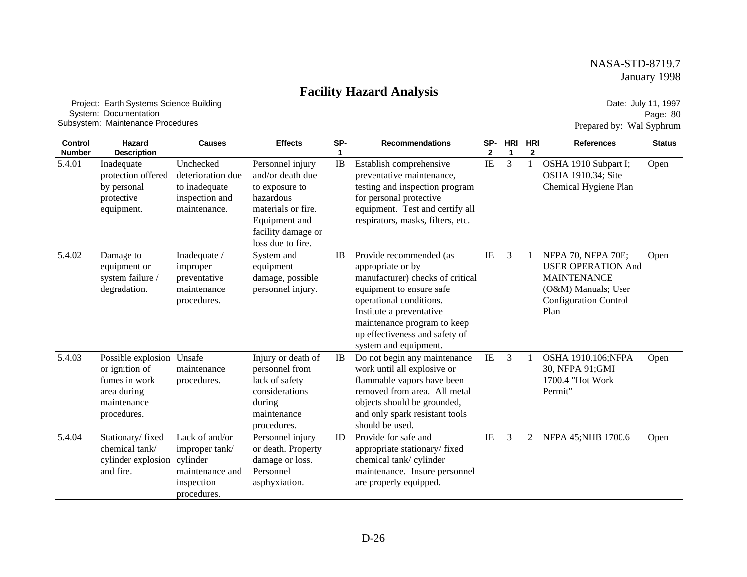### **Facility Hazard Analysis**

 Project: Earth Systems Science Building System: Documentation Subsystem: Maintenance Procedures

Date: July 11, 1997 Page: 80 Prepared by: Wal Syphrum

| Control<br><b>Number</b> | Hazard<br><b>Description</b>                                                                              | <b>Causes</b>                                                                     | <b>Effects</b>                                                                                                                                        | SP-      | <b>Recommendations</b>                                                                                                                                                                                                                                        | SP-<br>$\mathbf 2$ | <b>HRI</b><br>1 | <b>HRI</b><br>$\mathbf{2}$ | <b>References</b>                                                                                                                    | <b>Status</b> |
|--------------------------|-----------------------------------------------------------------------------------------------------------|-----------------------------------------------------------------------------------|-------------------------------------------------------------------------------------------------------------------------------------------------------|----------|---------------------------------------------------------------------------------------------------------------------------------------------------------------------------------------------------------------------------------------------------------------|--------------------|-----------------|----------------------------|--------------------------------------------------------------------------------------------------------------------------------------|---------------|
| 5.4.01                   | Inadequate<br>protection offered<br>by personal<br>protective<br>equipment.                               | Unchecked<br>deterioration due<br>to inadequate<br>inspection and<br>maintenance. | Personnel injury<br>and/or death due<br>to exposure to<br>hazardous<br>materials or fire.<br>Equipment and<br>facility damage or<br>loss due to fire. | $\rm IB$ | Establish comprehensive<br>preventative maintenance,<br>testing and inspection program<br>for personal protective<br>equipment. Test and certify all<br>respirators, masks, filters, etc.                                                                     | IE                 | 3               | $\mathbf{1}$               | OSHA 1910 Subpart I;<br>OSHA 1910.34; Site<br>Chemical Hygiene Plan                                                                  | Open          |
| 5.4.02                   | Damage to<br>equipment or<br>system failure /<br>degradation.                                             | Inadequate /<br>improper<br>preventative<br>maintenance<br>procedures.            | System and<br>equipment<br>damage, possible<br>personnel injury.                                                                                      | IB       | Provide recommended (as<br>appropriate or by<br>manufacturer) checks of critical<br>equipment to ensure safe<br>operational conditions.<br>Institute a preventative<br>maintenance program to keep<br>up effectiveness and safety of<br>system and equipment. | IE                 | 3               |                            | NFPA 70, NFPA 70E;<br><b>USER OPERATION And</b><br><b>MAINTENANCE</b><br>(O&M) Manuals; User<br><b>Configuration Control</b><br>Plan | Open          |
| 5.4.03                   | Possible explosion Unsafe<br>or ignition of<br>fumes in work<br>area during<br>maintenance<br>procedures. | maintenance<br>procedures.                                                        | Injury or death of<br>personnel from<br>lack of safety<br>considerations<br>during<br>maintenance<br>procedures.                                      | IB       | Do not begin any maintenance<br>work until all explosive or<br>flammable vapors have been<br>removed from area. All metal<br>objects should be grounded,<br>and only spark resistant tools<br>should be used.                                                 | IE                 | 3               |                            | OSHA 1910.106;NFPA<br>30, NFPA 91; GMI<br>1700.4 "Hot Work<br>Permit"                                                                | Open          |
| 5.4.04                   | Stationary/fixed<br>chemical tank/<br>cylinder explosion cylinder<br>and fire.                            | Lack of and/or<br>improper tank/<br>maintenance and<br>inspection<br>procedures.  | Personnel injury<br>or death. Property<br>damage or loss.<br>Personnel<br>asphyxiation.                                                               | ID       | Provide for safe and<br>appropriate stationary/fixed<br>chemical tank/cylinder<br>maintenance. Insure personnel<br>are properly equipped.                                                                                                                     | IE                 | 3               | 2                          | NFPA 45; NHB 1700.6                                                                                                                  | Open          |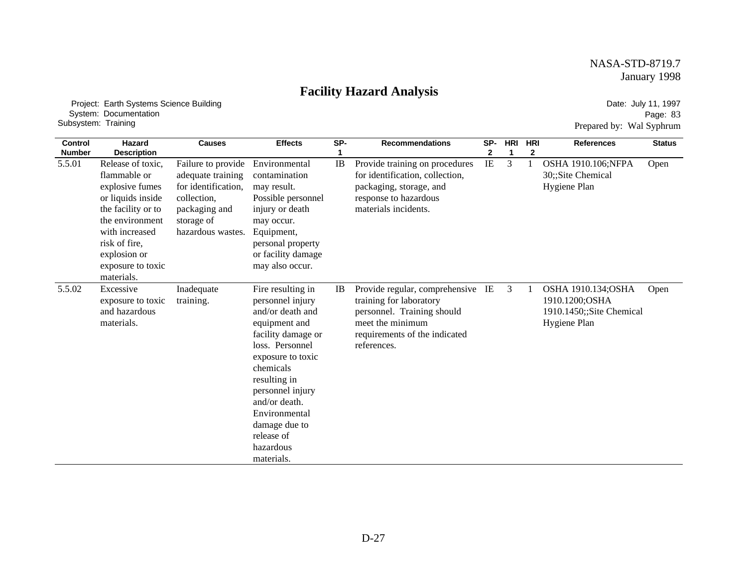### **Facility Hazard Analysis**

 Project: Earth Systems Science Building System: Documentation Subsystem: Training

Date: July 11, 1997 Page: 83 Prepared by: Wal Syphrum

| <b>Control</b> | <b>Hazard</b>                                                                                                                                                                                            | <b>Causes</b>                                                                                                                     | <b>Effects</b>                                                                                                                                                                                                                                                                        | SP-       | <b>Recommendations</b>                                                                                                                                         | SP-      | <b>HRI</b> | <b>HRI</b>   | <b>References</b>                                                                       | <b>Status</b> |
|----------------|----------------------------------------------------------------------------------------------------------------------------------------------------------------------------------------------------------|-----------------------------------------------------------------------------------------------------------------------------------|---------------------------------------------------------------------------------------------------------------------------------------------------------------------------------------------------------------------------------------------------------------------------------------|-----------|----------------------------------------------------------------------------------------------------------------------------------------------------------------|----------|------------|--------------|-----------------------------------------------------------------------------------------|---------------|
| <b>Number</b>  | <b>Description</b>                                                                                                                                                                                       |                                                                                                                                   |                                                                                                                                                                                                                                                                                       |           |                                                                                                                                                                | 2        | 1          | $\mathbf{2}$ |                                                                                         |               |
| 5.5.01         | Release of toxic,<br>flammable or<br>explosive fumes<br>or liquids inside<br>the facility or to<br>the environment<br>with increased<br>risk of fire,<br>explosion or<br>exposure to toxic<br>materials. | Failure to provide<br>adequate training<br>for identification,<br>collection,<br>packaging and<br>storage of<br>hazardous wastes. | Environmental<br>contamination<br>may result.<br>Possible personnel<br>injury or death<br>may occur.<br>Equipment,<br>personal property<br>or facility damage<br>may also occur.                                                                                                      | IB        | Provide training on procedures<br>for identification, collection,<br>packaging, storage, and<br>response to hazardous<br>materials incidents.                  | $\rm IE$ | 3          |              | OSHA 1910.106;NFPA<br>30;;Site Chemical<br>Hygiene Plan                                 | Open          |
| 5.5.02         | Excessive<br>exposure to toxic<br>and hazardous<br>materials.                                                                                                                                            | Inadequate<br>training.                                                                                                           | Fire resulting in<br>personnel injury<br>and/or death and<br>equipment and<br>facility damage or<br>loss. Personnel<br>exposure to toxic<br>chemicals<br>resulting in<br>personnel injury<br>and/or death.<br>Environmental<br>damage due to<br>release of<br>hazardous<br>materials. | <b>IB</b> | Provide regular, comprehensive IE<br>training for laboratory<br>personnel. Training should<br>meet the minimum<br>requirements of the indicated<br>references. |          | 3          |              | <b>OSHA 1910.134;OSHA</b><br>1910.1200;OSHA<br>1910.1450;;Site Chemical<br>Hygiene Plan | Open          |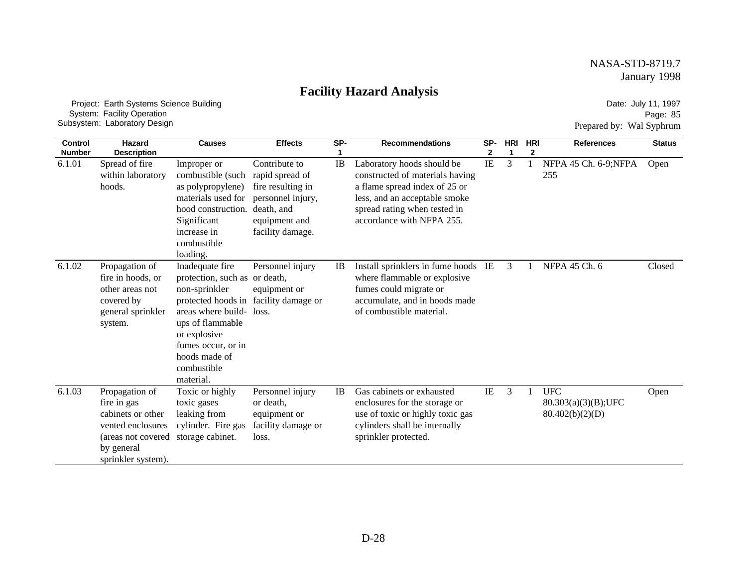### **Facility Hazard Analysis**

 Project: Earth Systems Science Building System: Facility Operation Subsystem: Laboratory Design

Date: July 11, 1997 Page: 85 Prepared by: Wal Syphrum

| <b>Control</b> | <b>Hazard</b>                                                                                                                     | <b>Causes</b>                                                                                                                                                                                                              | <b>Effects</b>                                                                                                                | SP- | <b>Recommendations</b>                                                                                                                                                                       | SP-      | <b>HRI</b> | <b>HRI</b> | <b>References</b>                                       | <b>Status</b> |
|----------------|-----------------------------------------------------------------------------------------------------------------------------------|----------------------------------------------------------------------------------------------------------------------------------------------------------------------------------------------------------------------------|-------------------------------------------------------------------------------------------------------------------------------|-----|----------------------------------------------------------------------------------------------------------------------------------------------------------------------------------------------|----------|------------|------------|---------------------------------------------------------|---------------|
| <b>Number</b>  | <b>Description</b>                                                                                                                |                                                                                                                                                                                                                            |                                                                                                                               |     |                                                                                                                                                                                              | 2        | 1          | 2          |                                                         |               |
| 6.1.01         | Spread of fire<br>within laboratory<br>hoods.                                                                                     | Improper or<br>combustible (such<br>as polypropylene)<br>materials used for<br>hood construction.<br>Significant<br>increase in<br>combustible<br>loading.                                                                 | Contribute to<br>rapid spread of<br>fire resulting in<br>personnel injury,<br>death, and<br>equipment and<br>facility damage. | IB  | Laboratory hoods should be<br>constructed of materials having<br>a flame spread index of 25 or<br>less, and an acceptable smoke<br>spread rating when tested in<br>accordance with NFPA 255. | $\rm IE$ | 3          |            | NFPA 45 Ch. 6-9;NFPA<br>255                             | Open          |
| 6.1.02         | Propagation of<br>fire in hoods, or<br>other areas not<br>covered by<br>general sprinkler<br>system.                              | Inadequate fire<br>protection, such as or death,<br>non-sprinkler<br>protected hoods in<br>areas where build- loss.<br>ups of flammable<br>or explosive<br>fumes occur, or in<br>hoods made of<br>combustible<br>material. | Personnel injury<br>equipment or<br>facility damage or                                                                        | IB  | Install sprinklers in fume hoods IE<br>where flammable or explosive<br>fumes could migrate or<br>accumulate, and in hoods made<br>of combustible material.                                   |          | 3          |            | NFPA 45 Ch. 6                                           | Closed        |
| 6.1.03         | Propagation of<br>fire in gas<br>cabinets or other<br>vented enclosures<br>(areas not covered<br>by general<br>sprinkler system). | Toxic or highly<br>toxic gases<br>leaking from<br>cylinder. Fire gas<br>storage cabinet.                                                                                                                                   | Personnel injury<br>or death,<br>equipment or<br>facility damage or<br>loss.                                                  | IB  | Gas cabinets or exhausted<br>enclosures for the storage or<br>use of toxic or highly toxic gas<br>cylinders shall be internally<br>sprinkler protected.                                      | IE       | 3          |            | <b>UFC</b><br>$80.303(a)(3)(B);$ UFC<br>80.402(b)(2)(D) | Open          |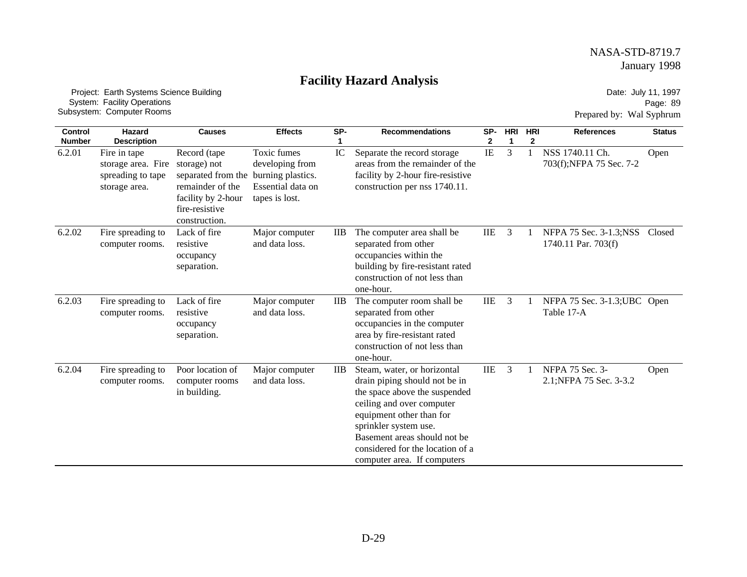# **Facility Hazard Analysis**

 Project: Earth Systems Science Building System: Facility Operations Subsystem: Computer Rooms

Date: July 11, 1997 Page: 89 Prepared by: Wal Syphrum

| <b>Control</b>          | <b>Hazard</b>                                                                                  | <b>Causes</b>                                                                                                                   | <b>Effects</b>                                                                             | SP-             | <b>Recommendations</b>                                                                                                                                                                                                                                                             | SP-        | <b>HRI</b> | <b>HRI</b> | <b>References</b>                             | <b>Status</b> |
|-------------------------|------------------------------------------------------------------------------------------------|---------------------------------------------------------------------------------------------------------------------------------|--------------------------------------------------------------------------------------------|-----------------|------------------------------------------------------------------------------------------------------------------------------------------------------------------------------------------------------------------------------------------------------------------------------------|------------|------------|------------|-----------------------------------------------|---------------|
| <b>Number</b><br>6.2.01 | <b>Description</b><br>Fire in tape<br>storage area. Fire<br>spreading to tape<br>storage area. | Record (tape<br>storage) not<br>separated from the<br>remainder of the<br>facility by 2-hour<br>fire-resistive<br>construction. | Toxic fumes<br>developing from<br>burning plastics.<br>Essential data on<br>tapes is lost. | IC              | Separate the record storage<br>areas from the remainder of the<br>facility by 2-hour fire-resistive<br>construction per nss 1740.11.                                                                                                                                               | 2<br>IE    | 1<br>3     | 2          | NSS 1740.11 Ch.<br>703(f);NFPA 75 Sec. 7-2    | Open          |
| 6.2.02                  | Fire spreading to<br>computer rooms.                                                           | Lack of fire<br>resistive<br>occupancy<br>separation.                                                                           | Major computer<br>and data loss.                                                           | $_{\text{IIB}}$ | The computer area shall be<br>separated from other<br>occupancies within the<br>building by fire-resistant rated<br>construction of not less than<br>one-hour.                                                                                                                     | <b>IIE</b> | 3          |            | NFPA 75 Sec. 3-1.3;NSS<br>1740.11 Par. 703(f) | Closed        |
| 6.2.03                  | Fire spreading to<br>computer rooms.                                                           | Lack of fire<br>resistive<br>occupancy<br>separation.                                                                           | Major computer<br>and data loss.                                                           | $_{\text{IIB}}$ | The computer room shall be<br>separated from other<br>occupancies in the computer<br>area by fire-resistant rated<br>construction of not less than<br>one-hour.                                                                                                                    | IIE        | 3          |            | NFPA 75 Sec. 3-1.3; UBC Open<br>Table 17-A    |               |
| 6.2.04                  | Fire spreading to<br>computer rooms.                                                           | Poor location of<br>computer rooms<br>in building.                                                                              | Major computer<br>and data loss.                                                           | $_{\rm IIB}$    | Steam, water, or horizontal<br>drain piping should not be in<br>the space above the suspended<br>ceiling and over computer<br>equipment other than for<br>sprinkler system use.<br>Basement areas should not be<br>considered for the location of a<br>computer area. If computers | <b>IIE</b> | 3          |            | NFPA 75 Sec. 3-<br>2.1; NFPA 75 Sec. 3-3.2    | Open          |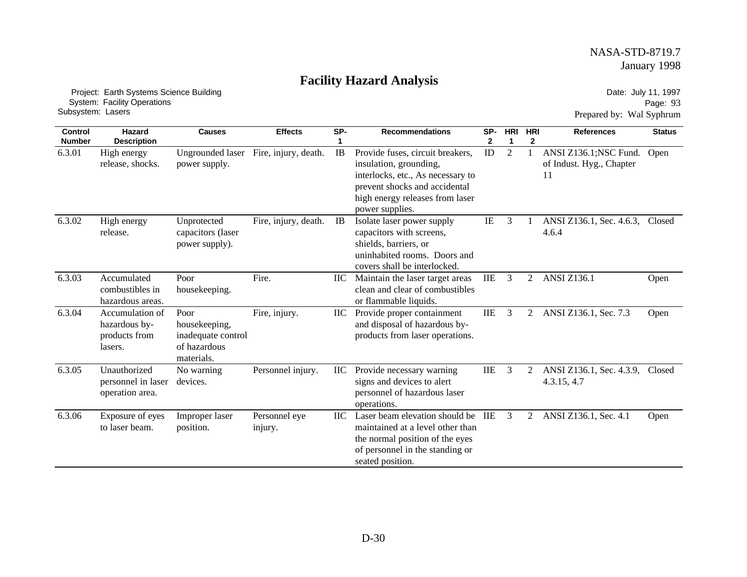# **Facility Hazard Analysis**

 Project: Earth Systems Science Building System: Facility Operations Subsystem: Lasers

Date: July 11, 1997 Page: 93 Prepared by: Wal Syphrum

| <b>Control</b><br><b>Number</b> | Hazard<br><b>Description</b>                                 | <b>Causes</b>                                                             | <b>Effects</b>           | SP-        | <b>Recommendations</b>                                                                                                                                                                 | SP-<br>2   | <b>HRI</b><br>-1 | <b>HRI</b><br>2 | <b>References</b>                                        | <b>Status</b> |
|---------------------------------|--------------------------------------------------------------|---------------------------------------------------------------------------|--------------------------|------------|----------------------------------------------------------------------------------------------------------------------------------------------------------------------------------------|------------|------------------|-----------------|----------------------------------------------------------|---------------|
| 6.3.01                          | High energy<br>release, shocks.                              | <b>Ungrounded laser</b><br>power supply.                                  | Fire, injury, death.     | IB         | Provide fuses, circuit breakers,<br>insulation, grounding,<br>interlocks, etc., As necessary to<br>prevent shocks and accidental<br>high energy releases from laser<br>power supplies. | ID         | $\overline{2}$   |                 | ANSI Z136.1; NSC Fund.<br>of Indust. Hyg., Chapter<br>11 | Open          |
| 6.3.02                          | High energy<br>release.                                      | Unprotected<br>capacitors (laser<br>power supply).                        | Fire, injury, death.     | IB         | Isolate laser power supply<br>capacitors with screens,<br>shields, barriers, or<br>uninhabited rooms. Doors and<br>covers shall be interlocked.                                        | IE         | 3                |                 | ANSI Z136.1, Sec. 4.6.3,<br>4.6.4                        | Closed        |
| 6.3.03                          | Accumulated<br>combustibles in<br>hazardous areas.           | Poor<br>housekeeping.                                                     | Fire.                    | ПC         | Maintain the laser target areas<br>clean and clear of combustibles<br>or flammable liquids.                                                                                            | IIE        | 3                | 2               | <b>ANSI Z136.1</b>                                       | Open          |
| 6.3.04                          | Accumulation of<br>hazardous by-<br>products from<br>lasers. | Poor<br>housekeeping,<br>inadequate control<br>of hazardous<br>materials. | Fire, injury.            | IIC        | Provide proper containment<br>and disposal of hazardous by-<br>products from laser operations.                                                                                         | <b>IIE</b> | 3                | 2               | ANSI Z136.1, Sec. 7.3                                    | Open          |
| 6.3.05                          | Unauthorized<br>personnel in laser<br>operation area.        | No warning<br>devices.                                                    | Personnel injury.        | IIС        | Provide necessary warning<br>signs and devices to alert<br>personnel of hazardous laser<br>operations.                                                                                 | $\rm IIE$  | 3                | 2               | ANSI Z136.1, Sec. 4.3.9,<br>4.3.15, 4.7                  | Closed        |
| 6.3.06                          | Exposure of eyes<br>to laser beam.                           | Improper laser<br>position.                                               | Personnel eye<br>injury. | <b>IIC</b> | Laser beam elevation should be<br>maintained at a level other than<br>the normal position of the eyes<br>of personnel in the standing or<br>seated position.                           | IIE        | 3                | 2               | ANSI Z136.1, Sec. 4.1                                    | Open          |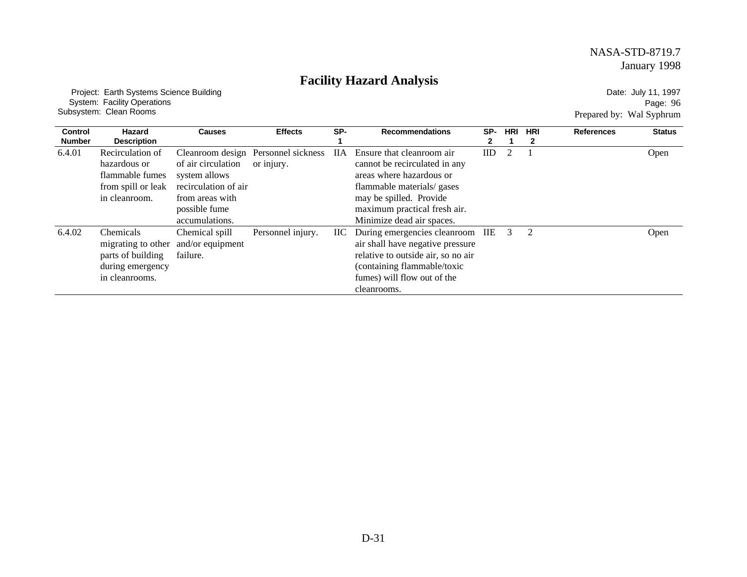# **Facility Hazard Analysis**

 Project: Earth Systems Science Building System: Facility Operations Subsystem: Clean Rooms

Date: July 11, 1997 Page: 96 Prepared by: Wal Syphrum

| <b>Control</b><br><b>Number</b> | Hazard<br><b>Description</b>                                                               | <b>Causes</b>                                                                                                     | <b>Effects</b>                                    | SP-        | <b>Recommendations</b>                                                                                                                                                                                       | SP-<br>2. | <b>HRI</b> | <b>HRI</b> | <b>References</b> | <b>Status</b> |
|---------------------------------|--------------------------------------------------------------------------------------------|-------------------------------------------------------------------------------------------------------------------|---------------------------------------------------|------------|--------------------------------------------------------------------------------------------------------------------------------------------------------------------------------------------------------------|-----------|------------|------------|-------------------|---------------|
| 6.4.01                          | Recirculation of<br>hazardous or<br>flammable fumes<br>from spill or leak<br>in cleanroom. | of air circulation<br>system allows<br>recirculation of air<br>from areas with<br>possible fume<br>accumulations. | Cleanroom design Personnel sickness<br>or injury. | <b>IIA</b> | Ensure that cleanroom air<br>cannot be recirculated in any<br>areas where hazardous or<br>flammable materials/ gases<br>may be spilled. Provide<br>maximum practical fresh air.<br>Minimize dead air spaces. | ID        |            |            |                   | Open          |
| 6.4.02                          | Chemicals<br>migrating to other<br>parts of building<br>during emergency<br>in cleanrooms. | Chemical spill<br>and/or equipment<br>failure.                                                                    | Personnel injury.                                 | IIC -      | During emergencies cleanroom IIE<br>air shall have negative pressure<br>relative to outside air, so no air<br>(containing flammable/toxic<br>fumes) will flow out of the<br>cleanrooms.                      |           | 3          | 2          |                   | Open          |